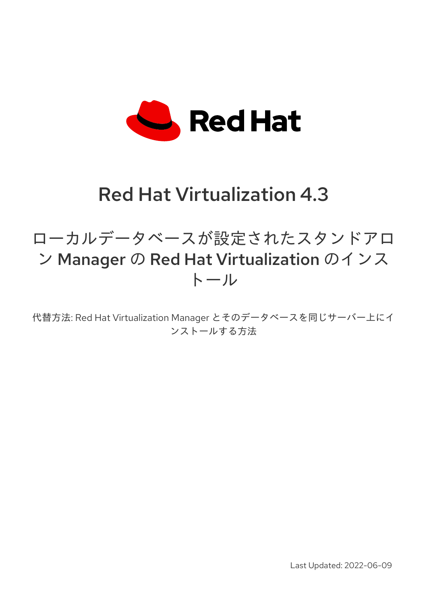

# Red Hat Virtualization 4.3

# ローカルデータベースが設定されたスタンドアロ ン Manager の Red Hat Virtualization のインス トール

代替方法: Red Hat Virtualization Manager とそのデータベースを同じサーバー上にイ ンストールする方法

Last Updated: 2022-06-09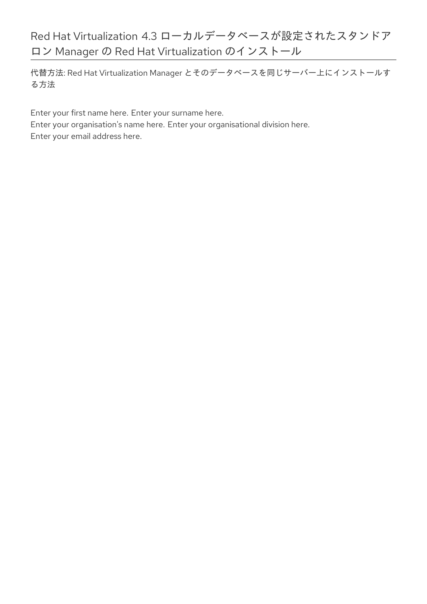# Red Hat Virtualization 4.3 ローカルデータベースが設定されたスタンドア ロン Manager の Red Hat Virtualization のインストール

代替方法: Red Hat Virtualization Manager とそのデータベースを同じサーバー上にインストールす る方法

Enter your first name here. Enter your surname here. Enter your organisation's name here. Enter your organisational division here. Enter your email address here.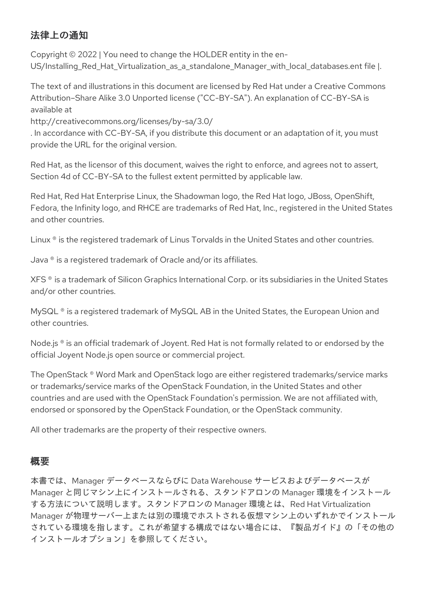# 法律上の通知

Copyright © 2022 | You need to change the HOLDER entity in the en-US/Installing\_Red\_Hat\_Virtualization\_as\_a\_standalone\_Manager\_with\_local\_databases.ent file |.

The text of and illustrations in this document are licensed by Red Hat under a Creative Commons Attribution–Share Alike 3.0 Unported license ("CC-BY-SA"). An explanation of CC-BY-SA is available at

http://creativecommons.org/licenses/by-sa/3.0/

. In accordance with CC-BY-SA, if you distribute this document or an adaptation of it, you must provide the URL for the original version.

Red Hat, as the licensor of this document, waives the right to enforce, and agrees not to assert, Section 4d of CC-BY-SA to the fullest extent permitted by applicable law.

Red Hat, Red Hat Enterprise Linux, the Shadowman logo, the Red Hat logo, JBoss, OpenShift, Fedora, the Infinity logo, and RHCE are trademarks of Red Hat, Inc., registered in the United States and other countries.

Linux ® is the registered trademark of Linus Torvalds in the United States and other countries.

Java ® is a registered trademark of Oracle and/or its affiliates.

XFS ® is a trademark of Silicon Graphics International Corp. or its subsidiaries in the United States and/or other countries.

MySQL<sup>®</sup> is a registered trademark of MySQL AB in the United States, the European Union and other countries.

Node.js ® is an official trademark of Joyent. Red Hat is not formally related to or endorsed by the official Joyent Node.js open source or commercial project.

The OpenStack ® Word Mark and OpenStack logo are either registered trademarks/service marks or trademarks/service marks of the OpenStack Foundation, in the United States and other countries and are used with the OpenStack Foundation's permission. We are not affiliated with, endorsed or sponsored by the OpenStack Foundation, or the OpenStack community.

All other trademarks are the property of their respective owners.

### 概要

本書では、Manager データベースならびに Data Warehouse サービスおよびデータベースが Manager と同じマシン上にインストールされる、スタンドアロンの Manager 環境をインストール する方法について説明します。スタンドアロンの Manager 環境とは、Red Hat Virtualization Manager が物理サーバー上または別の環境でホストされる仮想マシン上のいずれかでインストール されている環境を指します。これが希望する構成ではない場合には、『製品ガイド』の「その他の インストールオプション」を参照してください。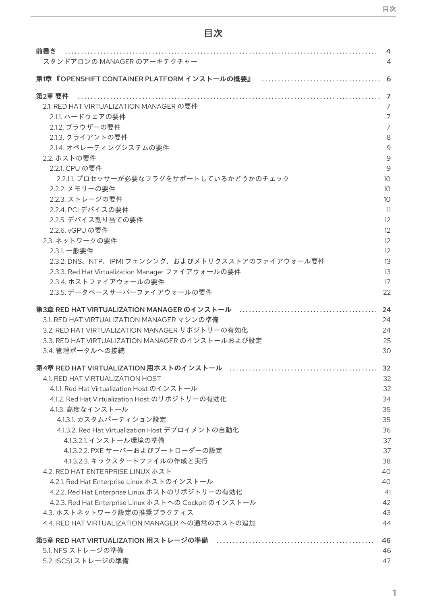# 目次

| スタンドアロンの MANAGER のアーキテクチャー                            |                 |
|-------------------------------------------------------|-----------------|
|                                                       |                 |
|                                                       |                 |
| 第2章 要件                                                |                 |
| 2.1. RED HAT VIRTUALIZATION MANAGER の要件               |                 |
| 2.1.1. ハードウェアの要件                                      |                 |
| 2.1.2. ブラウザーの要件                                       |                 |
| 2.1.3. クライアントの要件                                      |                 |
| 2.1.4. オペレーティングシステムの要件                                |                 |
| 2.2. ホストの要件                                           |                 |
| 2.2.1. CPU の要件                                        |                 |
| 2.2.1.1. プロセッサーが必要なフラグをサポートしているかどうかのチェック              |                 |
| 2.2.2. メモリーの要件                                        |                 |
| 2.2.3. ストレージの要件                                       |                 |
| 2.2.4. PCI デバイスの要件                                    |                 |
|                                                       |                 |
| 2.2.5. デバイス割り当ての要件                                    |                 |
| 2.2.6. vGPU の要件                                       |                 |
| 2.3. ネットワークの要件                                        |                 |
| 2.3.1. 一般要件                                           |                 |
| 2.3.2. DNS、NTP、IPMI フェンシング、およびメトリクスストアのファイアウォール要件     |                 |
| 2.3.3. Red Hat Virtualization Manager ファイアウォールの要件     |                 |
| 2.3.4. ホストファイアウォールの要件                                 |                 |
| 2.3.5. データベースサーバーファイアウォールの要件                          | 22              |
|                                                       | - 24            |
| 3.1. RED HAT VIRTUALIZATION MANAGER マシンの準備            | 24              |
| 3.2. RED HAT VIRTUALIZATION MANAGER リポジトリーの有効化        | 24              |
| 3.3. RED HAT VIRTUALIZATION MANAGER のインストールおよび設定      | 25              |
| 3.4. 管理ポータルへの接続                                       | 30 <sup>°</sup> |
|                                                       |                 |
|                                                       |                 |
| 4.1. RED HAT VIRTUALIZATION HOST                      | 32              |
| 4.1.1. Red Hat Virtualization Host のインストール            | 32              |
| 4.1.2. Red Hat Virtualization Host のリポジトリーの有効化        | 34              |
| 4.1.3. 高度なインストール                                      | 35              |
| 4.1.3.1. カスタムパーティション設定                                | 35              |
| 4.1.3.2. Red Hat Virtualization Host デプロイメントの自動化      | 36              |
| 4.1.3.2.1. インストール環境の準備                                | 37              |
| 4.1.3.2.2. PXE サーバーおよびブートローダーの設定                      | 37              |
| 4.1.3.2.3. キックスタートファイルの作成と実行                          | 38              |
|                                                       |                 |
| 4.2. RED HAT ENTERPRISE LINUX ホスト                     | 40              |
| 4.2.1. Red Hat Enterprise Linux ホストのインストール            | 40              |
| 4.2.2. Red Hat Enterprise Linux ホストのリポジトリーの有効化        | 41              |
| 4.2.3. Red Hat Enterprise Linux ホストへの Cockpit のインストール | 42              |
| 4.3. ホストネットワーク設定の推奨プラクティス                             | 43              |
| 4.4. RED HAT VIRTUALIZATION MANAGER への通常のホストの追加       | 44              |
|                                                       | -46             |
| 5.1. NFS ストレージの準備                                     | 46              |
| 5.2. ISCSI ストレージの準備                                   | 47              |
|                                                       |                 |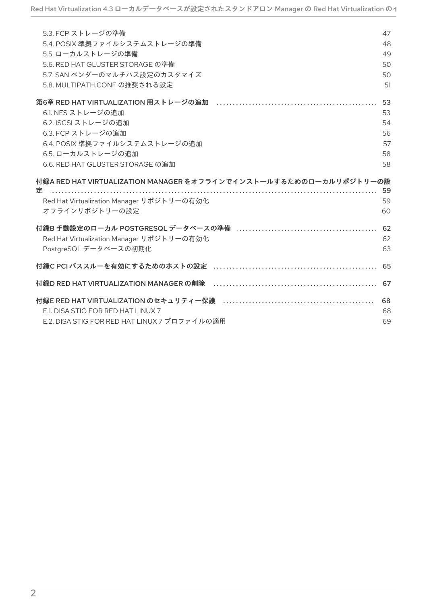| 5С                                                                   |
|----------------------------------------------------------------------|
|                                                                      |
|                                                                      |
|                                                                      |
|                                                                      |
| 50                                                                   |
| 51                                                                   |
|                                                                      |
| 53                                                                   |
|                                                                      |
|                                                                      |
|                                                                      |
| 58                                                                   |
| 58                                                                   |
| 付録A RED HAT VIRTUALIZATION MANAGER をオフラインでインストールするためのローカルリポジトリーの設    |
| -59                                                                  |
| 59                                                                   |
| 60                                                                   |
|                                                                      |
|                                                                      |
| 62                                                                   |
| 63                                                                   |
|                                                                      |
| 付録D RED HAT VIRTUALIZATION MANAGER の削除 それをおくさんないないないないないないないないない。 67 |
|                                                                      |
|                                                                      |
| 69                                                                   |
|                                                                      |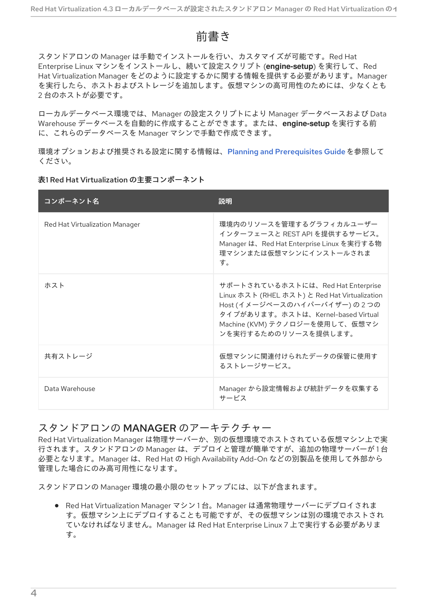# 前書き

<span id="page-7-0"></span>スタンドアロンの Manager は手動でインストールを行い、カスタマイズが可能です。Red Hat Enterprise Linux マシンをインストールし、続いて設定スクリプト (**engine-setup**) を実行して、Red Hat Virtualization Manager をどのように設定するかに関する情報を提供する必要があります。Manager を実行したら、ホストおよびストレージを追加します。仮想マシンの高可用性のためには、少なくとも 2 台のホストが必要です。

ローカルデータベース環境では、Manager の設定スクリプトにより Manager データベースおよび Data Warehouse データベースを自動的に作成することができます。または、**engine-setup** を実行する前 に、これらのデータベースを Manager マシンで手動で作成できます。

環境オプションおよび推奨される設定に関する情報は、Planning and [Prerequisites](https://access.redhat.com/documentation/ja-jp/red_hat_virtualization/4.3/html/planning_and_prerequisites_guide/) Guideを参照して ください。

#### 表1 Red Hat Virtualization の主要コンポーネント

| コンポーネント名                       | 説明                                                                                                                                                                                                                 |
|--------------------------------|--------------------------------------------------------------------------------------------------------------------------------------------------------------------------------------------------------------------|
| Red Hat Virtualization Manager | 環境内のリソースを管理するグラフィカルユーザー<br>インターフェースと REST API を提供するサービス。<br>Manager は、Red Hat Enterprise Linux を実行する物<br>理マシンまたは仮想マシンにインストールされま<br>す。                                                                              |
| ホスト                            | サポートされているホストには、Red Hat Enterprise<br>Linux ホスト (RHEL ホスト) と Red Hat Virtualization<br>Host (イメージベースのハイパーバイザー) の2つの<br>タイプがあります。ホストは、Kernel-based Virtual<br>Machine (KVM) テクノロジーを使用して、仮想マシ<br>ンを実行するためのリソースを提供します。 |
| 共有ストレージ                        | 仮想マシンに関連付けられたデータの保管に使用す<br>るストレージサービス。                                                                                                                                                                             |
| Data Warehouse                 | Manager から設定情報および統計データを収集する<br>サービス                                                                                                                                                                                |

### <span id="page-7-1"></span>スタンドアロンの MANAGER のアーキテクチャー

Red Hat Virtualization Manager は物理サーバーか、別の仮想環境でホストされている仮想マシン上で実 行されます。スタンドアロンの Manager は、デプロイと管理が簡単ですが、追加の物理サーバーが1台 必要となります。Manager は、Red Hat の High Availability Add-On などの別製品を使用して外部から 管理した場合にのみ高可用性になります。

スタンドアロンの Manager 環境の最小限のセットアップには、以下が含まれます。

● Red Hat Virtualization Manager マシン1台。Manager は通常物理サーバーにデプロイされま す。仮想マシン上にデプロイすることも可能ですが、その仮想マシンは別の環境でホストされ ていなければなりません。Manager は Red Hat Enterprise Linux 7 上で実行する必要がありま す。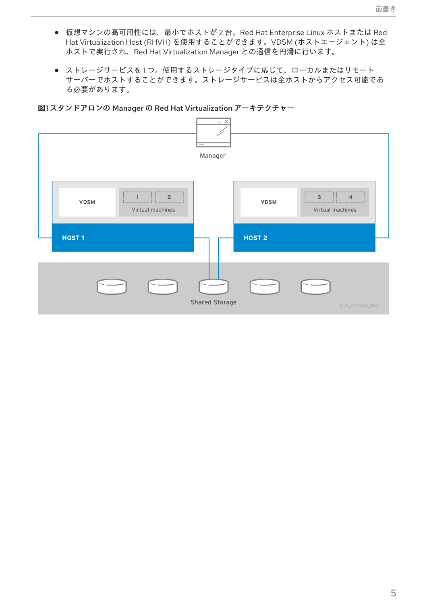- 仮想マシンの高可用性には、最小でホストが2台。Red Hat Enterprise Linux ホストまたは Red Hat Virtualization Host (RHVH) を使用することができます。VDSM (ホストエージェント) は全 ホストで実行され、Red Hat Virtualization Manager との通信を円滑に行います。
- ストレージサービスを1つ。使用するストレージタイプに応じて、ローカルまたはリモート サーバーでホストすることができます。ストレージサービスは全ホストからアクセス可能であ る必要があります。

#### 図1 スタンドアロンの Manager の Red Hat Virtualization アーキテクチャー

|                                                   | $ \times$<br>Manager                                                                          |  |
|---------------------------------------------------|-----------------------------------------------------------------------------------------------|--|
| $\overline{2}$<br><b>VDSM</b><br>Virtual machines | $\mathbf{3}$<br>$\overline{4}$<br><b>VDSM</b><br>Virtual machines                             |  |
| HOST <sub>1</sub>                                 | HOST <sub>2</sub>                                                                             |  |
|                                                   | $\overline{\phantom{a}}$ $\overline{\phantom{a}}$<br><b>Shared Storage</b><br>RHV_454569_0817 |  |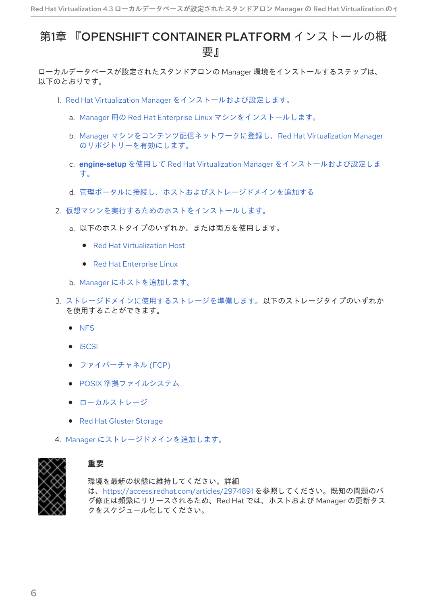# <span id="page-9-0"></span>第1章 『OPENSHIFT CONTAINER PLATFORM インストールの概 要』

ローカルデータベースが設定されたスタンドアロンの Manager 環境をインストールするステップは、 以下のとおりです。

- 1. Red Hat Virtualization Manager [をインストールおよび設定します。](#page-30-0)
	- a. Manager 用の Red Hat Enterprise Linux [マシンをインストールします。](#page-27-1)
	- b. Manager [マシンをコンテンツ配信ネットワークに登録し、](#page-27-2)Red Hat Virtualization Manager のリポジトリーを有効にします。
	- c. **engine-setup** を使用して Red Hat Virtualization Manager [をインストールおよび設定しま](#page-30-1) す。
	- d. [管理ポータルに接続し、ホストおよびストレージドメインを追加する](#page-33-0)
- 2. [仮想マシンを実行するためのホストをインストールします。](#page-41-1)
	- a. 以下のホストタイプのいずれか、または両方を使用します。
		- Red Hat [Virtualization](#page-39-1) Host
		- Red Hat [Enterprise](#page-44-1) Linux
	- b. Manager [にホストを追加します。](#page-47-0)
- 3. [ストレージドメインに使用するストレージを準備します。](#page-52-1)以下のストレージタイプのいずれか を使用することができます。
	- [NFS](#page-49-1)
	- [iSCSI](#page-50-0)
	- [ファイバーチャネル](#page-51-1) (FCP)
	- POSIX [準拠ファイルシステム](#page-51-0)
	- [ローカルストレージ](#page-52-0)
	- Red Hat Gluster [Storage](#page-53-2)
- 4. Manager [にストレージドメインを追加します。](#page-58-0)



#### 重要

環境を最新の状態に維持してください。詳細 は、<https://access.redhat.com/articles/2974891> を参照してください。既知の問題のバ グ修正は頻繁にリリースされるため、Red Hat では、ホストおよび Manager の更新タス クをスケジュール化してください。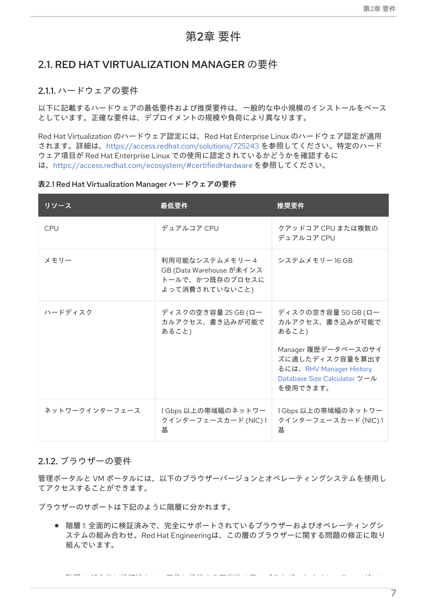# 第2章 要件

# <span id="page-10-1"></span><span id="page-10-0"></span>2.1. RED HAT VIRTUALIZATION MANAGER の要件

#### <span id="page-10-2"></span>2.1.1. ハードウェアの要件

以下に記載するハードウェアの最低要件および推奨要件は、一般的な中小規模のインストールをベース としています。正確な要件は、デプロイメントの規模や負荷により異なります。

Red Hat Virtualization のハードウェア認定には、Red Hat Enterprise Linux のハードウェア認定が適用 されます。詳細は、<https://access.redhat.com/solutions/725243> を参照してください。特定のハード ウェア項目が Red Hat Enterprise Linux での使用に認定されているかどうかを確認するに は、<https://access.redhat.com/ecosystem/#certifiedHardware> を参照してください。

#### 表2.1 Red Hat Virtualization Manager ハードウェアの要件

| リソース           | 最低要件                                                                             | 推奨要件                                                                                                                                                             |
|----------------|----------------------------------------------------------------------------------|------------------------------------------------------------------------------------------------------------------------------------------------------------------|
| <b>CPU</b>     | デュアルコア CPU                                                                       | クアッドコア CPU または複数の<br>デュアルコア CPU                                                                                                                                  |
| メモリー           | 利用可能なシステムメモリー 4<br>GB (Data Warehouse が未インス<br>トールで、かつ既存のプロセスに<br>よって消費されていないこと) | システムメモリー 16 GB                                                                                                                                                   |
| ハードディスク        | ディスクの空き容量 25 GB (ロー<br>カルアクセス、書き込みが可能で<br>あること)                                  | ディスクの空き容量 50 GB (ロー<br>カルアクセス、書き込みが可能で<br>あること)<br>Manager 履歴データベースのサイ<br>ズに適したディスク容量を算出す<br>るには、RHV Manager History<br>Database Size Calculator ツール<br>を使用できます。 |
| ネットワークインターフェース | 1Gbps 以上の帯域幅のネットワー<br>クインターフェースカード (NIC) 1<br>基                                  | 1Gbps 以上の帯域幅のネットワー<br>クインターフェースカード (NIC)1<br>基                                                                                                                   |

#### <span id="page-10-3"></span>2.1.2. ブラウザーの要件

管理ポータルと VM ポータルには、以下のブラウザーバージョンとオペレーティングシステムを使用し てアクセスすることができます。

ブラウザーのサポートは下記のように階層に分かれます。

● 階層 1: 全面的に検証済みで、完全にサポートされているブラウザーおよびオペレーティングシ ステムの組み合わせ。Red Hat Engineeringは、この層のブラウザーに関する問題の修正に取り 組んでいます。

ት የመንግሥት 2: የምሳሌ ላይ የሚያስት አንድ የሚያስት አንድ መንግሥት እና የሚያስት አንድ የሚያስት አንድ የሚያስት አንድ የሚያስት አንድ የሚያስት አንድ የሚያስት አንድ<br>የአንድ የሚያስት አንድ የሚያስት አንድ የሚያስት አንድ የሚያስት አንድ የሚያስት አንድ የሚያስት አንድ የሚያስት አንድ የሚያስት አንድ የሚያስት አንድ የሚያስት አንድ የሚያስት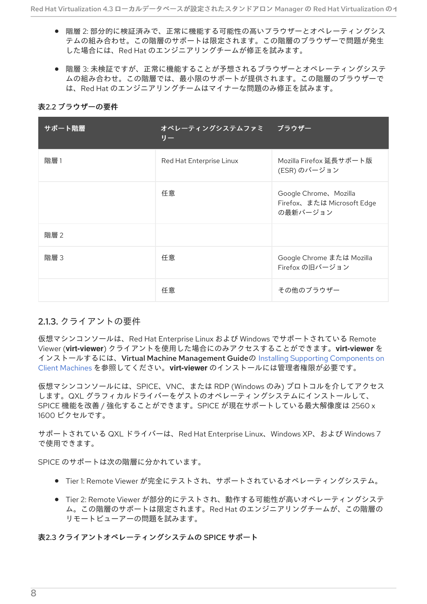- 階層 2: 部分的に検証済みで、正常に機能する可能性の高いブラウザーとオペレーティングシス テムの組み合わせ。この階層のサポートは限定されます。この階層のブラウザーで問題が発生 した場合には、Red Hat のエンジニアリングチームが修正を試みます。
- 階層 3: 未検証ですが、正常に機能することが予想されるブラウザーとオペレーティングシステ ムの組み合わせ。この階層では、最小限のサポートが提供されます。この階層のブラウザーで は、Red Hat のエンジニアリングチームはマイナーな問題のみ修正を試みます。

表2.2 ブラウザーの要件

| サポート階層 | オペレーティングシステムファミ ブラウザー<br>$J -$ |                                                                  |
|--------|--------------------------------|------------------------------------------------------------------|
| 階層1    | Red Hat Enterprise Linux       | Mozilla Firefox 延長サポート版<br>(ESR) のバージョン                          |
|        | 任意                             | Google Chrome, Mozilla<br>Firefox、または Microsoft Edge<br>の最新バージョン |
| 階層 2   |                                |                                                                  |
| 階層 3   | 任意                             | Google Chrome または Mozilla<br>Firefox の旧バージョン                     |
|        | 任意                             | その他のブラウザー                                                        |

#### <span id="page-11-0"></span>2.1.3. クライアントの要件

仮想マシンコンソールは、Red Hat Enterprise Linux および Windows でサポートされている Remote Viewer (**virt-viewer**) クライアントを使用した場合にのみアクセスすることができます。**virt-viewer** を インストールするには、Virtual Machine Management Guideの Installing Supporting Components on Client Machines を参照してください。**virt-viewer** [のインストールには管理者権限が必要です。](https://access.redhat.com/documentation/ja-jp/red_hat_virtualization/4.3/html/virtual_machine_management_guide/sect-installing_supporting_components)

仮想マシンコンソールには、SPICE、VNC、または RDP (Windows のみ) プロトコルを介してアクセス します。QXL グラフィカルドライバーをゲストのオペレーティングシステムにインストールして、 SPICE 機能を改善 / 強化することができます。SPICE が現在サポートしている最大解像度は 2560 x 1600 ピクセルです。

サポートされている QXL ドライバーは、Red Hat Enterprise Linux、Windows XP、および Windows 7 で使用できます。

SPICE のサポートは次の階層に分かれています。

- Tier 1: Remote Viewer が完全にテストされ、サポートされているオペレーティングシステム。
- Tier 2: Remote Viewer が部分的にテストされ、動作する可能性が高いオペレーティングシステ ム。この階層のサポートは限定されます。Red Hat のエンジニアリングチームが、この階層の リモートビューアーの問題を試みます。

表2.3 クライアントオペレーティングシステムの SPICE サポート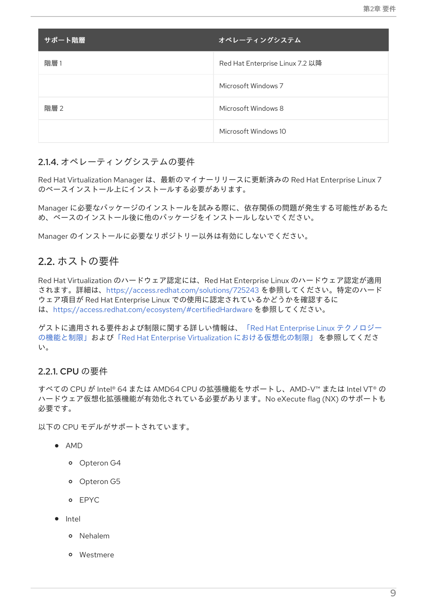| サポート階層 | オペレーティングシステム                    |
|--------|---------------------------------|
| 階層1    | Red Hat Enterprise Linux 7.2 以降 |
|        | Microsoft Windows 7             |
| 階層 2   | Microsoft Windows 8             |
|        | Microsoft Windows 10            |

#### <span id="page-12-0"></span>2.1.4. オペレーティングシステムの要件

Red Hat Virtualization Manager は、最新のマイナーリリースに更新済みの Red Hat Enterprise Linux 7 のベースインストール上にインストールする必要があります。

Manager に必要なパッケージのインストールを試みる際に、依存関係の問題が発生する可能性があるた め、ベースのインストール後に他のパッケージをインストールしないでください。

Manager のインストールに必要なリポジトリー以外は有効にしないでください。

## <span id="page-12-1"></span>2.2. ホストの要件

Red Hat Virtualization のハードウェア認定には、Red Hat Enterprise Linux のハードウェア認定が適用 されます。詳細は、<https://access.redhat.com/solutions/725243> を参照してください。特定のハード ウェア項目が Red Hat Enterprise Linux での使用に認定されているかどうかを確認するに は、<https://access.redhat.com/ecosystem/#certifiedHardware> を参照してください。

[ゲストに適用される要件および制限に関する詳しい情報は、「](https://access.redhat.com/ja/articles/1271503)Red Hat Enterprise Linux テクノロジー の機能と制限」および「Red Hat Enterprise Virtualization [における仮想化の制限」](https://access.redhat.com/ja/articles/1526843) を参照してくださ い。

#### <span id="page-12-2"></span>2.2.1. CPU の要件

すべての CPU が Intel® 64 または AMD64 CPU の拡張機能をサポートし、AMD-V™ または Intel VT® の ハードウェア仮想化拡張機能が有効化されている必要があります。No eXecute flag (NX) のサポートも 必要です。

以下の CPU モデルがサポートされています。

- $\bullet$  AMD
	- o Opteron G4
	- o Opteron G5
	- o FPYC
- $\bullet$  Intel
	- Nehalem
	- Westmere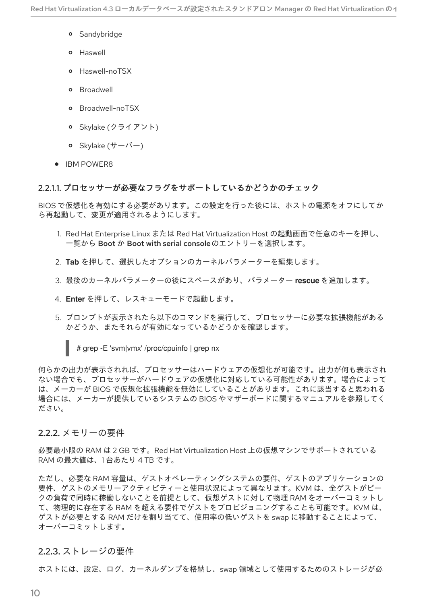- **o** Sandybridge
- Haswell
- Haswell-noTSX
- Broadwell
- Broadwell-noTSX
- o Skylake (クライアント)
- Skylake (サーバー)
- IBM POWER8

#### <span id="page-13-0"></span>2.2.1.1. プロセッサーが必要なフラグをサポートしているかどうかのチェック

BIOS で仮想化を有効にする必要があります。この設定を行った後には、ホストの電源をオフにしてか ら再起動して、変更が適用されるようにします。

- 1. Red Hat Enterprise Linux または Red Hat Virtualization Host の起動画面で任意のキーを押し、 一覧から Boot か Boot with serial consoleのエントリーを選択します。
- 2. **Tab** を押して、選択したオプションのカーネルパラメーターを編集します。
- 3. 最後のカーネルパラメーターの後にスペースがあり、パラメーター **rescue** を追加します。
- 4. **Enter** を押して、レスキューモードで起動します。
- 5. プロンプトが表示されたら以下のコマンドを実行して、プロセッサーに必要な拡張機能がある かどうか、またそれらが有効になっているかどうかを確認します。

# grep -E 'svm|vmx' /proc/cpuinfo | grep nx

何らかの出力が表示されれば、プロセッサーはハードウェアの仮想化が可能です。出力が何も表示され ない場合でも、プロセッサーがハードウェアの仮想化に対応している可能性があります。場合によって は、メーカーが BIOS で仮想化拡張機能を無効にしていることがあります。これに該当すると思われる 場合には、メーカーが提供しているシステムの BIOS やマザーボードに関するマニュアルを参照してく ださい。

#### <span id="page-13-1"></span>2.2.2. メモリーの要件

必要最小限の RAM は 2 GB です。Red Hat Virtualization Host 上の仮想マシンでサポートされている RAM の最大値は、1 台あたり 4 TB です。

ただし、必要な RAM 容量は、ゲストオペレーティングシステムの要件、ゲストのアプリケーションの 要件、ゲストのメモリーアクティビティーと使用状況によって異なります。KVM は、全ゲストがピー クの負荷で同時に稼働しないことを前提として、仮想ゲストに対して物理 RAM をオーバーコミットし て、物理的に存在する RAM を超える要件でゲストをプロビジョニングすることも可能です。KVM は、 ゲストが必要とする RAM だけを割り当てて、使用率の低いゲストを swap に移動することによって、 オーバーコミットします。

#### <span id="page-13-2"></span>2.2.3. ストレージの要件

ホストには、設定、ログ、カーネルダンプを格納し、swap 領域として使用するためのストレージが必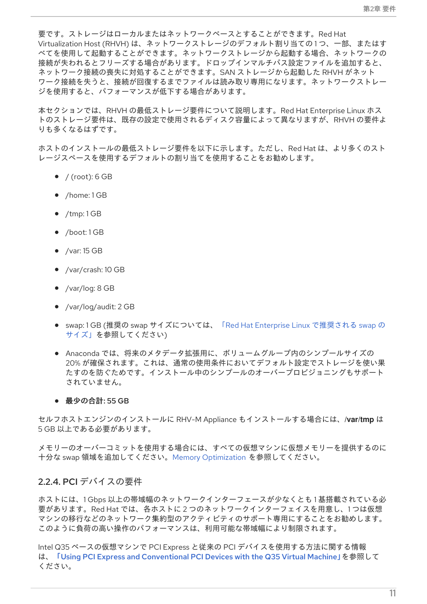要です。ストレージはローカルまたはネットワークベースとすることができます。Red Hat Virtualization Host (RHVH) は、ネットワークストレージのデフォルト割り当ての1つ、一部、またはす べてを使用して起動することができます。ネットワークストレージから起動する場合、ネットワークの 接続が失われるとフリーズする場合があります。ドロップインマルチパス設定ファイルを追加すると、 ネットワーク接続の喪失に対処することができます。SAN ストレージから起動した RHVH がネット ワーク接続を失うと、接続が回復するまでファイルは読み取り専用になります。ネットワークストレー ジを使用すると、パフォーマンスが低下する場合があります。

本セクションでは、RHVH の最低ストレージ要件について説明します。Red Hat Enterprise Linux ホス トのストレージ要件は、既存の設定で使用されるディスク容量によって異なりますが、RHVH の要件よ りも多くなるはずです。

ホストのインストールの最低ストレージ要件を以下に示します。ただし、Red Hat は、より多くのスト レージスペースを使用するデフォルトの割り当てを使用することをお勧めします。

- $\bullet$  / (root): 6 GB
- /home: 1 GB
- $\bullet$  /tmp: 1 GB
- /boot: 1 GB
- $\bullet$  /var: 15 GB
- /var/crash: 10 GB
- /var/log: 8 GB
- /var/log/audit: 2 GB
- swap: 1 GB (推奨の swap サイズについては、「Red Hat Enterprise Linux で推奨される swap の [サイズ」を参照してください](https://access.redhat.com/ja/solutions/108483))
- Anaconda では、将来のメタデータ拡張用に、ボリュームグループ内のシンプールサイズの 20% が確保されます。これは、通常の使用条件においてデフォルト設定でストレージを使い果 たすのを防ぐためです。インストール中のシンプールのオーバープロビジョニングもサポート されていません。

#### **● 最少の合計: 55 GB**

セルフホストエンジンのインストールに RHV-M Appliance もインストールする場合には、**/var/tmp** は 5 GB 以上である必要があります。

メモリーのオーバーコミットを使用する場合には、すべての仮想マシンに仮想メモリーを提供するのに 十分な swap 領域を追加してください。Memory [Optimization](https://access.redhat.com/documentation/ja-jp/red_hat_virtualization/4.3/html/administration_guide/sect-cluster_tasks#Memory_Optimization) を参照してください。

#### <span id="page-14-0"></span>2.2.4. PCI デバイスの要件

ホストには、1 Gbps 以上の帯域幅のネットワークインターフェースが少なくとも 1 基搭載されている必 要があります。Red Hat では、各ホストに 2 つのネットワークインターフェイスを用意し、1 つは仮想 マシンの移行などのネットワーク集約型のアクティビティのサポート専用にすることをお勧めします。 このように負荷の高い操作のパフォーマンスは、利用可能な帯域幅により制限されます。

Intel Q35 ベースの仮想マシンで PCI Express と従来の PCI デバイスを使用する方法に関する情報 は、「Using PCI Express and [Conventional](https://access.redhat.com/articles/3201152) PCI Devices with the Q35 Virtual Machine」を参照して ください。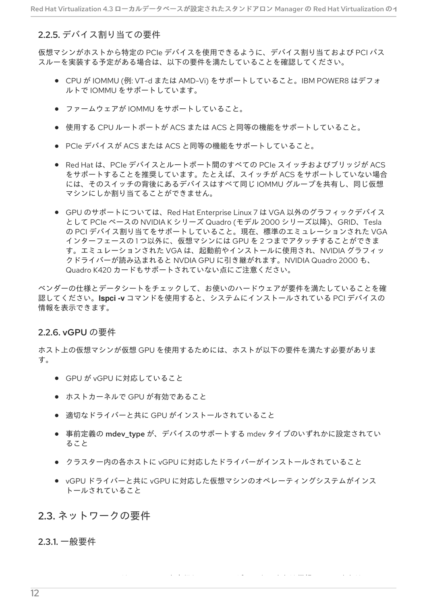#### <span id="page-15-0"></span>2.2.5. デバイス割り当ての要件

仮想マシンがホストから特定の PCIe デバイスを使用できるように、デバイス割り当ておよび PCI パス スルーを実装する予定がある場合は、以下の要件を満たしていることを確認してください。

- CPU が IOMMU (例: VT-d または AMD-Vi) をサポートしていること。IBM POWER8 はデフォ ルトで IOMMU をサポートしています。
- ファームウェアが IOMMU をサポートしていること。
- 使用する CPU ルートポートが ACS または ACS と同等の機能をサポートしていること。
- PCIe デバイスが ACS または ACS と同等の機能をサポートしていること。
- Red Hat は、PCIe デバイスとルートポート間のすべての PCIe スイッチおよびブリッジが ACS をサポートすることを推奨しています。たとえば、スイッチが ACS をサポートしていない場合 には、そのスイッチの背後にあるデバイスはすべて同じ IOMMU グループを共有し、同じ仮想 マシンにしか割り当てることができません。
- GPU のサポートについては、Red Hat Enterprise Linux 7 は VGA 以外のグラフィックデバイス として PCIe ベースの NVIDIA K シリーズ Quadro (モデル 2000 シリーズ以降)、GRID、Tesla の PCI デバイス割り当てをサポートしていること。現在、標準のエミュレーションされた VGA インターフェースの1つ以外に、仮想マシンには GPU を2つまでアタッチすることができま す。エミュレーションされた VGA は、起動前やインストールに使用され、NVIDIA グラフィッ クドライバーが読み込まれると NVDIA GPU に引き継がれます。NVIDIA Quadro 2000 も、 Quadro K420 カードもサポートされていない点にご注意ください。

ベンダーの仕様とデータシートをチェックして、お使いのハードウェアが要件を満たしていることを確 認してください。**lspci -v** コマンドを使用すると、システムにインストールされている PCI デバイスの 情報を表示できます。

#### <span id="page-15-1"></span>2.2.6. vGPU の要件

ホスト上の仮想マシンが仮想 GPU を使用するためには、ホストが以下の要件を満たす必要がありま す。

- GPU が vGPU に対応していること
- ホストカーネルで GPU が有効であること
- 適切なドライバーと共に GPU がインストールされていること
- 事前定義の mdev\_type が、デバイスのサポートする mdev タイプのいずれかに設定されてい ること
- クラスター内の各ホストに vGPU に対応したドライバーがインストールされていること

Red Hat Virtualization では、Manager を実行しているコンピューターまたは仮想マシン (または

vGPU ドライバーと共に vGPU に対応した仮想マシンのオペレーティングシステムがインス トールされていること

<span id="page-15-2"></span>2.3. ネットワークの要件

#### <span id="page-15-3"></span>2.3.1. 一般要件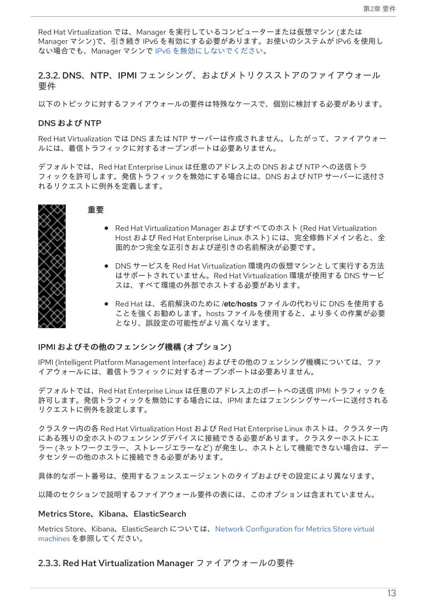Red Hat Virtualization では、Manager を実行しているコンピューターまたは仮想マシン (または Manager マシン)で、引き続き IPv6 を有効にする必要があります。お使いのシステムが IPv6 を使用し ない場合でも、Manager マシンで IPv6 [を無効にしないでください](https://access.redhat.com/solutions/8709)。

<span id="page-16-0"></span>2.3.2. DNS、NTP、IPMI フェンシング、およびメトリクスストアのファイアウォール 要件

以下のトピックに対するファイアウォールの要件は特殊なケースで、個別に検討する必要があります。

#### DNS および NTP

Red Hat Virtualization では DNS または NTP サーバーは作成されません。したがって、ファイアウォー ルには、着信トラフィックに対するオープンポートは必要ありません。

デフォルトでは、Red Hat Enterprise Linux は任意のアドレス上の DNS および NTP への送信トラ フィックを許可します。発信トラフィックを無効にする場合には、DNS および NTP サーバーに送付さ れるリクエストに例外を定義します。



#### 重要

- Red Hat Virtualization Manager およびすべてのホスト (Red Hat Virtualization Host および Red Hat Enterprise Linux ホスト) には、完全修飾ドメイン名と、全 面的かつ完全な正引きおよび逆引きの名前解決が必要です。
- DNS サービスを Red Hat Virtualization 環境内の仮想マシンとして実行する方法 はサポートされていません。Red Hat Virtualization 環境が使用する DNS サービ スは、すべて環境の外部でホストする必要があります。
- Red Hat は、名前解決のために /**etc/hosts** ファイルの代わりに DNS を使用する ことを強くお勧めします。hosts ファイルを使用すると、より多くの作業が必要 となり、誤設定の可能性がより高くなります。

#### IPMI およびその他のフェンシング機構 (オプション)

IPMI (Intelligent Platform Management Interface) およびその他のフェンシング機構については、ファ イアウォールには、着信トラフィックに対するオープンポートは必要ありません。

デフォルトでは、Red Hat Enterprise Linux は任意のアドレス上のポートへの送信 IPMI トラフィックを 許可します。発信トラフィックを無効にする場合には、IPMI またはフェンシングサーバーに送付される リクエストに例外を設定します。

クラスター内の各 Red Hat Virtualization Host および Red Hat Enterprise Linux ホストは、クラスター内 にある残りの全ホストのフェンシングデバイスに接続できる必要があります。クラスターホストにエ ラー (ネットワークエラー、ストレージエラーなど) が発生し、ホストとして機能できない場合は、デー タセンターの他のホストに接続できる必要があります。

具体的なポート番号は、使用するフェンスエージェントのタイプおよびその設定により異なります。

以降のセクションで説明するファイアウォール要件の表には、このオプションは含まれていません。

#### Metrics Store、Kibana、ElasticSearch

Metrics Store、Kibana、ElasticSearch については、Network Configuration for Metrics Store virtual machines [を参照してください。](https://access.redhat.com/documentation/ja-jp/red_hat_virtualization/4.3/html-single/metrics_store_installation_guide/index.html#Network_configuration_for_metrics_store_virtual_machines)

#### <span id="page-16-1"></span>2.3.3. Red Hat Virtualization Manager ファイアウォールの要件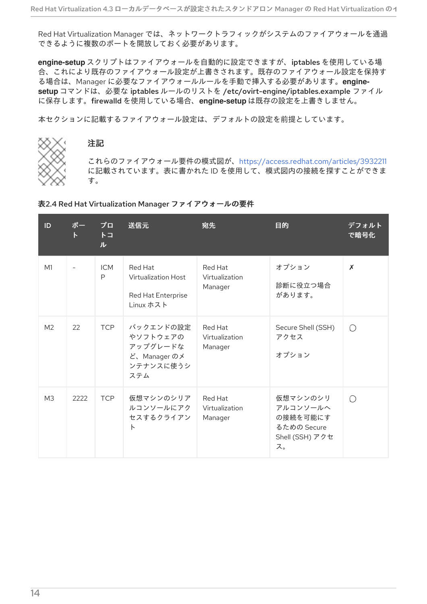Red Hat Virtualization Manager では、ネットワークトラフィックがシステムのファイアウォールを通過 できるように複数のポートを開放しておく必要があります。

**engine-setup** スクリプトはファイアウォールを自動的に設定できますが、iptables を使用している場 合、これにより既存のファイアウォール設定が上書きされます。既存のファイアウォール設定を保持す る場合は、Manager に必要なファイアウォールルールを手動で挿入する必要があります。**enginesetup** コマンドは、必要な iptables ルールのリストを /etc/ovirt-engine/iptables.example ファイル に保存します。firewalld を使用している場合、**engine-setup** は既存の設定を上書きしません。

本セクションに記載するファイアウォール設定は、デフォルトの設定を前提としています。



#### 注記

これらのファイアウォール要件の模式図が、<https://access.redhat.com/articles/3932211> に記載されています。表に書かれた ID を使用して、模式図内の接続を探すことができま す。

| ID             | ポー<br>$\mathsf{F}$ | プロ<br>$\vdash$<br>ル | 送信元                                                                  | 宛先                                   | 目的                                                                       | デフォルト<br>で暗号化 |
|----------------|--------------------|---------------------|----------------------------------------------------------------------|--------------------------------------|--------------------------------------------------------------------------|---------------|
| M1             |                    | <b>ICM</b><br>P     | Red Hat<br>Virtualization Host<br>Red Hat Enterprise<br>Linux ホスト    | Red Hat<br>Virtualization<br>Manager | オプション<br>診断に役立つ場合<br>があります。                                              | X             |
| M <sub>2</sub> | 22                 | <b>TCP</b>          | バックエンドの設定<br>やソフトウェアの<br>アップグレードな<br>ど、Managerのメ<br>ンテナンスに使うシ<br>ステム | Red Hat<br>Virtualization<br>Manager | Secure Shell (SSH)<br>アクセス<br>オプション                                      |               |
| M <sub>3</sub> | 2222               | <b>TCP</b>          | 仮想マシンのシリア<br>ルコンソールにアク<br>セスするクライアン<br>$\vdash$                      | Red Hat<br>Virtualization<br>Manager | 仮想マシンのシリ<br>アルコンソールへ<br>の接続を可能にす<br>るための Secure<br>Shell (SSH) アクセ<br>ス。 |               |

#### 表2.4 Red Hat Virtualization Manager ファイアウォールの要件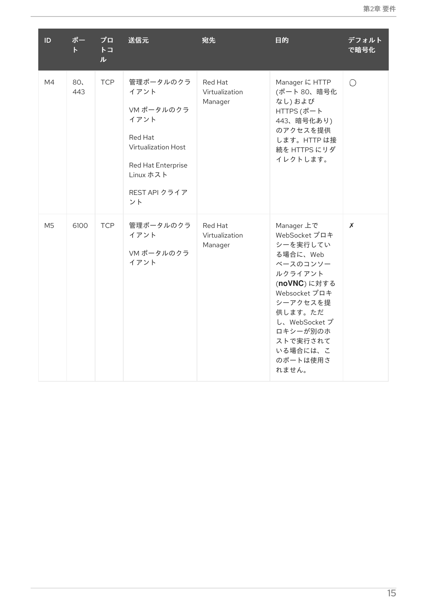| ID | ポー<br>$\mathsf{F}$ | プロ<br>$\vdash$<br>ル | 送信元                                                                                                                                        | 宛先                                   | 目的                                                                                                                                                                                                          | デフォルト<br>で暗号化 |
|----|--------------------|---------------------|--------------------------------------------------------------------------------------------------------------------------------------------|--------------------------------------|-------------------------------------------------------------------------------------------------------------------------------------------------------------------------------------------------------------|---------------|
| M4 | 80,<br>443         | <b>TCP</b>          | 管理ポータルのクラ<br>イアント<br>VM ポータルのクラ<br>イアント<br>Red Hat<br><b>Virtualization Host</b><br>Red Hat Enterprise<br>Linux ホスト<br>REST API クライア<br>ント | Red Hat<br>Virtualization<br>Manager | Manager に HTTP<br>(ポート80、暗号化<br>なし)および<br>HTTPS (ポート<br>443、暗号化あり)<br>のアクセスを提供<br>します。HTTP は接<br>続を HTTPS にリダ<br>イレクトします。                                                                                   | $\bigcirc$    |
| M5 | 6100               | <b>TCP</b>          | 管理ポータルのクラ<br>イアント<br>VM ポータルのクラ<br>イアント                                                                                                    | Red Hat<br>Virtualization<br>Manager | Manager 上で<br>WebSocket プロキ<br>シーを実行してい<br>る場合に、Web<br>ベースのコンソー<br>ルクライアント<br>(noVNC)に対する<br>Websocket プロキ<br>シーアクセスを提<br>供します。ただ<br>し、WebSocket プ<br>ロキシーが別のホ<br>ストで実行されて<br>いる場合には、こ<br>のポートは使用さ<br>れません。 | X             |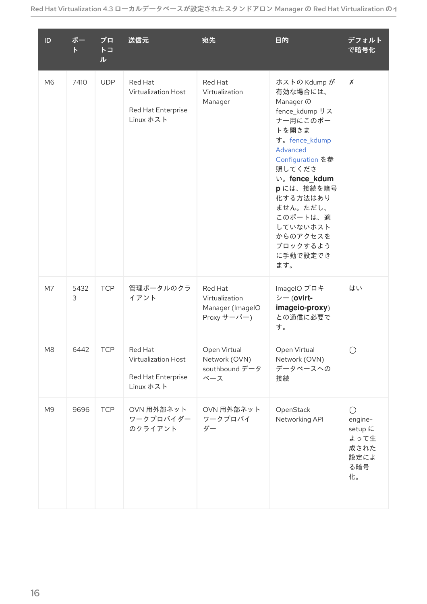| ID | ポー<br>$\mathsf{P}$ | プロ<br>$\vdash$<br>ル | 送信元                                                               | 宛先                                                           | 目的                                                                                                                                                                                                                                                              | デフォルト<br>で暗号化                                                                    |
|----|--------------------|---------------------|-------------------------------------------------------------------|--------------------------------------------------------------|-----------------------------------------------------------------------------------------------------------------------------------------------------------------------------------------------------------------------------------------------------------------|----------------------------------------------------------------------------------|
| M6 | 7410               | <b>UDP</b>          | Red Hat<br>Virtualization Host<br>Red Hat Enterprise<br>Linux ホスト | Red Hat<br>Virtualization<br>Manager                         | ホストの Kdump が<br>有効な場合には、<br>Manager の<br>fence_kdump リス<br>ナー用にこのポー<br>トを開きま<br>す。fence_kdump<br>Advanced<br>Configuration を参<br>照してくださ<br>い。fence kdum<br>pには、接続を暗号<br>化する方法はあり<br>ません。ただし、<br>このポートは、適<br>していないホスト<br>からのアクセスを<br>ブロックするよう<br>に手動で設定でき<br>ます。 | X                                                                                |
| M7 | 5432<br>3          | <b>TCP</b>          | 管理ポータルのクラ<br>イアント                                                 | Red Hat<br>Virtualization<br>Manager (ImageIO<br>Proxy サーバー) | ImageIO プロキ<br>シー (ovirt-<br>imageio-proxy)<br>との通信に必要で<br>す。                                                                                                                                                                                                   | はい                                                                               |
| M8 | 6442               | <b>TCP</b>          | Red Hat<br>Virtualization Host<br>Red Hat Enterprise<br>Linux ホスト | Open Virtual<br>Network (OVN)<br>southbound データ<br>ベース       | Open Virtual<br>Network (OVN)<br>データベースへの<br>接続                                                                                                                                                                                                                 | O                                                                                |
| M9 | 9696               | <b>TCP</b>          | OVN 用外部ネット<br>ワークプロバイダー<br>のクライアント                                | OVN 用外部ネット<br>ワークプロバイ<br>ダー                                  | OpenStack<br>Networking API                                                                                                                                                                                                                                     | $\bigcirc$<br>engine-<br>setup <sub>k</sub><br>よって生<br>成された<br>設定によ<br>る暗号<br>化。 |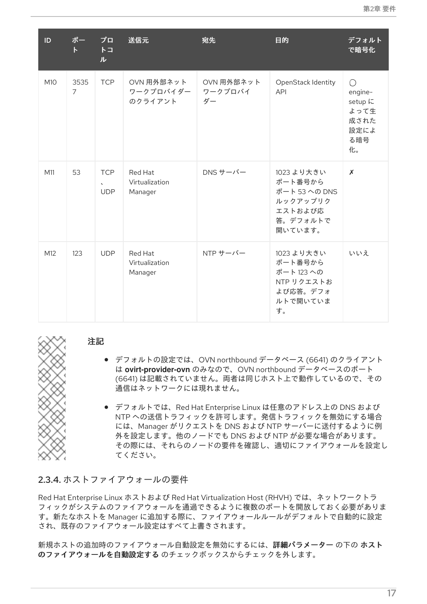| ID  | ポー<br>$\mathsf{R}$     | プロ<br>$F \Box$<br>ル                    | 送信元                                        | 宛先               | 目的                                                                                   | デフォルト<br>で暗号化                                                        |
|-----|------------------------|----------------------------------------|--------------------------------------------|------------------|--------------------------------------------------------------------------------------|----------------------------------------------------------------------|
| M10 | 3535<br>$\overline{7}$ | <b>TCP</b>                             | OVN 用外部ネット<br>ワークプロバイダー フークプロバイ<br>のクライアント | OVN 用外部ネット<br>ダー | OpenStack Identity<br><b>API</b>                                                     | $\bigcap$<br>engine-<br>setup に<br>よって生<br>成された<br>設定によ<br>る暗号<br>化。 |
| M11 | 53                     | <b>TCP</b><br>$\sqrt{2}$<br><b>UDP</b> | Red Hat<br>Virtualization<br>Manager       | DNS サーバー         | 1023 より大きい<br>ポート番号から<br>ポート 53 への DNS<br>ルックアップリク<br>エストおよび応<br>答。デフォルトで<br>開いています。 | X                                                                    |
| M12 | 123                    | <b>UDP</b>                             | Red Hat<br>Virtualization<br>Manager       | NTP サーバー         | 1023 より大きい<br>ポート番号から<br>ポート 123 への<br>NTP リクエストお<br>よび応答。デフォ<br>ルトで開いていま<br>す。      | いいえ                                                                  |

#### 注記

- デフォルトの設定では、OVN northbound データベース (6641) のクライアント は **ovirt-provider-ovn** のみなので、OVN northbound データベースのポート (6641) は記載されていません。両者は同じホスト上で動作しているので、その 通信はネットワークには現れません。
- デフォルトでは、Red Hat Enterprise Linux は任意のアドレス上の DNS および NTP への送信トラフィックを許可します。発信トラフィックを無効にする場合 には、Manager がリクエストを DNS および NTP サーバーに送付するように例 外を設定します。他のノードでも DNS および NTP が必要な場合があります。 その際には、それらのノードの要件を確認し、適切にファイアウォールを設定し てください。

#### <span id="page-20-0"></span>2.3.4. ホストファイアウォールの要件

Red Hat Enterprise Linux ホストおよび Red Hat Virtualization Host (RHVH) では、ネットワークトラ フィックがシステムのファイアウォールを通過できるように複数のポートを開放しておく必要がありま す。新たなホストを Manager に追加する際に、ファイアウォールルールがデフォルトで自動的に設定 され、既存のファイアウォール設定はすべて上書きされます。

新規ホストの追加時のファイアウォール自動設定を無効にするには、詳細パラメーター の下の ホスト のファイアウォールを自動設定する のチェックボックスからチェックを外します。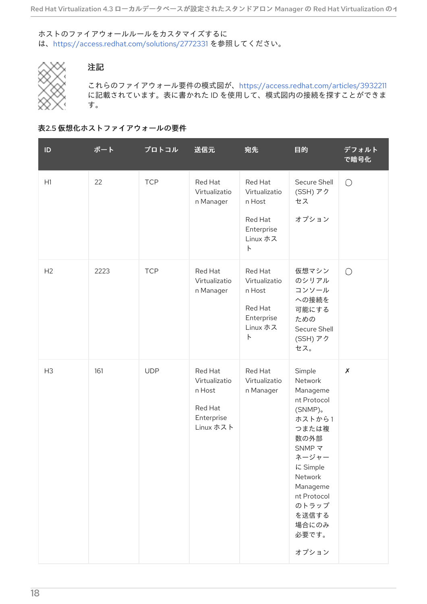ホストのファイアウォールルールをカスタマイズするに は、<https://access.redhat.com/solutions/2772331> を参照してください。



# 注記

これらのファイアウォール要件の模式図が、<https://access.redhat.com/articles/3932211> に記載されています。表に書かれた ID を使用して、模式図内の接続を探すことができま す。

#### 表2.5 仮想化ホストファイアウォールの要件

| ID             | ポート  | プロトコル      | 送信元                                                                      | 宛先                                                                                                | 目的                                                                                                                                                                                                   | デフォルト<br>で暗号化  |
|----------------|------|------------|--------------------------------------------------------------------------|---------------------------------------------------------------------------------------------------|------------------------------------------------------------------------------------------------------------------------------------------------------------------------------------------------------|----------------|
| H1             | 22   | <b>TCP</b> | Red Hat<br>Virtualizatio<br>n Manager                                    | Red Hat<br>Virtualizatio<br>n Host<br>Red Hat<br>Enterprise<br>Linux ホス<br>$\mathord{\mathsf{F}}$ | Secure Shell<br>(SSH) アク<br>セス<br>オプション                                                                                                                                                              | $\bigcirc$     |
| H2             | 2223 | <b>TCP</b> | Red Hat<br>Virtualizatio<br>n Manager                                    | Red Hat<br>Virtualizatio<br>n Host<br>Red Hat<br>Enterprise<br>Linux ホス<br>$\mathord{\mathsf{F}}$ | 仮想マシン<br>のシリアル<br>コンソール<br>への接続を<br>可能にする<br>ための<br>Secure Shell<br>(SSH) アク<br>セス。                                                                                                                  | $\bigcirc$     |
| H <sub>3</sub> | 161  | <b>UDP</b> | Red Hat<br>Virtualizatio<br>n Host<br>Red Hat<br>Enterprise<br>Linux ホスト | Red Hat<br>Virtualizatio<br>n Manager                                                             | Simple<br>Network<br>Manageme<br>nt Protocol<br>(SNMP)。<br>ホストから1<br>つまたは複<br>数の外部<br>SNMP マ<br>ネージャー<br>に Simple<br>Network<br>Manageme<br>nt Protocol<br>のトラップ<br>を送信する<br>場合にのみ<br>必要です。<br>オプション | $\pmb{\times}$ |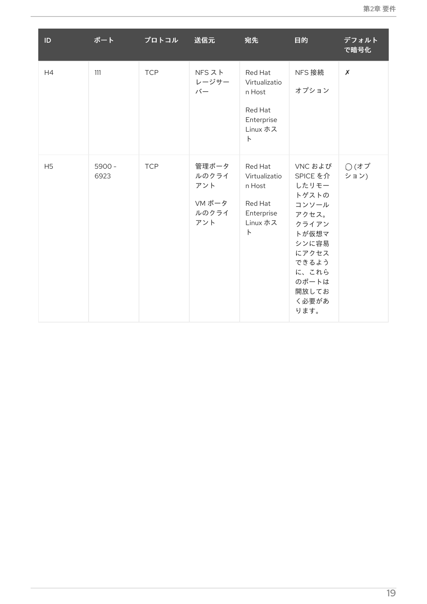| ID             | ポート              | プロトコル      | 送信元                                             | 宛先                                                                                  | 目的                                                                                                                                               | デフォルト<br>で暗号化  |
|----------------|------------------|------------|-------------------------------------------------|-------------------------------------------------------------------------------------|--------------------------------------------------------------------------------------------------------------------------------------------------|----------------|
| H4             | 111              | <b>TCP</b> | NFS スト<br>レージサー<br>バー                           | Red Hat<br>Virtualizatio<br>n Host<br>Red Hat<br>Enterprise<br>Linux ホス<br>$\vdash$ | NFS 接続<br>オプション                                                                                                                                  | $\pmb{\times}$ |
| H <sub>5</sub> | $5900 -$<br>6923 | <b>TCP</b> | 管理ポータ<br>ルのクライ<br>アント<br>VM ポータ<br>ルのクライ<br>アント | Red Hat<br>Virtualizatio<br>n Host<br>Red Hat<br>Enterprise<br>Linux ホス<br>$\vdash$ | VNC および<br>SPICE を介<br>したリモー<br>トゲストの<br>コンソール<br>アクセス。<br>クライアン<br>トが仮想マ<br>シンに容易<br>にアクセス<br>できるよう<br>に、これら<br>のポートは<br>開放してお<br>く必要があ<br>ります。 | ◯ (オプ<br>ション)  |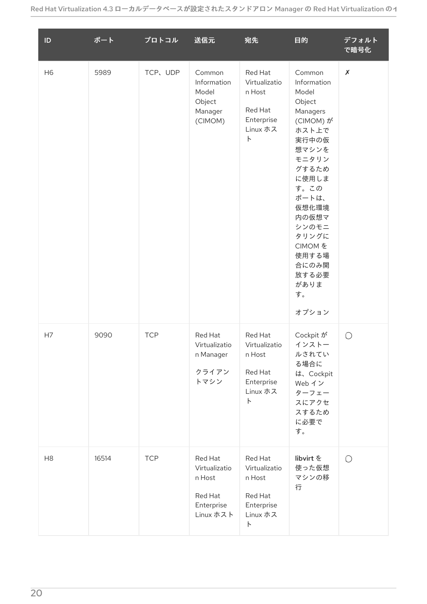| ID             | ポート   | プロトコル      | 送信元                                                                      | 宛先                                                                                                              | 目的                                                                                                                                                                                                                                       | デフォルト<br>で暗号化      |
|----------------|-------|------------|--------------------------------------------------------------------------|-----------------------------------------------------------------------------------------------------------------|------------------------------------------------------------------------------------------------------------------------------------------------------------------------------------------------------------------------------------------|--------------------|
| H <sub>6</sub> | 5989  | TCP, UDP   | Common<br>Information<br>Model<br>Object<br>Manager<br>(CIMOM)           | Red Hat<br>Virtualizatio<br>n Host<br>Red Hat<br>Enterprise<br>Linux ホス<br>$\ensuremath{\mathop{\hbox{\sf L}}}$ | Common<br>Information<br>Model<br>Object<br>Managers<br>(CIMOM)が<br>ホスト上で<br>実行中の仮<br>想マシンを<br>モニタリン<br>グするため<br>に使用しま<br>す。この<br>ポートは、<br>仮想化環境<br>内の仮想マ<br>シンのモニ<br>タリングに<br>CIMOM を<br>使用する場<br>合にのみ開<br>放する必要<br>がありま<br>す。<br>オプション | $\pmb{\mathsf{X}}$ |
| H7             | 9090  | <b>TCP</b> | Red Hat<br>Virtualizatio<br>n Manager<br>クライアン<br>トマシン                   | Red Hat<br>Virtualizatio<br>n Host<br>Red Hat<br>Enterprise<br>Linux ホス<br>$\ensuremath{\mathop{\hbox{\sf L}}}$ | Cockpit が<br>インストー<br>ルされてい<br>る場合に<br>は、Cockpit<br>Web イン<br>ターフェー<br>スにアクセ<br>スするため<br>に必要で<br>す。                                                                                                                                      | $\bigcirc$         |
| H <sub>8</sub> | 16514 | <b>TCP</b> | Red Hat<br>Virtualizatio<br>n Host<br>Red Hat<br>Enterprise<br>Linux ホスト | Red Hat<br>Virtualizatio<br>n Host<br>Red Hat<br>Enterprise<br>Linux ホス<br>$\vdash$                             | libvirt を<br>使った仮想<br>マシンの移<br>行                                                                                                                                                                                                         | $\bigcirc$         |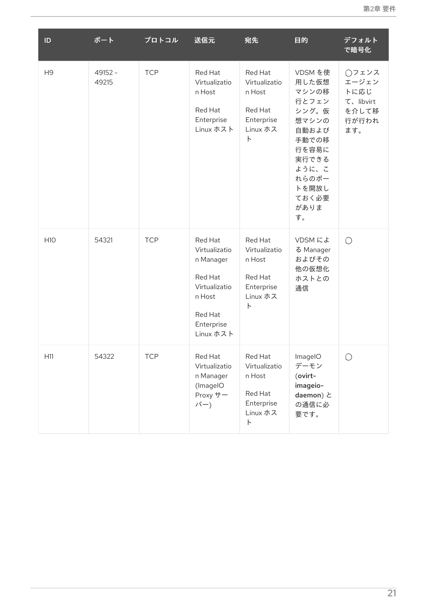| ID             | ポート              | プロトコル      | 送信元                                                                                                               | 宛先                                                                                      | 目的                                                                                                                                         | デフォルト<br>で暗号化                                                |
|----------------|------------------|------------|-------------------------------------------------------------------------------------------------------------------|-----------------------------------------------------------------------------------------|--------------------------------------------------------------------------------------------------------------------------------------------|--------------------------------------------------------------|
| H <sub>9</sub> | 49152 -<br>49215 | <b>TCP</b> | Red Hat<br>Virtualizatio<br>n Host<br>Red Hat<br>Enterprise<br>Linux ホスト                                          | Red Hat<br>Virtualizatio<br>n Host<br>Red Hat<br>Enterprise<br>Linux ホス<br>$\vdash$     | VDSM を使<br>用した仮想<br>マシンの移<br>行とフェン<br>シング。仮<br>想マシンの<br>自動および<br>手動での移<br>行を容易に<br>実行できる<br>ように、こ<br>れらのポー<br>トを開放し<br>ておく必要<br>がありま<br>す。 | ○フェンス<br>エージェン<br>トに応じ<br>て、libvirt<br>を介して移<br>行が行われ<br>ます。 |
| H10            | 54321            | <b>TCP</b> | Red Hat<br>Virtualizatio<br>n Manager<br>Red Hat<br>Virtualizatio<br>n Host<br>Red Hat<br>Enterprise<br>Linux ホスト | Red Hat<br>Virtualizatio<br>n Host<br>Red Hat<br>Enterprise<br>Linux ホス<br>$\mathsf{h}$ | VDSMによ<br>る Manager<br>およびその<br>他の仮想化<br>ホストとの<br>通信                                                                                       | $\bigcirc$                                                   |
| H11            | 54322            | <b>TCP</b> | Red Hat<br>Virtualizatio<br>n Manager<br>(ImageIO<br>Proxy サー<br>バー)                                              | Red Hat<br>Virtualizatio<br>n Host<br>Red Hat<br>Enterprise<br>Linux ホス<br>$\vdash$     | ImageIO<br>デーモン<br>(ovirt-<br>imageio-<br>daemon) と<br>の通信に必<br>要です。                                                                       | $\bigcirc$                                                   |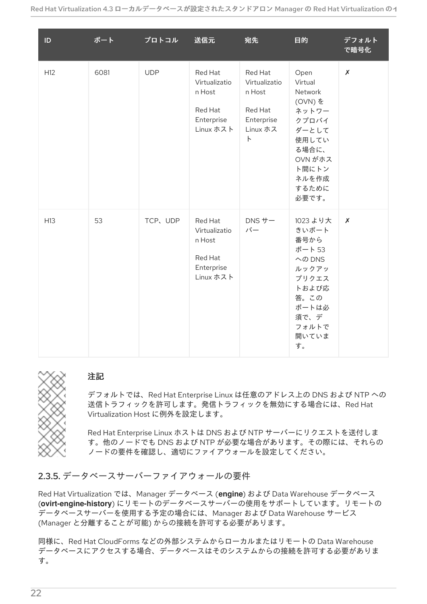| $\sf ID$ | ポート  | プロトコル      | 送信元                                                                      | 宛先                                                                                                   | 目的                                                                                                                               | デフォルト<br>で暗号化             |
|----------|------|------------|--------------------------------------------------------------------------|------------------------------------------------------------------------------------------------------|----------------------------------------------------------------------------------------------------------------------------------|---------------------------|
| H12      | 6081 | <b>UDP</b> | Red Hat<br>Virtualizatio<br>n Host<br>Red Hat<br>Enterprise<br>Linux ホスト | Red Hat<br>Virtualizatio<br>n Host<br>Red Hat<br>Enterprise<br>Linux ホス<br>$\boldsymbol{\mathsf{h}}$ | Open<br>Virtual<br>Network<br>(OVN)を<br>ネットワー<br>クプロバイ<br>ダーとして<br>使用してい<br>る場合に、<br>OVN がホス<br>ト間にトン<br>ネルを作成<br>するために<br>必要です。 | $\pmb{\mathsf{X}}$        |
| H13      | 53   | TCP, UDP   | Red Hat<br>Virtualizatio<br>n Host<br>Red Hat<br>Enterprise<br>Linux ホスト | DNS サー<br>バー                                                                                         | 1023 より大<br>きいポート<br>番号から<br>ポート 53<br>$\sim$ のDNS<br>ルックアッ<br>プリクエス<br>トおよび応<br>答。この<br>ポートは必<br>須で、デ<br>フォルトで<br>開いていま<br>す。   | $\boldsymbol{\mathsf{x}}$ |



### 注記

デフォルトでは、Red Hat Enterprise Linux は任意のアドレス上の DNS および NTP への 送信トラフィックを許可します。発信トラフィックを無効にする場合には、Red Hat Virtualization Host に例外を設定します。

Red Hat Enterprise Linux ホストは DNS および NTP サーバーにリクエストを送付しま す。他のノードでも DNS および NTP が必要な場合があります。その際には、それらの ノードの要件を確認し、適切にファイアウォールを設定してください。

<span id="page-25-0"></span>2.3.5. データベースサーバーファイアウォールの要件

Red Hat Virtualization では、Manager データベース (**engine**) および Data Warehouse データベース (**ovirt-engine-history**) にリモートのデータベースサーバーの使用をサポートしています。リモートの データベースサーバーを使用する予定の場合には、Manager および Data Warehouse サービス (Manager と分離することが可能) からの接続を許可する必要があります。

同様に、Red Hat CloudForms などの外部システムからローカルまたはリモートの Data Warehouse データベースにアクセスする場合、データベースはそのシステムからの接続を許可する必要がありま す。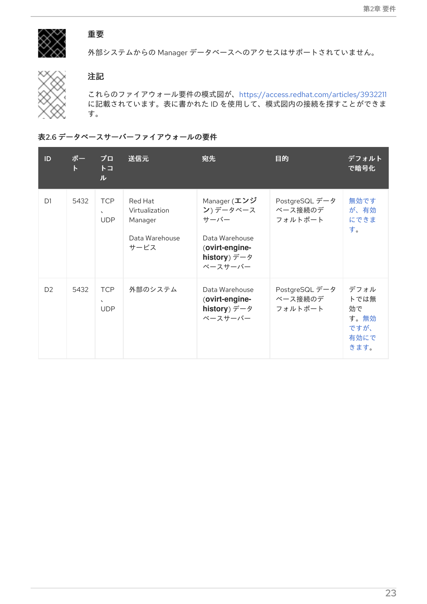

# 重要

外部システムからの Manager データベースへのアクセスはサポートされていません。



### 注記

これらのファイアウォール要件の模式図が、<https://access.redhat.com/articles/3932211> に記載されています。表に書かれた ID を使用して、模式図内の接続を探すことができま す。

#### 表2.6 データベースサーバーファイアウォールの要件

| ID             | ポー<br>$\mathsf{R}$ | プロ<br>$\vdash$<br>ル                                   | 送信元                                                            | 宛先                                                                                              | 目的                                   | デフォルト<br>で暗号化                                      |
|----------------|--------------------|-------------------------------------------------------|----------------------------------------------------------------|-------------------------------------------------------------------------------------------------|--------------------------------------|----------------------------------------------------|
| D <sub>1</sub> | 5432               | <b>TCP</b><br>$\sqrt{2}$<br><b>UDP</b>                | Red Hat<br>Virtualization<br>Manager<br>Data Warehouse<br>サービス | Manager (エンジ<br>ン)データベース<br>サーバー<br>Data Warehouse<br>(ovirt-engine-<br>history) データ<br>ベースサーバー | PostgreSQL データ<br>ベース接続のデ<br>フォルトポート | 無効です<br>が、有効<br>にできま<br>す。                         |
| D <sub>2</sub> | 5432               | <b>TCP</b><br>$\boldsymbol{\mathsf{v}}$<br><b>UDP</b> | 外部のシステム                                                        | Data Warehouse<br>(ovirt-engine-<br>history) $\vec{r} - \hat{p}$<br>ベースサーバー                     | PostgreSQL データ<br>ベース接続のデ<br>フォルトポート | デフォル<br>トでは無<br>効で<br>す。無効<br>ですが、<br>有効にで<br>きます。 |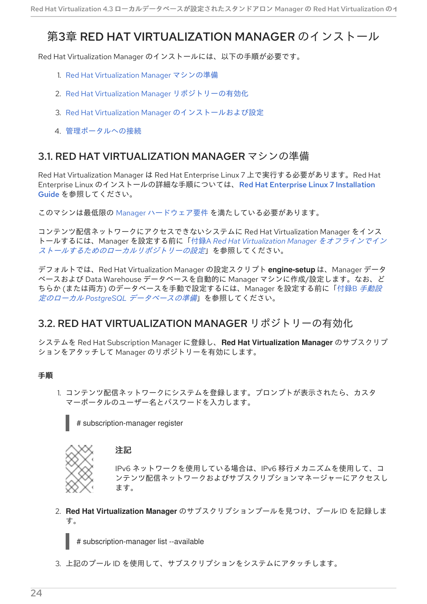# <span id="page-27-0"></span>第3章 RED HAT VIRTUALIZATION MANAGER のインストール

Red Hat Virtualization Manager のインストールには、以下の手順が必要です。

- 1. Red Hat Virtualization Manager [マシンの準備](#page-27-1)
- 2. Red Hat Virtualization Manager [リポジトリーの有効化](#page-27-2)
- 3. Red Hat Virtualization Manager [のインストールおよび設定](#page-30-1)
- 4. [管理ポータルへの接続](#page-33-0)

# <span id="page-27-1"></span>3.1. RED HAT VIRTUALIZATION MANAGER マシンの準備

Red Hat Virtualization Manager は Red Hat Enterprise Linux 7 上で実行する必要があります。Red Hat Enterprise Linux [のインストールの詳細な手順については、](https://access.redhat.com/documentation/ja-jp/red_hat_enterprise_linux/7/html/Installation_Guide/index.html)Red Hat Enterprise Linux 7 Installation Guide を参照してください。

このマシンは最低限の Manager [ハードウェア要件](#page-10-2) を満たしている必要があります。

コンテンツ配信ネットワークにアクセスできないシステムに Red Hat Virtualization Manager をインス トールするには、Manager を設定する前に「付録A *Red Hat Virtualization Manager* をオフラインでイン [ストールするためのローカルリポジトリーの設定](#page-63-1)」を参照してください。

デフォルトでは、Red Hat Virtualization Manager の設定スクリプト **engine-setup** は、Manager データ ベースおよび Data Warehouse データベースを自動的に Manager マシンに作成/設定します。なお、ど ちらか (または両方) [のデータベースを手動で設定するには、](#page-66-1)Manager を設定する前に「付録B *手動設* 定のローカル *PostgreSQL* データベースの準備」を参照してください。

# <span id="page-27-2"></span>3.2. RED HAT VIRTUALIZATION MANAGER リポジトリーの有効化

システムを Red Hat Subscription Manager に登録し、**Red Hat Virtualization Manager** のサブスクリプ ションをアタッチして Manager のリポジトリーを有効にします。

#### 手順

1. コンテンツ配信ネットワークにシステムを登録します。プロンプトが表示されたら、カスタ マーポータルのユーザー名とパスワードを入力します。

# subscription-manager register



注記

IPv6 ネットワークを使用している場合は、IPv6 移行メカニズムを使用して、コ ンテンツ配信ネットワークおよびサブスクリプションマネージャーにアクセスし ます。

2. **Red Hat Virtualization Manager** のサブスクリプションプールを見つけ、プール ID を記録しま す。

# subscription-manager list --available

3. 上記のプール ID を使用して、サブスクリプションをシステムにアタッチします。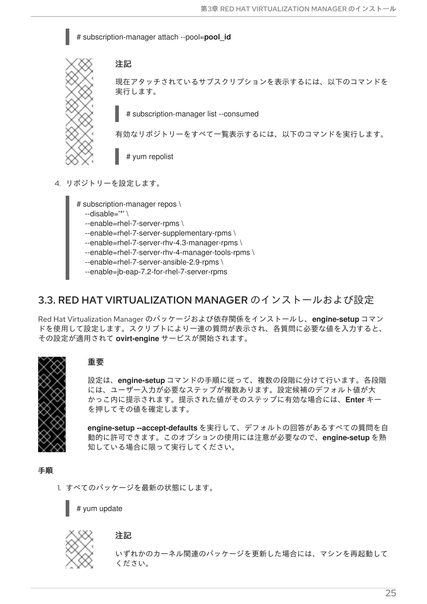# subscription-manager attach --pool=**pool\_id**



#### 注記

現在アタッチされているサブスクリプションを表示するには、以下のコマンドを 実行します。

# subscription-manager list --consumed

有効なリポジトリーをすべて一覧表示するには、以下のコマンドを実行します。

# yum repolist

4. リポジトリーを設定します。

# subscription-manager repos \ --disable='\*' \ --enable=rhel-7-server-rpms \ --enable=rhel-7-server-supplementary-rpms \ --enable=rhel-7-server-rhv-4.3-manager-rpms \ --enable=rhel-7-server-rhv-4-manager-tools-rpms \ --enable=rhel-7-server-ansible-2.9-rpms \ --enable=jb-eap-7.2-for-rhel-7-server-rpms

# <span id="page-28-0"></span>3.3. RED HAT VIRTUALIZATION MANAGER のインストールおよび設定

Red Hat Virtualization Manager のパッケージおよび依存関係をインストールし、**engine-setup** コマン ドを使用して設定します。スクリプトにより一連の質問が表示され、各質問に必要な値を入力すると、 その設定が適用されて **ovirt-engine** サービスが開始されます。



#### 重要

設定は、**engine-setup** コマンドの手順に従って、複数の段階に分けて行います。各段階 には、ユーザー入力が必要なステップが複数あります。設定候補のデフォルト値が大 かっこ内に提示されます。提示された値がそのステップに有効な場合には、**Enter** キー を押してその値を確定します。

**engine-setup --accept-defaults** を実行して、デフォルトの回答があるすべての質問を自 動的に許可できます。このオプションの使用には注意が必要なので、**engine-setup** を熟 知している場合に限って実行してください。

手順

1. すべてのパッケージを最新の状態にします。

# yum update



#### 注記

いずれかのカーネル関連のパッケージを更新した場合には、マシンを再起動して ください。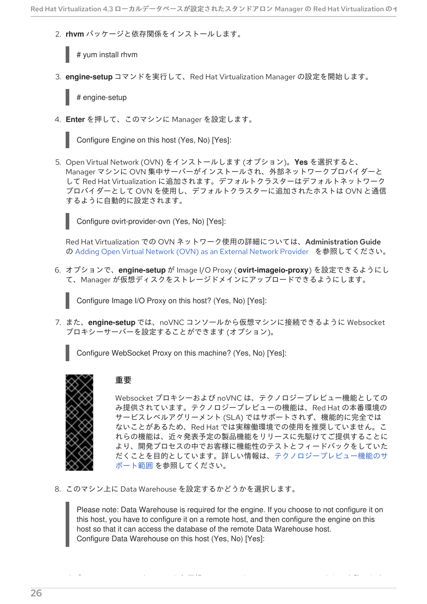2. **rhvm** パッケージと依存関係をインストールします。

# yum install rhvm

3. **engine-setup** コマンドを実行して、Red Hat Virtualization Manager の設定を開始します。

# engine-setup

4. **Enter** を押して、このマシンに Manager を設定します。

Configure Engine on this host (Yes, No) [Yes]:

5. Open Virtual Network (OVN) をインストールします (オプション)。**Yes** を選択すると、 Manager マシンに OVN 集中サーバーがインストールされ、外部ネットワークプロバイダーと して Red Hat Virtualization に追加されます。デフォルトクラスターはデフォルトネットワーク プロバイダーとして OVN を使用し、デフォルトクラスターに追加されたホストは OVN と通信 するように自動的に設定されます。

Configure ovirt-provider-ovn (Yes, No) [Yes]:

Red Hat Virtualization での OVN ネットワーク使用の詳細については、Administration Guide の Adding Open Virtual Network (OVN) as an External Network [Provider](https://access.redhat.com/documentation/ja-jp/red_hat_virtualization/4.3/html/administration_guide/sect-adding_external_providers#Adding_OVN_as_an_External_Network_Provider) を参照してください。

6. オプションで、**engine-setup** が Image I/O Proxy (**ovirt-imageio-proxy**) を設定できるようにし て、Manager が仮想ディスクをストレージドメインにアップロードできるようにします。

Configure Image I/O Proxy on this host? (Yes, No) [Yes]:

7. また、**engine-setup** では、noVNC コンソールから仮想マシンに接続できるように Websocket プロキシーサーバーを設定することができます (オプション)。

Configure WebSocket Proxy on this machine? (Yes, No) [Yes]:



#### 重要

Websocket プロキシーおよび noVNC は、テクノロジープレビュー機能としての み提供されています。テクノロジープレビューの機能は、Red Hat の本番環境の サービスレベルアグリーメント (SLA) ではサポートされず、機能的に完全では ないことがあるため、Red Hat では実稼働環境での使用を推奨していません。こ れらの機能は、近々発表予定の製品機能をリリースに先駆けてご提供することに より、開発プロセスの中でお客様に機能性のテストとフィードバックをしていた [だくことを目的としています。詳しい情報は、テクノロジープレビュー機能のサ](https://access.redhat.com/ja/support/offerings/techpreview) ポート範囲 を参照してください。

8. このマシン上に Data Warehouse を設定するかどうかを選択します。

Please note: Data Warehouse is required for the engine. If you choose to not configure it on this host, you have to configure it on a remote host, and then configure the engine on this host so that it can access the database of the remote Data Warehouse host. Configure Data Warehouse on this host (Yes, No) [Yes]:

9. オプションで、コマンドラインから仮想マシンのシリアルコンソールへのアクセスを許可しま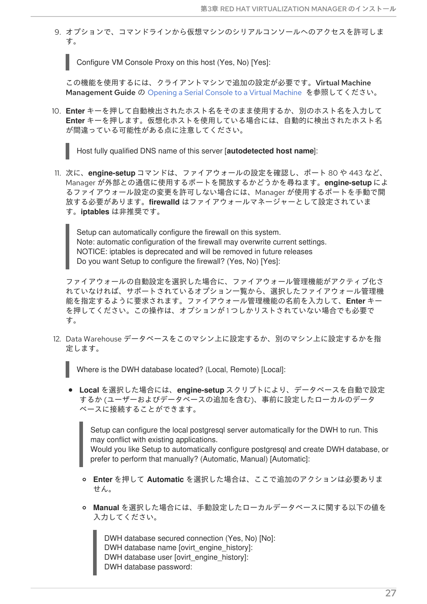<span id="page-30-1"></span><span id="page-30-0"></span>9. オプションで、コマンドラインから仮想マシンのシリアルコンソールへのアクセスを許可しま す。

Configure VM Console Proxy on this host (Yes, No) [Yes]:

この機能を使用するには、クライアントマシンで追加の設定が必要です。Virtual Machine Management Guide の [Opening](https://access.redhat.com/documentation/ja-jp/red_hat_virtualization/4.3/html-single/virtual_machine_management_guide/#Opening_a_Serial_Console_to_a_Virtual_Machine) a Serial Console to a Virtual Machine を参照してください。

10. **Enter** キーを押して自動検出されたホスト名をそのまま使用するか、別のホスト名を入力して **Enter** キーを押します。仮想化ホストを使用している場合には、自動的に検出されたホスト名 が間違っている可能性がある点に注意してください。

Host fully qualified DNS name of this server [**autodetected host name**]:

11. 次に、**engine-setup** コマンドは、ファイアウォールの設定を確認し、ポート 80 や 443 など、 Manager が外部との通信に使用するポートを開放するかどうかを尋ねます。**engine-setup** によ るファイアウォール設定の変更を許可しない場合には、Manager が使用するポートを手動で開 放する必要があります。**firewalld** はファイアウォールマネージャーとして設定されていま す。**iptables** は非推奨です。

Setup can automatically configure the firewall on this system. Note: automatic configuration of the firewall may overwrite current settings. NOTICE: iptables is deprecated and will be removed in future releases Do you want Setup to configure the firewall? (Yes, No) [Yes]:

ファイアウォールの自動設定を選択した場合に、ファイアウォール管理機能がアクティブ化さ れていなければ、サポートされているオプション一覧から、選択したファイアウォール管理機 能を指定するように要求されます。ファイアウォール管理機能の名前を入力して、**Enter** キー を押してください。この操作は、オプションが1つしかリストされていない場合でも必要で す。

12. Data Warehouse データベースをこのマシン上に設定するか、別のマシン上に設定するかを指 定します。

Where is the DWH database located? (Local, Remote) [Local]:

**Local** を選択した場合には、**engine-setup** スクリプトにより、データベースを自動で設定 するか (ユーザーおよびデータベースの追加を含む)、事前に設定したローカルのデータ ベースに接続することができます。

Setup can configure the local postgresql server automatically for the DWH to run. This may conflict with existing applications.

Would you like Setup to automatically configure postgresql and create DWH database, or prefer to perform that manually? (Automatic, Manual) [Automatic]:

- **Enter** を押して **Automatic** を選択した場合は、ここで追加のアクションは必要ありま せん。
- **Manual** を選択した場合には、手動設定したローカルデータベースに関する以下の値を 入力してください。

DWH database secured connection (Yes, No) [No]: DWH database name [ovirt\_engine\_history]: DWH database user [ovirt\_engine\_history]: DWH database password: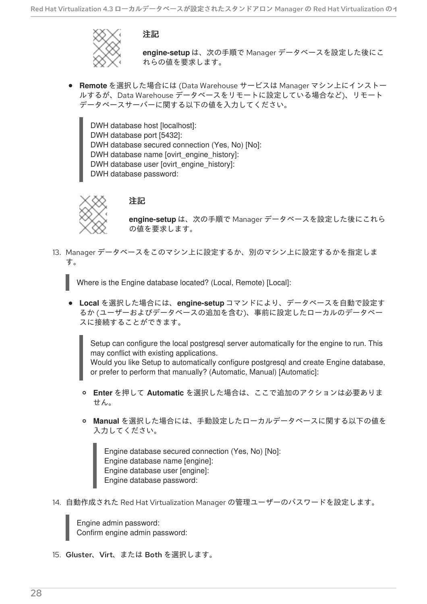

注記

**engine-setup** は、次の手順で Manager データベースを設定した後にこ れらの値を要求します。

**Remote** を選択した場合には (Data Warehouse サービスは Manager マシン上にインストー ルするが、Data Warehouse データベースをリモートに設定している場合など)、リモート データベースサーバーに関する以下の値を入力してください。

DWH database host [localhost]: DWH database port [5432]: DWH database secured connection (Yes, No) [No]: DWH database name [ovirt\_engine\_history]: DWH database user [ovirt\_engine\_history]: DWH database password:

#### 注記

**engine-setup** は、次の手順で Manager データベースを設定した後にこれら の値を要求します。

13. Manager データベースをこのマシン上に設定するか、別のマシン上に設定するかを指定しま す。

Where is the Engine database located? (Local, Remote) [Local]:

**Local** を選択した場合には、**engine-setup** コマンドにより、データベースを自動で設定す るか (ユーザーおよびデータベースの追加を含む)、事前に設定したローカルのデータベー スに接続することができます。

Setup can configure the local postgresql server automatically for the engine to run. This may conflict with existing applications.

Would you like Setup to automatically configure postgresql and create Engine database, or prefer to perform that manually? (Automatic, Manual) [Automatic]:

- **Enter** を押して **Automatic** を選択した場合は、ここで追加のアクションは必要ありま せん。
- **Manual** を選択した場合には、手動設定したローカルデータベースに関する以下の値を 入力してください。

Engine database secured connection (Yes, No) [No]: Engine database name [engine]: Engine database user [engine]: Engine database password:

14. 自動作成された Red Hat Virtualization Manager の管理ユーザーのパスワードを設定します。

Engine admin password: Confirm engine admin password:

15. Gluster、Virt、または Both を選択します。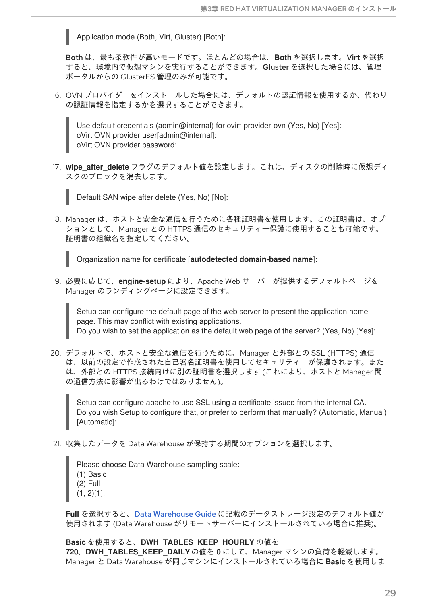Application mode (Both, Virt, Gluster) [Both]:

Both は、最も柔軟性が高いモードです。ほとんどの場合は、**Both** を選択します。Virt を選択 すると、環境内で仮想マシンを実行することができます。Gluster を選択した場合には、管理 ポータルからの GlusterFS 管理のみが可能です。

16. OVN プロバイダーをインストールした場合には、デフォルトの認証情報を使用するか、代わり の認証情報を指定するかを選択することができます。

Use default credentials (admin@internal) for ovirt-provider-ovn (Yes, No) [Yes]: oVirt OVN provider user[admin@internal]: oVirt OVN provider password:

17. **wipe\_after\_delete** フラグのデフォルト値を設定します。これは、ディスクの削除時に仮想ディ スクのブロックを消去します。

Default SAN wipe after delete (Yes, No) [No]:

18. Manager は、ホストと安全な通信を行うために各種証明書を使用します。この証明書は、オプ ションとして、Manager との HTTPS 通信のセキュリティー保護に使用することも可能です。 証明書の組織名を指定してください。

Organization name for certificate [**autodetected domain-based name**]:

19. 必要に応じて、**engine-setup** により、Apache Web サーバーが提供するデフォルトページを Manager のランディングページに設定できます。

Setup can configure the default page of the web server to present the application home page. This may conflict with existing applications. Do you wish to set the application as the default web page of the server? (Yes, No) [Yes]:

20. デフォルトで、ホストと安全な通信を行うために、Manager と外部との SSL (HTTPS) 通信 は、以前の設定で作成された自己署名証明書を使用してセキュリティーが保護されます。また は、外部との HTTPS 接続向けに別の証明書を選択します (これにより、ホストと Manager 間 の通信方法に影響が出るわけではありません)。

Setup can configure apache to use SSL using a certificate issued from the internal CA. Do you wish Setup to configure that, or prefer to perform that manually? (Automatic, Manual) [Automatic]:

21. 収集したデータを Data Warehouse が保持する期間のオプションを選択します。

Please choose Data Warehouse sampling scale: (1) Basic (2) Full  $(1, 2)$ [1]:

**Full** を選択すると、Data [Warehouse](https://access.redhat.com/documentation/ja-jp/red_hat_virtualization/4.3/html-single/data_warehouse_guide/#Application_Settings_for_the_Data_Warehouse_service_in_ovirt-engine-dwhd_file) Guide に記載のデータストレージ設定のデフォルト値が 使用されます (Data Warehouse がリモートサーバーにインストールされている場合に推奨)。

#### **Basic** を使用すると、**DWH\_TABLES\_KEEP\_HOURLY** の値を

**720**、**DWH\_TABLES\_KEEP\_DAILY** の値を **0** にして、Manager マシンの負荷を軽減します。 Manager と Data Warehouse が同じマシンにインストールされている場合に **Basic** を使用しま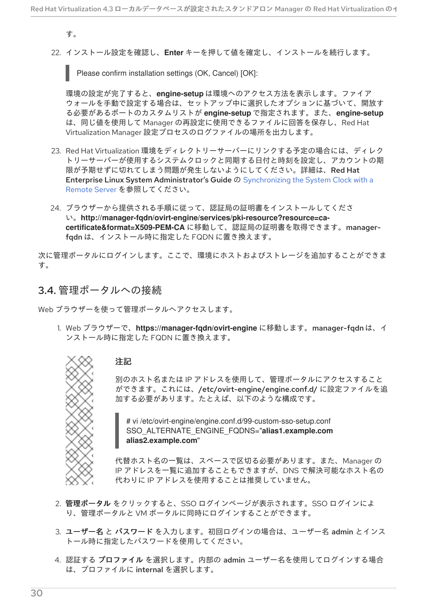す。

22. インストール設定を確認し、**Enter** キーを押して値を確定し、インストールを続行します。

Please confirm installation settings (OK, Cancel) [OK]:

環境の設定が完了すると、**engine-setup** は環境へのアクセス方法を表示します。ファイア ウォールを手動で設定する場合は、セットアップ中に選択したオプションに基づいて、開放す る必要があるポートのカスタムリストが **engine-setup** で指定されます。また、**engine-setup** は、同じ値を使用して Manager の再設定に使用できるファイルに回答を保存し、Red Hat Virtualization Manager 設定プロセスのログファイルの場所を出力します。

- 23. Red Hat Virtualization 環境をディレクトリーサーバーにリンクする予定の場合には、ディレク トリーサーバーが使用するシステムクロックと同期する日付と時刻を設定し、アカウントの期 限が予期せずに切れてしまう問題が発生しないようにしてください。詳細は、Red Hat Enterprise Linux System Administrator's Guide の Synchronizing the System Clock with a Remote Server [を参照してください。](https://access.redhat.com/documentation/ja-jp/red_hat_enterprise_linux/7/html/System_Administrators_Guide/chap-Configuring_the_Date_and_Time.html#sect-Configuring_the_Date_and_Time-timedatectl-NTP)
- 24. ブラウザーから提供される手順に従って、認証局の証明書をインストールしてくださ い。**http://manager-fqdn/ovirt-engine/services/pki-resource?resource=cacertificate&format=X509-PEM-CA** に移動して、認証局の証明書を取得できます。managerfqdn は、インストール時に指定した FQDN に置き換えます。

次に管理ポータルにログインします。ここで、環境にホストおよびストレージを追加することができま す。

### <span id="page-33-0"></span>3.4. 管理ポータルへの接続

Web ブラウザーを使って管理ポータルへアクセスします。

1. Web ブラウザーで、**https://manager-fqdn/ovirt-engine** に移動します。manager-fqdnは、イ ンストール時に指定した FQDN に置き換えます。



#### 注記

別のホスト名または IP アドレスを使用して、管理ポータルにアクセスすること ができます。これには、/etc/ovirt-engine/engine.conf.d/ に設定ファイルを追 加する必要があります。たとえば、以下のような構成です。

# vi /etc/ovirt-engine/engine.conf.d/99-custom-sso-setup.conf SSO\_ALTERNATE\_ENGINE\_FQDNS="**alias1.example.com alias2.example.com**"

代替ホスト名の一覧は、スペースで区切る必要があります。また、Manager の IP アドレスを一覧に追加することもできますが、DNS で解決可能なホスト名の 代わりに IP アドレスを使用することは推奨していません。

- 2. 管理ポータル をクリックすると、SSO ログインページが表示されます。SSO ログインによ り、管理ポータルと VM ポータルに同時にログインすることができます。
- 3. ユーザー名 と パスワード を入力します。初回ログインの場合は、ユーザー名 admin とインス トール時に指定したパスワードを使用してください。
- 4. 認証する プロファイル を選択します。内部の admin ユーザー名を使用してログインする場合 は、プロファイルに internal を選択します。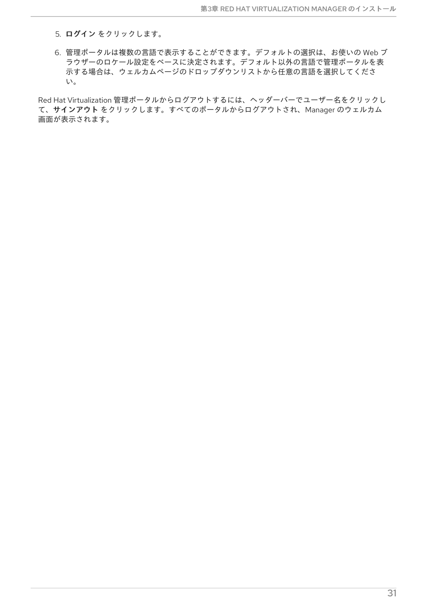- 5. ログイン をクリックします。
- 6. 管理ポータルは複数の言語で表示することができます。デフォルトの選択は、お使いの Web ブ ラウザーのロケール設定をベースに決定されます。デフォルト以外の言語で管理ポータルを表 示する場合は、ウェルカムページのドロップダウンリストから任意の言語を選択してくださ い。

Red Hat Virtualization 管理ポータルからログアウトするには、ヘッダーバーでユーザー名をクリックし て、サインアウト をクリックします。すべてのポータルからログアウトされ、Manager のウェルカム 画面が表示されます。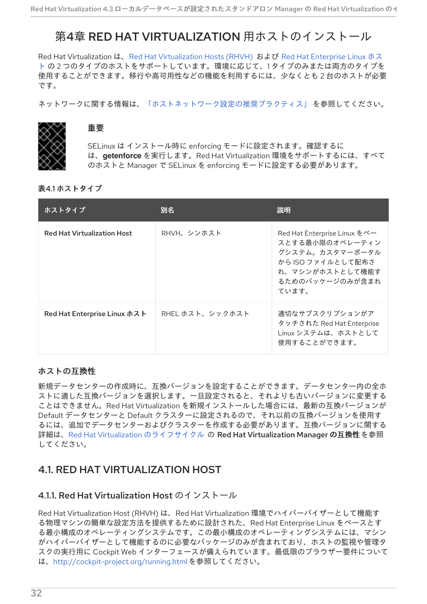# <span id="page-35-0"></span>第4章 RED HAT VIRTUALIZATION 用ホストのインストール

Red Hat Virtualization は、Red Hat [Virtualization](#page-39-1) Hosts (RHVH) および Red Hat Enterprise Linux ホス ト の 2 [つのタイプのホストをサポートしています。環境に応じて、](#page-44-1)1 タイプのみまたは両方のタイプを 使用することができます。移行や高可用性などの機能を利用するには、少なくとも 2 台のホストが必要 です。

ネットワークに関する情報は、[「ホストネットワーク設定の推奨プラクティス」](#page-46-1) を参照してください。



#### 重要

SELinux は インストール時に enforcing モードに設定されます。確認するに は、**getenforce** を実行します。Red Hat Virtualization 環境をサポートするには、すべて のホストと Manager で SELinux を enforcing モードに設定する必要があります。

#### 表4.1 ホストタイプ

| ホストタイプ                             | 別名              | 説明                                                                                                                                     |
|------------------------------------|-----------------|----------------------------------------------------------------------------------------------------------------------------------------|
| <b>Red Hat Virtualization Host</b> | RHVH、シンホスト      | Red Hat Enterprise Linux をべー<br>スとする最小限のオペレーティン<br>グシステム。カスタマーポータル<br>から ISO ファイルとして配布さ<br>れ、マシンがホストとして機能す<br>るためのパッケージのみが含まれ<br>ています。 |
| Red Hat Enterprise Linux ホスト       | RHEL ホスト、シックホスト | 適切なサブスクリプションがア<br>タッチされた Red Hat Enterprise<br>Linux システムは、ホストとして<br>使用することができます。                                                      |

#### ホストの互換性

新規データセンターの作成時に、互換バージョンを設定することができます。データセンター内の全ホ ストに適した互換バージョンを選択します。一旦設定されると、それよりも古いバージョンに変更する ことはできません。Red Hat Virtualization を新規インストールした場合には、最新の互換バージョンが Default データセンターと Default クラスターに設定されるので、それ以前の互換バージョンを使用す るには、追加でデータセンターおよびクラスターを作成する必要があります。互換バージョンに関する 詳細は、Red Hat Virtualization [のライフサイクル](https://access.redhat.com/ja/support/policy/updates/rhev) の R**ed Hat Virtualization Manager の互換性**を参照 してください。

# <span id="page-35-1"></span>4.1. RED HAT VIRTUALIZATION HOST

#### <span id="page-35-2"></span>4.1.1. Red Hat Virtualization Host のインストール

Red Hat Virtualization Host (RHVH) は、Red Hat Virtualization 環境でハイパーバイザーとして機能す る物理マシンの簡単な設定方法を提供するために設計された、Red Hat Enterprise Linux をベースとす る最小構成のオペレーティングシステムです。この最小構成のオペレーティングシステムには、マシン がハイパーバイザーとして機能するのに必要なパッケージのみが含まれており、ホストの監視や管理タ スクの実行用に Cockpit Web インターフェースが備えられています。最低限のブラウザー要件について は、<http://cockpit-project.org/running.html>を参照してください。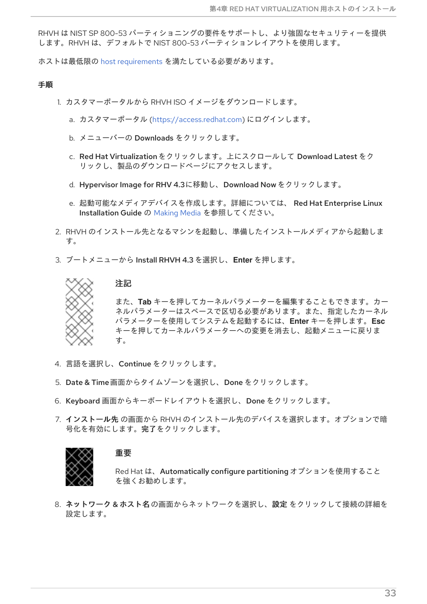RHVH は NIST SP 800-53 パーティショニングの要件をサポートし、より強固なセキュリティーを提供 します。RHVH は、デフォルトで NIST 800-53 パーティションレイアウトを使用します。

ホストは最低限の host [requirements](https://access.redhat.com/documentation/ja-jp/red_hat_virtualization/4.3/html/planning_and_prerequisites_guide/rhv_requirements#host-requirements) を満たしている必要があります。

#### 手順

- 1. カスタマーポータルから RHVH ISO イメージをダウンロードします。
	- a. カスタマーポータル [\(https://access.redhat.com](https://access.redhat.com)) にログインします。
	- b. メニューバーの Downloads をクリックします。
	- c. Red Hat Virtualizationをクリックします。上にスクロールして Download Latest をク リックし、製品のダウンロードページにアクセスします。
	- d. Hypervisor Image for RHV 4.3に移動し、Download Now をクリックします。
	- e. 起動可能なメディアデバイスを作成します。詳細については、 Red Hat Enterprise Linux Installation Guide の [Making](https://access.redhat.com/documentation/ja-JP/Red_Hat_Enterprise_Linux/7/html/Installation_Guide/chap-making-media.html) Media を参照してください。
- 2. RHVH のインストール先となるマシンを起動し、準備したインストールメディアから起動しま す。
- 3. ブートメニューから Install RHVH 4.3 を選択し、**Enter** を押します。



また、**Tab** キーを押してカーネルパラメーターを編集することもできます。カー ネルパラメーターはスペースで区切る必要があります。また、指定したカーネル パラメーターを使用してシステムを起動するには、**Enter** キーを押します。**Esc** キーを押してカーネルパラメーターへの変更を消去し、起動メニューに戻りま す。

4. 言語を選択し、Continue をクリックします。

注記

- 5. Date & Time画面からタイムゾーンを選択し、Done をクリックします。
- 6. Keyboard 画面からキーボードレイアウトを選択し、Done をクリックします。
- 7. インストール先 の画面から RHVH のインストール先のデバイスを選択します。オプションで暗 号化を有効にします。完了をクリックします。



#### 重要

Red Hat は、Automatically configure partitioning オプションを使用すること を強くお勧めします。

8. ネットワーク & ホスト名の画面からネットワークを選択し、設定 をクリックして接続の詳細を 設定します。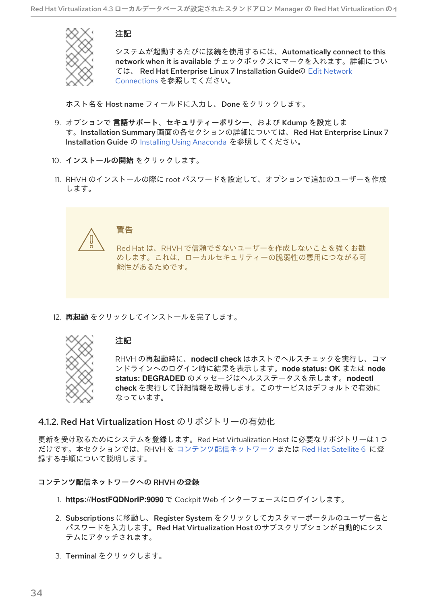

システムが起動するたびに接続を使用するには、Automatically connect to this network when it is available チェックボックスにマークを入れます。詳細につい ては、 Red Hat Enterprise Linux 7 Installation Guideの Edit Network Connections [を参照してください。](https://access.redhat.com/documentation/ja-jp/red_hat_enterprise_linux/7/html-single/installation_guide/sect-network-hostname-configuration-x86#sect-edit-network-connections-x86)

ホスト名を Host name フィールドに入力し、Done をクリックします。

- 9. オプションで 言語サポート、セキュリティーポリシー、および Kdump を設定しま す。Installation Summary 画面の各セクションの詳細については、Red Hat Enterprise Linux 7 Installation Guide の Installing Using [Anaconda](https://access.redhat.com/documentation/ja-jp/red_hat_enterprise_linux/7/html-single/installation_guide/index#chap-installing-using-anaconda-x86) を参照してください。
- 10. インストールの開始 をクリックします。

注記

11. RHVH のインストールの際に root パスワードを設定して、オプションで追加のユーザーを作成 します。



12. 再起動 をクリックしてインストールを完了します。



## 注記

RHVH の再起動時に、**nodectl check** はホストでヘルスチェックを実行し、コマ ンドラインへのログイン時に結果を表示します。**node status: OK** または **node status: DEGRADED** のメッセージはヘルスステータスを示します。**nodectl check** を実行して詳細情報を取得します。このサービスはデフォルトで有効に なっています。

## 4.1.2. Red Hat Virtualization Host のリポジトリーの有効化

更新を受け取るためにシステムを登録します。Red Hat Virtualization Host に必要なリポジトリーは1つ だけです。本セクションでは、RHVH を [コンテンツ配信ネットワーク](#page-37-0) または Red Hat [Satellite](#page-38-0) 6 に登 録する手順について説明します。

## <span id="page-37-0"></span>コンテンツ配信ネットワークへの RHVH の登録

- 1. **https://HostFQDNorIP:9090** で Cockpit Web インターフェースにログインします。
- 2. Subscriptions に移動し、Register System をクリックしてカスタマーポータルのユーザー名と パスワードを入力します。Red Hat Virtualization Hostのサブスクリプションが自動的にシス テムにアタッチされます。
- 3. Terminal をクリックします。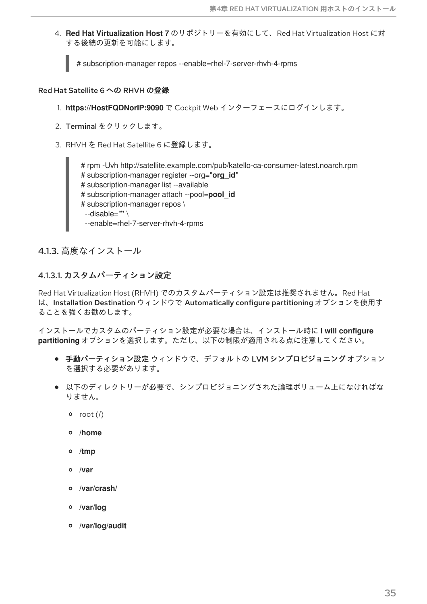4. **Red Hat Virtualization Host 7** のリポジトリーを有効にして、Red Hat Virtualization Host に対 する後続の更新を可能にします。

# subscription-manager repos --enable=rhel-7-server-rhvh-4-rpms

#### <span id="page-38-0"></span>Red Hat Satellite 6 への RHVH の登録

- 1. **https://HostFQDNorIP:9090** で Cockpit Web インターフェースにログインします。
- 2. Terminal をクリックします。
- 3. RHVH を Red Hat Satellite 6 に登録します。

# rpm -Uvh http://satellite.example.com/pub/katello-ca-consumer-latest.noarch.rpm # subscription-manager register --org="**org\_id**" # subscription-manager list --available # subscription-manager attach --pool=**pool\_id** # subscription-manager repos \ --disable='\*' \ --enable=rhel-7-server-rhvh-4-rpms

4.1.3. 高度なインストール

## 4.1.3.1. カスタムパーティション設定

Red Hat Virtualization Host (RHVH) でのカスタムパーティション設定は推奨されません。Red Hat は、Installation Destination ウィンドウで Automatically configure partitioning オプションを使用す ることを強くお勧めします。

インストールでカスタムのパーティション設定が必要な場合は、インストール時に **I will configure partitioning** オプションを選択します。ただし、以下の制限が適用される点に注意してください。

- 手動パーティション設定 ウィンドウで、デフォルトの LVM シンプロビジョニングオプション を選択する必要があります。
- 以下のディレクトリーが必要で、シンプロビジョニングされた論理ボリューム上になければな りません。
	- root (**/**)
	- **/home**
	- **/tmp**
	- **/var**
	- **/var/crash/**
	- **/var/log**
	- **/var/log/audit**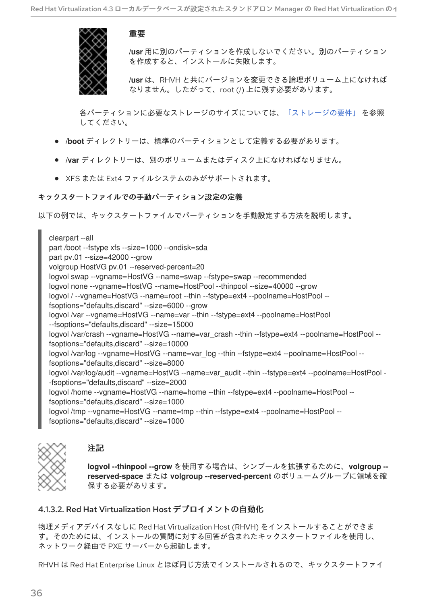<span id="page-39-0"></span>

**/usr** 用に別のパーティションを作成しないでください。別のパーティション を作成すると、インストールに失敗します。

**/usr** は、RHVH と共にバージョンを変更できる論理ボリューム上になければ なりません。したがって、root (**/**) 上に残す必要があります。

各パーティションに必要なストレージのサイズについては、[「ストレージの要件」](#page-14-0) を参照 してください。

- **/boot** ディレクトリーは、標準のパーティションとして定義する必要があります。
- **/var** ディレクトリーは、別のボリュームまたはディスク上になければなりません。
- XFS または Ext4 ファイルシステムのみがサポートされます。

### キックスタートファイルでの手動パーティション設定の定義

重要

以下の例では、キックスタートファイルでパーティションを手動設定する方法を説明します。

clearpart --all part /boot --fstype xfs --size=1000 --ondisk=sda part pv.01 --size=42000 --grow volgroup HostVG pv.01 --reserved-percent=20 logvol swap --vgname=HostVG --name=swap --fstype=swap --recommended logvol none --vgname=HostVG --name=HostPool --thinpool --size=40000 --grow logvol / --vgname=HostVG --name=root --thin --fstype=ext4 --poolname=HostPool - fsoptions="defaults,discard" --size=6000 --grow logvol /var --vgname=HostVG --name=var --thin --fstype=ext4 --poolname=HostPool --fsoptions="defaults,discard" --size=15000 logvol /var/crash --vgname=HostVG --name=var\_crash --thin --fstype=ext4 --poolname=HostPool -fsoptions="defaults,discard" --size=10000 logvol /var/log --vgname=HostVG --name=var\_log --thin --fstype=ext4 --poolname=HostPool -fsoptions="defaults,discard" --size=8000 logvol /var/log/audit --vgname=HostVG --name=var\_audit --thin --fstype=ext4 --poolname=HostPool --fsoptions="defaults,discard" --size=2000 logvol /home --vgname=HostVG --name=home --thin --fstype=ext4 --poolname=HostPool - fsoptions="defaults,discard" --size=1000 logvol /tmp --vgname=HostVG --name=tmp --thin --fstype=ext4 --poolname=HostPool - fsoptions="defaults,discard" --size=1000



## 注記

**logvol --thinpool --grow** を使用する場合は、シンプールを拡張するために、**volgroup - reserved-space** または **volgroup --reserved-percent** のボリュームグループに領域を確 保する必要があります。

## 4.1.3.2. Red Hat Virtualization Host デプロイメントの自動化

物理メディアデバイスなしに Red Hat Virtualization Host (RHVH) をインストールすることができま す。そのためには、インストールの質問に対する回答が含まれたキックスタートファイルを使用し、 ネットワーク経由で PXE サーバーから起動します。

RHVH は Red Hat Enterprise Linux とほぼ同じ方法でインストールされるので、キックスタートファイ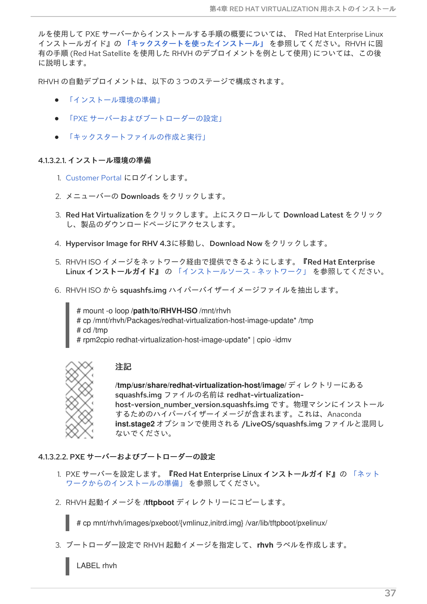ルを使用して PXE サーバーからインストールする手順の概要については、『Red Hat Enterprise Linux インストールガイド』の [「キックスタートを使ったインストール」](https://access.redhat.com/documentation/ja-jp/red_hat_enterprise_linux/7/html/installation_guide/chap-kickstart-installations) を参照してください。RHVH に固 有の手順 (Red Hat Satellite を使用した RHVH のデプロイメントを例として使用) については、この後 に説明します。

RHVH の自動デプロイメントは、以下の 3 つのステージで構成されます。

- [「インストール環境の準備」](#page-40-0)
- 「PXE [サーバーおよびブートローダーの設定」](#page-41-0)
- [「キックスタートファイルの作成と実行」](#page-42-0)

#### <span id="page-40-0"></span>4.1.3.2.1. インストール環境の準備

- 1. [Customer](https://access.redhat.com) Portal にログインします。
- 2. メニューバーの Downloads をクリックします。
- 3. Red Hat Virtualizationをクリックします。上にスクロールして Download Latest をクリック し、製品のダウンロードページにアクセスします。
- 4. Hypervisor Image for RHV 4.3に移動し、Download Now をクリックします。
- 5. RHVH ISO イメージをネットワーク経由で提供できるようにします。『Red Hat Enterprise Linux インストールガイド』 の [「インストールソース](https://access.redhat.com/documentation/ja-jp/red_hat_enterprise_linux/7/html/installation_guide/sect-making-media-additional-sources#sect-making-media-sources-network) - ネットワーク」 を参照してください。
- 6. RHVH ISO から squashfs.img ハイパーバイザーイメージファイルを抽出します。

# mount -o loop **/path/to/RHVH-ISO** /mnt/rhvh # cp /mnt/rhvh/Packages/redhat-virtualization-host-image-update\* /tmp # cd /tmp # rpm2cpio redhat-virtualization-host-image-update\* | cpio -idmv



## 注記

**/tmp/usr/share/redhat-virtualization-host/image/** ディレクトリーにある squashfs.img ファイルの名前は redhat-virtualizationhost-version\_number\_version.squashfs.img です。物理マシンにインストール するためのハイパーバイザーイメージが含まれます。これは、Anaconda **inst.stage2** オプションで使用される /LiveOS/squashfs.img ファイルと混同し ないでください。

### 4.1.3.2.2. PXE サーバーおよびブートローダーの設定

- 1. PXE サーバーを設定します。『Red Hat Enterprise Linux インストールガイド』の 「ネット [ワークからのインストールの準備」](https://access.redhat.com/documentation/ja-jp/red_hat_enterprise_linux/7/html/installation_guide/chap-installation-server-setup) を参照してください。
- 2. RHVH 起動イメージを **/tftpboot** ディレクトリーにコピーします。

# cp mnt/rhvh/images/pxeboot/{vmlinuz,initrd.img} /var/lib/tftpboot/pxelinux/

3. ブートローダー設定で RHVH 起動イメージを指定して、**rhvh** ラベルを作成します。

LABEL rhvh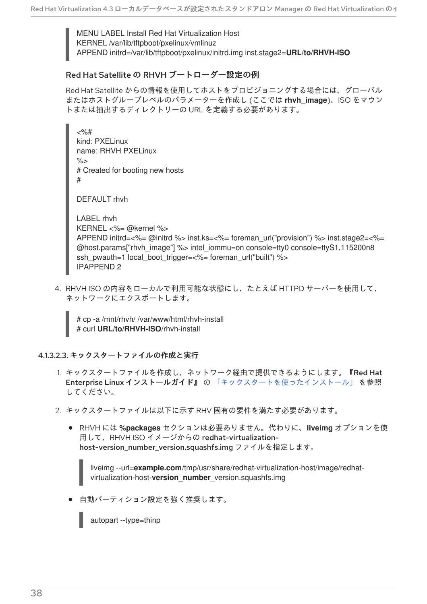<span id="page-41-0"></span>MENU LABEL Install Red Hat Virtualization Host KERNEL /var/lib/tftpboot/pxelinux/vmlinuz APPEND initrd=/var/lib/tftpboot/pxelinux/initrd.img inst.stage2=**URL/to/RHVH-ISO**

## Red Hat Satellite の RHVH ブートローダー設定の例

Red Hat Satellite からの情報を使用してホストをプロビジョニングする場合には、グローバル またはホストグループレベルのパラメーターを作成し (ここでは **rhvh\_image**)、ISO をマウン トまたは抽出するディレクトリーの URL を定義する必要があります。

 $<\frac{9}{4}$ kind: PXELinux name: RHVH PXELinux  $\frac{9}{2}$ # Created for booting new hosts #

DEFAULT rhvh

LABEL rhvh KERNEL <%= @kernel %> APPEND initrd=<%= @initrd %> inst.ks=<%= foreman\_url("provision") %> inst.stage2=<%= @host.params["rhvh\_image"] %> intel\_iommu=on console=tty0 console=ttyS1,115200n8 ssh\_pwauth=1 local\_boot\_trigger=<%= foreman\_url("built") %> IPAPPEND 2

4. RHVH ISO の内容をローカルで利用可能な状態にし、たとえば HTTPD サーバーを使用して、 ネットワークにエクスポートします。

# cp -a /mnt/rhvh/ /var/www/html/rhvh-install # curl **URL/to/RHVH-ISO**/rhvh-install

## 4.1.3.2.3. キックスタートファイルの作成と実行

- 1. キックスタートファイルを作成し、ネットワーク経由で提供できるようにします。『Red Hat Enterprise Linux インストールガイド』の[「キックスタートを使ったインストール」](https://access.redhat.com/documentation/ja-jp/red_hat_enterprise_linux/7/html/installation_guide/chap-kickstart-installations)を参照 してください。
- 2. キックスタートファイルは以下に示す RHV 固有の要件を満たす必要があります。
	- RHVH には **%packages** セクションは必要ありません。代わりに、**liveimg** オプションを使 用して、RHVH ISO イメージからの redhat-virtualizationhost-version\_number\_version.squashfs.img ファイルを指定します。

liveimg --url=**example.com**/tmp/usr/share/redhat-virtualization-host/image/redhatvirtualization-host-**version\_number**\_version.squashfs.img

● 自動パーティション設定を強く推奨します。

autopart --type=thinp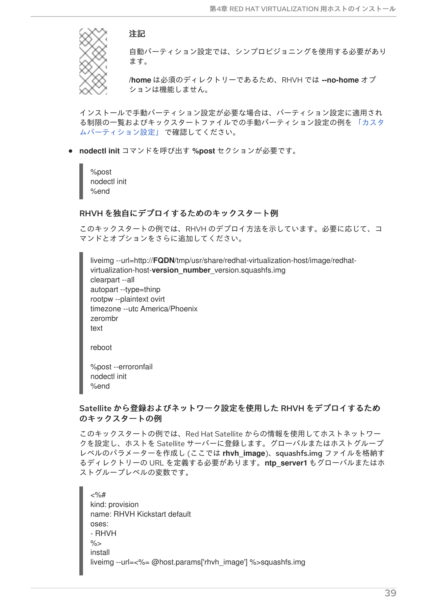#### 注記

<span id="page-42-0"></span>

自動パーティション設定では、シンプロビジョニングを使用する必要があり ます。

**/home** は必須のディレクトリーであるため、RHVH では **--no-home** オプ ションは機能しません。

インストールで手動パーティション設定が必要な場合は、パーティション設定に適用され [る制限の一覧およびキックスタートファイルでの手動パーティション設定の例を](#page-39-0) 「カスタ ムパーティション設定」 で確認してください。

**nodectl init** コマンドを呼び出す **%post** セクションが必要です。

%post nodectl init %end

### RHVH を独自にデプロイするためのキックスタート例

このキックスタートの例では、RHVH のデプロイ方法を示しています。必要に応じて、コ マンドとオプションをさらに追加してください。

liveimg --url=http://**FQDN**/tmp/usr/share/redhat-virtualization-host/image/redhatvirtualization-host-**version\_number**\_version.squashfs.img clearpart --all autopart --type=thinp rootpw --plaintext ovirt timezone --utc America/Phoenix zerombr text

reboot

%post --erroronfail nodectl init %end

Satellite から登録およびネットワーク設定を使用した RHVH をデプロイするため のキックスタートの例

このキックスタートの例では、Red Hat Satellite からの情報を使用してホストネットワー クを設定し、ホストを Satellite サーバーに登録します。グローバルまたはホストグループ レベルのパラメーターを作成し (ここでは **rhvh\_image**)、squashfs.img ファイルを格納す るディレクトリーの URL を定義する必要があります。**ntp\_server1** もグローバルまたはホ ストグループレベルの変数です。

 $<\!\!%$ # kind: provision name: RHVH Kickstart default oses: - RHVH  $\frac{9}{6}$ install liveimg --url=<%= @host.params['rhvh\_image'] %>squashfs.img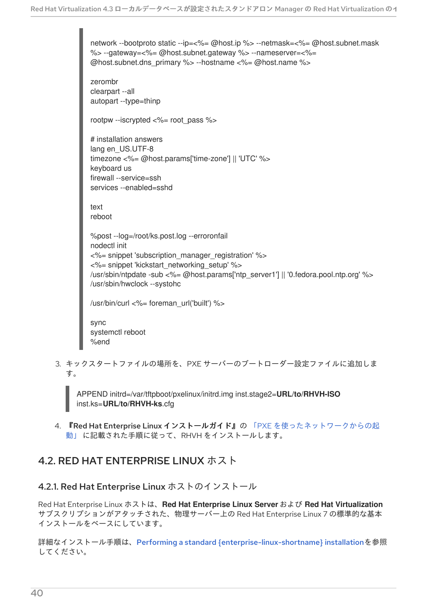network --bootproto static --ip=<%= @host.ip %> --netmask=<%= @host.subnet.mask %> --gateway=<%= @host.subnet.gateway %> --nameserver=<%= @host.subnet.dns\_primary %> --hostname <%= @host.name %> zerombr clearpart --all autopart --type=thinp rootpw --iscrypted  $<$ %= root pass %> # installation answers lang en\_US.UTF-8 timezone <%= @host.params['time-zone'] || 'UTC' %> keyboard us firewall --service=ssh services --enabled=sshd text reboot %post --log=/root/ks.post.log --erroronfail nodectl init <%= snippet 'subscription\_manager\_registration' %> <%= snippet 'kickstart\_networking\_setup' %> /usr/sbin/ntpdate -sub <%= @host.params['ntp\_server1'] || '0.fedora.pool.ntp.org' %> /usr/sbin/hwclock --systohc /usr/bin/curl <%= foreman\_url('built') %> sync systemctl reboot %end

3. キックスタートファイルの場所を、PXE サーバーのブートローダー設定ファイルに追加しま す。

APPEND initrd=/var/tftpboot/pxelinux/initrd.img inst.stage2=**URL/to/RHVH-ISO** inst.ks=**URL/to/RHVH-ks**.cfg

4. 『Red Hat Enterprise Linux インストールガイド』の「PXE [を使ったネットワークからの起](https://access.redhat.com/documentation/ja-jp/red_hat_enterprise_linux/7/html/installation_guide/chap-booting-installer-x86#sect-booting-from-pxe-x86) 動」 に記載された手順に従って、RHVH をインストールします。

## 4.2. RED HAT ENTERPRISE LINUX ホスト

## 4.2.1. Red Hat Enterprise Linux ホストのインストール

Red Hat Enterprise Linux ホストは、**Red Hat Enterprise Linux Server** および **Red Hat Virtualization** サブスクリプションがアタッチされた、物理サーバー上の Red Hat Enterprise Linux 7 の標準的な基本 インストールをベースにしています。

詳細なインストール手順は、Performing a standard [{enterprise-linux-shortname}](https://access.redhat.com/documentation/ja-jp/red_hat_enterprise_linux/8/html/performing_a_standard_rhel_installation/index.html) installationを参照 してください。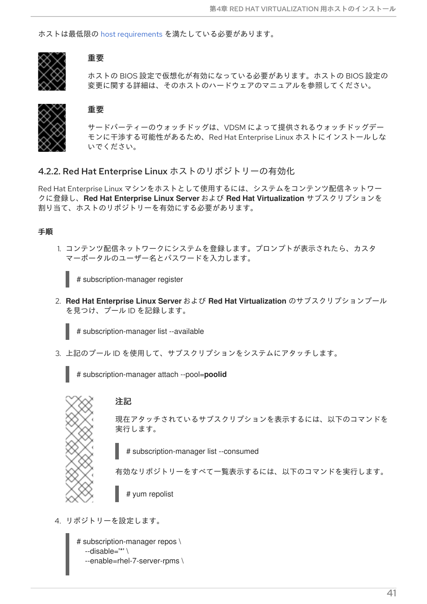ホストは最低限の host [requirements](https://access.redhat.com/documentation/ja-jp/red_hat_virtualization/4.3/html/planning_and_prerequisites_guide/rhv_requirements#host-requirements) を満たしている必要があります。



## 重要

ホストの BIOS 設定で仮想化が有効になっている必要があります。ホストの BIOS 設定の 変更に関する詳細は、そのホストのハードウェアのマニュアルを参照してください。



### 重要

サードパーティーのウォッチドッグは、VDSM によって提供されるウォッチドッグデー モンに干渉する可能性があるため、Red Hat Enterprise Linux ホストにインストールしな いでください。

4.2.2. Red Hat Enterprise Linux ホストのリポジトリーの有効化

Red Hat Enterprise Linux マシンをホストとして使用するには、システムをコンテンツ配信ネットワー クに登録し、**Red Hat Enterprise Linux Server** および **Red Hat Virtualization** サブスクリプションを 割り当て、ホストのリポジトリーを有効にする必要があります。

## 手順

1. コンテンツ配信ネットワークにシステムを登録します。プロンプトが表示されたら、カスタ マーポータルのユーザー名とパスワードを入力します。

# subscription-manager register

2. **Red Hat Enterprise Linux Server** および **Red Hat Virtualization** のサブスクリプションプール を見つけ、プール ID を記録します。

# subscription-manager list --available

3. 上記のプール ID を使用して、サブスクリプションをシステムにアタッチします。

# subscription-manager attach --pool=**poolid**



### 注記

現在アタッチされているサブスクリプションを表示するには、以下のコマンドを 実行します。

# subscription-manager list --consumed

有効なリポジトリーをすべて一覧表示するには、以下のコマンドを実行します。

# yum repolist

4. リポジトリーを設定します。

```
# subscription-manager repos \
  --disable='*' \
  --enable=rhel-7-server-rpms \
```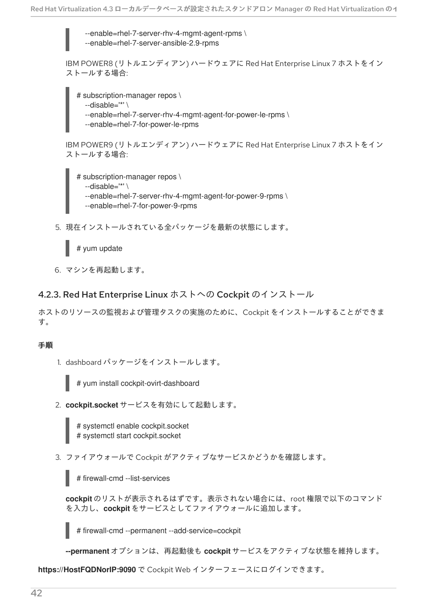--enable=rhel-7-server-rhv-4-mgmt-agent-rpms \ --enable=rhel-7-server-ansible-2.9-rpms

IBM POWER8 (リトルエンディアン) ハードウェアに Red Hat Enterprise Linux 7 ホストをイン ストールする場合:

# subscription-manager repos \ --disable='\*' \ --enable=rhel-7-server-rhv-4-mgmt-agent-for-power-le-rpms \ --enable=rhel-7-for-power-le-rpms

IBM POWER9 (リトルエンディアン) ハードウェアに Red Hat Enterprise Linux 7 ホストをイン ストールする場合:

# subscription-manager repos \ --disable='\*' \ --enable=rhel-7-server-rhv-4-mgmt-agent-for-power-9-rpms \ --enable=rhel-7-for-power-9-rpms

5. 現在インストールされている全パッケージを最新の状態にします。

# yum update

6. マシンを再起動します。

```
4.2.3. Red Hat Enterprise Linux ホストへの Cockpit のインストール
```
ホストのリソースの監視および管理タスクの実施のために、Cockpit をインストールすることができま す。

## 手順

1. dashboard パッケージをインストールします。

# yum install cockpit-ovirt-dashboard

2. **cockpit.socket** サービスを有効にして起動します。

# systemctl enable cockpit.socket # systemctl start cockpit.socket

3. ファイアウォールで Cockpit がアクティブなサービスかどうかを確認します。

# firewall-cmd --list-services

**cockpit** のリストが表示されるはずです。表示されない場合には、root 権限で以下のコマンド を入力し、**cockpit** をサービスとしてファイアウォールに追加します。

# firewall-cmd --permanent --add-service=cockpit

**--permanent** オプションは、再起動後も **cockpit** サービスをアクティブな状態を維持します。

**https://HostFQDNorIP:9090** で Cockpit Web インターフェースにログインできます。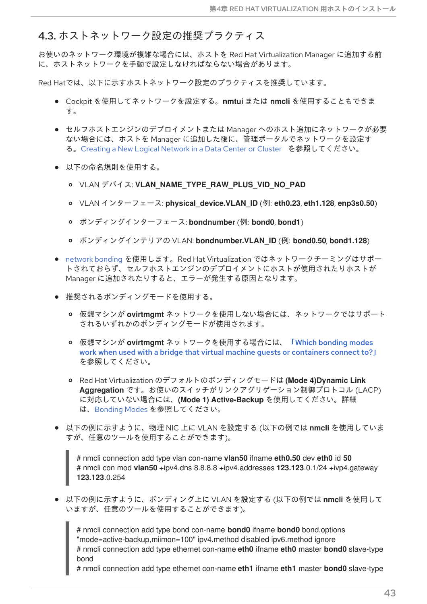## 4.3. ホストネットワーク設定の推奨プラクティス

お使いのネットワーク環境が複雑な場合には、ホストを Red Hat Virtualization Manager に追加する前 に、ホストネットワークを手動で設定しなければならない場合があります。

Red Hatでは、以下に示すホストネットワーク設定のプラクティスを推奨しています。

- Cockpit を使用してネットワークを設定する。**nmtui** または **nmcli** を使用することもできま す。
- セルフホストエンジンのデプロイメントまたは Manager へのホスト追加にネットワークが必要 ない場合には、ホストを Manager に追加した後に、管理ポータルでネットワークを設定す る。[Creating](https://access.redhat.com/documentation/ja-jp/red_hat_virtualization/4.3/html/administration_guide/chap-logical_networks#Creating_a_new_logical_network_in_a_data_center_or_cluster) a New Logical Network in a Data Center or Cluster を参照してください。
- 以下の命名規則を使用する。
	- VLAN デバイス: **VLAN\_NAME\_TYPE\_RAW\_PLUS\_VID\_NO\_PAD**
	- VLAN インターフェース: **physical\_device.VLAN\_ID** (例: **eth0.23**, **eth1.128**, **enp3s0.50**)
	- ボンディングインターフェース: **bondnumber** (例: **bond0**, **bond1**)
	- ボンディングインテリアの VLAN: **bondnumber.VLAN\_ID** (例: **bond0.50**, **bond1.128**)
- network [bonding](https://access.redhat.com/documentation/ja-jp/red_hat_virtualization/4.3/html/administration_guide/sect-Network_Bonding) を使用します。Red Hat Virtualization ではネットワークチーミングはサポー トされておらず、セルフホストエンジンのデプロイメントにホストが使用されたりホストが Manager に追加されたりすると、エラーが発生する原因となります。
- 推奨されるボンディングモードを使用する。
	- 仮想マシンが **ovirtmgmt** ネットワークを使用しない場合には、ネットワークではサポート されるいずれかのボンディングモードが使用されます。
	- 仮想マシンが **ovirtmgmt** [ネットワークを使用する場合には、「](https://access.redhat.com/solutions/67546)Which bonding modes work when used with a bridge that virtual machine guests or containers connect to?」 を参照してください。
	- Red Hat Virtualization のデフォルトのボンディングモードは **(Mode 4)Dynamic Link Aggregation** です。お使いのスイッチがリンクアグリゲーション制御プロトコル (LACP) に対応していない場合には、**(Mode 1) Active-Backup** を使用してください。詳細 は、[Bonding](https://access.redhat.com/documentation/ja-jp/red_hat_virtualization/4.3/html/administration_guide/sect-network_bonding#Bonding_Modes) Modes を参照してください。
- 以下の例に示すように、物理 NIC 上に VLAN を設定する (以下の例では **nmcli** を使用していま すが、任意のツールを使用することができます)。

# nmcli connection add type vlan con-name **vlan50** ifname **eth0.50** dev **eth0** id **50** # nmcli con mod **vlan50** +ipv4.dns 8.8.8.8 +ipv4.addresses **123.123**.0.1/24 +ivp4.gateway **123.123**.0.254

以下の例に示すように、ボンディング上に VLAN を設定する (以下の例では **nmcli** を使用して いますが、任意のツールを使用することができます)。

# nmcli connection add type bond con-name **bond0** ifname **bond0** bond.options "mode=active-backup,miimon=100" ipv4.method disabled ipv6.method ignore # nmcli connection add type ethernet con-name **eth0** ifname **eth0** master **bond0** slave-type bond

# nmcli connection add type ethernet con-name **eth1** ifname **eth1** master **bond0** slave-type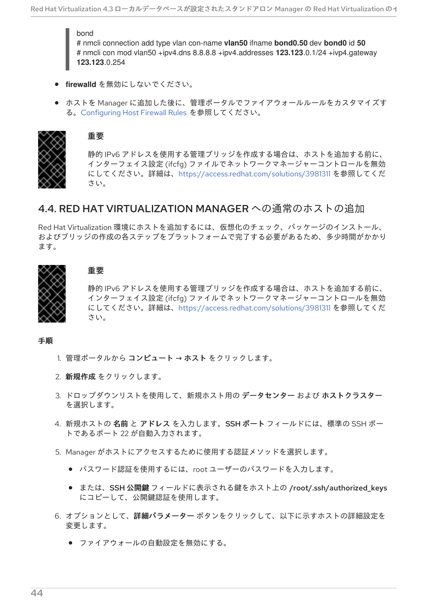bond

# nmcli connection add type vlan con-name **vlan50** ifname **bond0.50** dev **bond0** id **50** # nmcli con mod vlan50 +ipv4.dns 8.8.8.8 +ipv4.addresses **123.123**.0.1/24 +ivp4.gateway **123.123**.0.254

- firewalld を無効にしないでください。
- ホストを Manager に追加した後に、管理ポータルでファイアウォールルールをカスタマイズす る。[Configuring](https://access.redhat.com/documentation/ja-jp/red_hat_virtualization/4.3/html-single/administration_guide/#Configuring_Host_Firewall_Rules) Host Firewall Rules を参照してください。



## 重要

静的 IPv6 アドレスを使用する管理ブリッジを作成する場合は、ホストを追加する前に、 インターフェイス設定 (ifcfg) ファイルでネットワークマネージャーコントロールを無効 にしてください。詳細は、<https://access.redhat.com/solutions/3981311> を参照してくだ さい。

## 4.4. RED HAT VIRTUALIZATION MANAGER への通常のホストの追加

Red Hat Virtualization 環境にホストを追加するには、仮想化のチェック、パッケージのインストール、 およびブリッジの作成の各ステップをプラットフォームで完了する必要があるため、多少時間がかかり ます。



#### 重要

静的 IPv6 アドレスを使用する管理ブリッジを作成する場合は、ホストを追加する前に、 インターフェイス設定 (ifcfg) ファイルでネットワークマネージャーコントロールを無効 にしてください。詳細は、<https://access.redhat.com/solutions/3981311> を参照してくだ さい。

### 手順

- 1. 管理ポータルから コンピュート → ホスト をクリックします。
- 2. 新規作成 をクリックします。
- 3. ドロップダウンリストを使用して、新規ホスト用の データセンター および ホストクラスター を選択します。
- 4. 新規ホストの 名前 と アドレス を入力します。SSH ポート フィールドには、標準の SSH ポー トであるポート 22 が自動入力されます。
- 5. Manager がホストにアクセスするために使用する認証メソッドを選択します。
	- パスワード認証を使用するには、root ユーザーのパスワードを入力します。
	- または、SSH 公開鍵 フィールドに表示される鍵をホスト上の /root/.ssh/authorized\_keys にコピーして、公開鍵認証を使用します。
- 6. オプションとして、詳細パラメーター ボタンをクリックして、以下に示すホストの詳細設定を 変更します。
	- ファイアウォールの自動設定を無効にする。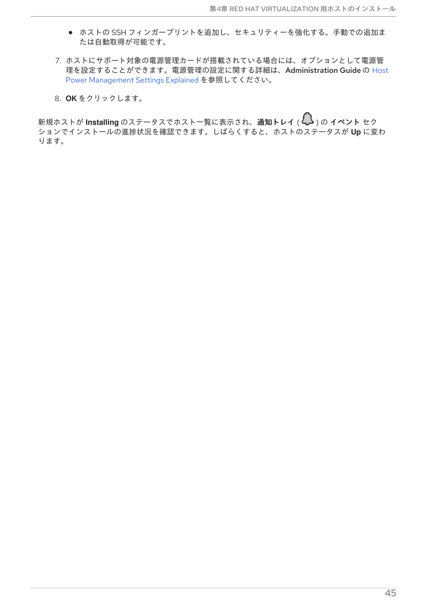- ホストの SSH フィンガープリントを追加し、セキュリティーを強化する。手動での追加ま たは自動取得が可能です。
- 7. ホストにサポート対象の電源管理カードが搭載されている場合には、オプションとして電源管 [理を設定することができます。電源管理の設定に関する詳細は、](https://access.redhat.com/documentation/ja-jp/red_hat_virtualization/4.3/html-single/administration_guide/#Host_Power_Management_settings_explained)Administration Guide の Host Power Management Settings Explained を参照してください。
- 8. **OK** をクリックします。

<sub>新規ホストが Installing のステータスでホスト一覧に表示され、**通知トレイ**( $\overline{\mathbf{Q}}$ )の イベント セク</sub> ションでインストールの進捗状況を確認できます。しばらくすると、ホストのステータスが **Up** に変わ ります。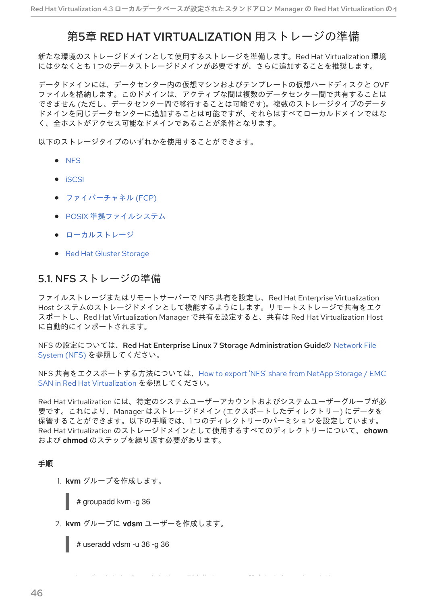# 第5章 RED HAT VIRTUALIZATION 用ストレージの準備

新たな環境のストレージドメインとして使用するストレージを準備します。Red Hat Virtualization 環境 には少なくとも 1 つのデータストレージドメインが必要ですが、さらに追加することを推奨します。

データドメインには、データセンター内の仮想マシンおよびテンプレートの仮想ハードディスクと OVF ファイルを格納します。このドメインは、アクティブな間は複数のデータセンター間で共有することは できません (ただし、データセンター間で移行することは可能です)。複数のストレージタイプのデータ ドメインを同じデータセンターに追加することは可能ですが、それらはすべてローカルドメインではな く、全ホストがアクセス可能なドメインであることが条件となります。

以下のストレージタイプのいずれかを使用することができます。

- [NFS](#page-49-0)
- [iSCSI](#page-50-0)
- [ファイバーチャネル](#page-51-0) (FCP)
- POSIX [準拠ファイルシステム](#page-51-1)
- [ローカルストレージ](#page-52-0)
- Red Hat Gluster [Storage](#page-53-0)

## <span id="page-49-0"></span>5.1. NFS ストレージの準備

ファイルストレージまたはリモートサーバーで NFS 共有を設定し、Red Hat Enterprise Virtualization Host システムのストレージドメインとして機能するようにします。リモートストレージで共有をエク スポートし、Red Hat Virtualization Manager で共有を設定すると、共有は Red Hat Virtualization Host に自動的にインポートされます。

NFS の設定については、Red Hat Enterprise Linux 7 Storage Administration Guideの Network File System (NFS) [を参照してください。](https://access.redhat.com/documentation/ja-jp/red_hat_enterprise_linux/7/html-single/Storage_Administration_Guide/index.html#ch-nfs)

NFS [共有をエクスポートする方法については、](https://access.redhat.com/solutions/113593)How to export 'NFS' share from NetApp Storage / EMC SAN in Red Hat Virtualization を参照してください。

Red Hat Virtualization には、特定のシステムユーザーアカウントおよびシステムユーザーグループが必 要です。これにより、Manager はストレージドメイン (エクスポートしたディレクトリー) にデータを 保管することができます。以下の手順では、1 つのディレクトリーのパーミションを設定しています。 Red Hat Virtualization のストレージドメインとして使用するすべてのディレクトリーについて、**chown** および **chmod** のステップを繰り返す必要があります。

3. エクスポートしたディレクトリーの所有権を 36:36 に設定します。これにより、**vdsm:kvm** の

#### 手順

- 1. **kvm** グループを作成します。
	- # groupadd kvm -g 36
- 2. **kvm** グループに **vdsm** ユーザーを作成します。

# useradd vdsm -u 36 -g 36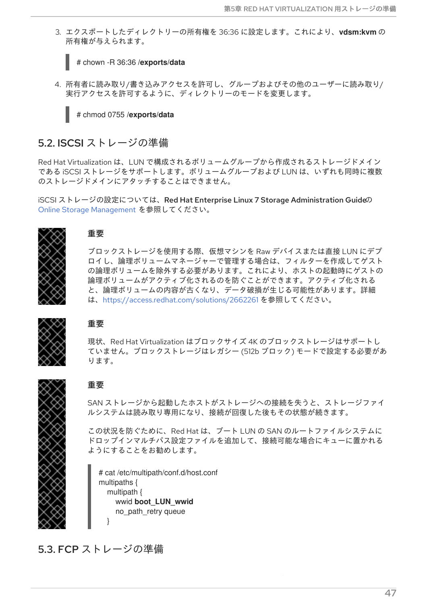3. エクスポートしたディレクトリーの所有権を 36:36 に設定します。これにより、**vdsm:kvm** の 所有権が与えられます。

# chown -R 36:36 **/exports/data**

4. 所有者に読み取り/書き込みアクセスを許可し、グループおよびその他のユーザーに読み取り/ 実行アクセスを許可するように、ディレクトリーのモードを変更します。



## <span id="page-50-0"></span>5.2. ISCSI ストレージの準備

Red Hat Virtualization は、LUN で構成されるボリュームグループから作成されるストレージドメイン である iSCSI ストレージをサポートします。ボリュームグループおよび LUN は、いずれも同時に複数 のストレージドメインにアタッチすることはできません。

iSCSI ストレージの設定については、Red Hat Enterprise Linux 7 Storage Administration Guideの Online Storage [Management](https://access.redhat.com/documentation/ja-jp/red_hat_enterprise_linux/7/html-single/storage_administration_guide/#online-storage-management) を参照してください。



## 重要

ブロックストレージを使用する際、仮想マシンを Raw デバイスまたは直接 LUN にデプ ロイし、論理ボリュームマネージャーで管理する場合は、フィルターを作成してゲスト の論理ボリュームを除外する必要があります。これにより、ホストの起動時にゲストの 論理ボリュームがアクティブ化されるのを防ぐことができます。アクティブ化される と、論理ボリュームの内容が古くなり、データ破損が生じる可能性があります。詳細 は、<https://access.redhat.com/solutions/2662261> を参照してください。



## 重要

現状、Red Hat Virtualization はブロックサイズ 4K のブロックストレージはサポートし ていません。ブロックストレージはレガシー (512b ブロック) モードで設定する必要があ ります。



## 重要

SAN ストレージから起動したホストがストレージへの接続を失うと、ストレージファイ ルシステムは読み取り専用になり、接続が回復した後もその状態が続きます。

この状況を防ぐために、Red Hat は、ブート LUN の SAN のルートファイルシステムに ドロップインマルチパス設定ファイルを追加して、接続可能な場合にキューに置かれる ようにすることをお勧めします。

# cat /etc/multipath/conf.d/host.conf multipaths { multipath { wwid **boot\_LUN\_wwid** no\_path\_retry queue }

5.3. FCP ストレージの準備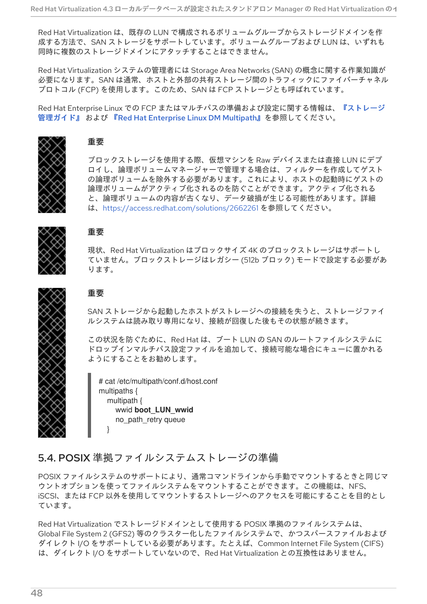<span id="page-51-0"></span>Red Hat Virtualization は、既存の LUN で構成されるボリュームグループからストレージドメインを作 成する方法で、SAN ストレージをサポートしています。ボリュームグループおよび LUN は、いずれも 同時に複数のストレージドメインにアタッチすることはできません。

Red Hat Virtualization システムの管理者には Storage Area Networks (SAN) の概念に関する作業知識が 必要になります。SAN は通常、ホストと外部の共有ストレージ間のトラフィックにファイバーチャネル プロトコル (FCP) を使用します。このため、SAN は FCP ストレージとも呼ばれています。

Red Hat Enterprise Linux での FCP [またはマルチパスの準備および設定に関する情報は、『ストレージ](https://access.redhat.com/documentation/ja-jp/red_hat_enterprise_linux/7/html/storage_administration_guide/index) 管理ガイド』 および 『Red Hat [Enterprise](https://access.redhat.com/documentation/ja-jp/red_hat_enterprise_linux/7/html-single/dm_multipath/index) Linux DM Multipath』を参照してください。



### 重要

ブロックストレージを使用する際、仮想マシンを Raw デバイスまたは直接 LUN にデプ ロイし、論理ボリュームマネージャーで管理する場合は、フィルターを作成してゲスト の論理ボリュームを除外する必要があります。これにより、ホストの起動時にゲストの 論理ボリュームがアクティブ化されるのを防ぐことができます。アクティブ化される と、論理ボリュームの内容が古くなり、データ破損が生じる可能性があります。詳細 は、<https://access.redhat.com/solutions/2662261> を参照してください。



## 重要

現状、Red Hat Virtualization はブロックサイズ 4K のブロックストレージはサポートし ていません。ブロックストレージはレガシー (512b ブロック) モードで設定する必要があ ります。



## 重要

SAN ストレージから起動したホストがストレージへの接続を失うと、ストレージファイ ルシステムは読み取り専用になり、接続が回復した後もその状態が続きます。

この状況を防ぐために、Red Hat は、ブート LUN の SAN のルートファイルシステムに ドロップインマルチパス設定ファイルを追加して、接続可能な場合にキューに置かれる ようにすることをお勧めします。

# cat /etc/multipath/conf.d/host.conf multipaths { multipath { wwid **boot\_LUN\_wwid** no\_path\_retry queue }

## <span id="page-51-1"></span>5.4. POSIX 準拠ファイルシステムストレージの準備

POSIX ファイルシステムのサポートにより、通常コマンドラインから手動でマウントするときと同じマ ウントオプションを使ってファイルシステムをマウントすることができます。この機能は、NFS、 iSCSI、または FCP 以外を使用してマウントするストレージへのアクセスを可能にすることを目的とし ています。

Red Hat Virtualization でストレージドメインとして使用する POSIX 準拠のファイルシステムは、 Global File System 2 (GFS2) 等のクラスター化したファイルシステムで、かつスパースファイルおよび ダイレクト I/O をサポートしている必要があります。たとえば、Common Internet File System (CIFS) は、ダイレクト I/O をサポートしていないので、Red Hat Virtualization との互換性はありません。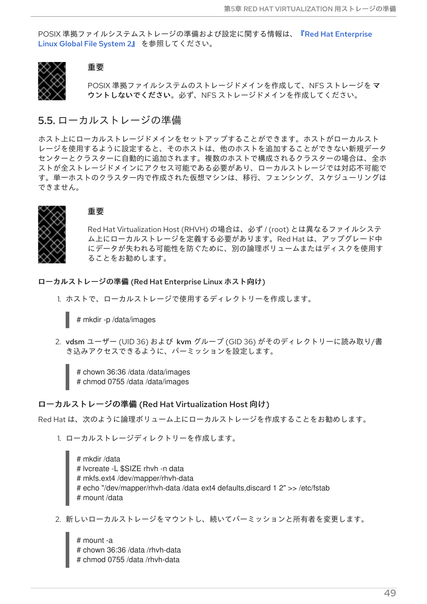POSIX [準拠ファイルシステムストレージの準備および設定に関する情報は、『](https://access.redhat.com/documentation/ja-jp/red_hat_enterprise_linux/7/html/global_file_system_2/index)Red Hat Enterprise Linux Global File System 2』 を参照してください。



### 重要

POSIX 準拠ファイルシステムのストレージドメインを作成して、NFS ストレージを マ ウントしないでください。必ず、NFS ストレージドメインを作成してください。

## <span id="page-52-0"></span>5.5. ローカルストレージの準備

ホスト上にローカルストレージドメインをセットアップすることができます。ホストがローカルスト レージを使用するように設定すると、そのホストは、他のホストを追加することができない新規データ センターとクラスターに自動的に追加されます。複数のホストで構成されるクラスターの場合は、全ホ ストが全ストレージドメインにアクセス可能である必要があり、ローカルストレージでは対応不可能で す。単一ホストのクラスター内で作成された仮想マシンは、移行、フェンシング、スケジューリングは できません。



### 重要

Red Hat Virtualization Host (RHVH) の場合は、必ず **/** (root) とは異なるファイルシステ ム上にローカルストレージを定義する必要があります。Red Hat は、アップグレード中 にデータが失われる可能性を防ぐために、別の論理ボリュームまたはディスクを使用す ることをお勧めします。

- ローカルストレージの準備 (Red Hat Enterprise Linux ホスト向け)
	- 1. ホストで、ローカルストレージで使用するディレクトリーを作成します。

# mkdir -p /data/images

2. vdsm ユーザー (UID 36) および kvm グループ (GID 36) がそのディレクトリーに読み取り/書 き込みアクセスできるように、パーミッションを設定します。

# chown 36:36 /data /data/images # chmod 0755 /data /data/images

#### ローカルストレージの準備 (Red Hat Virtualization Host 向け)

Red Hat は、次のように論理ボリューム上にローカルストレージを作成することをお勧めします。

1. ローカルストレージディレクトリーを作成します。

# mkdir /data # lvcreate -L \$SIZE rhvh -n data # mkfs.ext4 /dev/mapper/rhvh-data # echo "/dev/mapper/rhvh-data /data ext4 defaults,discard 1 2" >> /etc/fstab # mount /data

2. 新しいローカルストレージをマウントし、続いてパーミッションと所有者を変更します。

# mount -a # chown 36:36 /data /rhvh-data # chmod 0755 /data /rhvh-data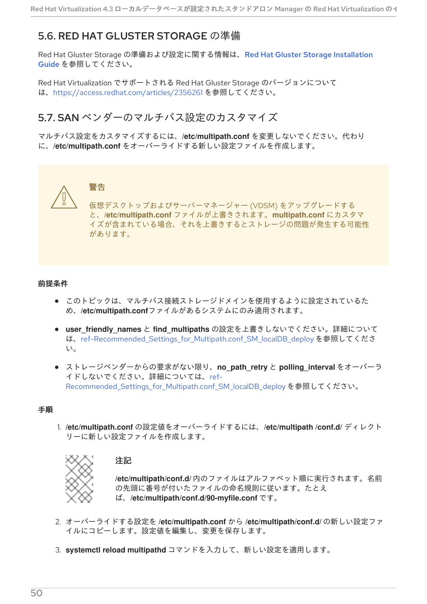# <span id="page-53-0"></span>5.6. RED HAT GLUSTER STORAGE の準備

Red Hat Gluster Storage [の準備および設定に関する情報は、](https://access.redhat.com/documentation/ja-jp/red_hat_gluster_storage/3.4/html/installation_guide/)Red Hat Gluster Storage Installation Guide を参照してください。

Red Hat Virtualization でサポートされる Red Hat Gluster Storage のバージョンについて は、<https://access.redhat.com/articles/2356261> を参照してください。

# 5.7. SAN ベンダーのマルチパス設定のカスタマイズ

マルチパス設定をカスタマイズするには、**/etc/multipath.conf** を変更しないでください。代わり に、**/etc/multipath.conf** をオーバーライドする新しい設定ファイルを作成します。



警告

仮想デスクトップおよびサーバーマネージャー (VDSM) をアップグレードする と、**/etc/multipath.conf** ファイルが上書きされます。**multipath.conf** にカスタマ イズが含まれている場合、それを上書きするとストレージの問題が発生する可能性 があります。

## 前提条件

- このトピックは、マルチパス接続ストレージドメインを使用するように設定されているた め、**/etc/multipath.conf**ファイルがあるシステムにのみ適用されます。
- user friendly names と find multipaths の設定を上書きしないでください。詳細について は、ref-Recommended Settings for Multipath.conf SM localDB deploy を参照してくださ い。
- ストレージベンダーからの要求がない限り、no\_path\_retry と polling\_interval をオーバーラ イドしないでください。詳細については、ref-[Recommended\\_Settings\\_for\\_Multipath.conf\\_SM\\_localDB\\_deploy](ref-Recommended_Settings_for_Multipath.conf_SM_localDB_deploy) を参照してください。

## 手順

1. **/etc/multipath.conf** の設定値をオーバーライドするには、**/etc/multipath /conf.d/** ディレクト リーに新しい設定ファイルを作成します。



### 注記

**/etc/multipath/conf.d/** 内のファイルはアルファベット順に実行されます。名前 の先頭に番号が付いたファイルの命名規則に従います。たとえ ば、**/etc/multipath/conf.d/90-myfile.conf** です。

- 2. オーバーライドする設定を **/etc/multipath.conf** から **/etc/multipath/conf.d/** の新しい設定ファ イルにコピーします。設定値を編集し、変更を保存します。
- 3. **systemctl reload multipathd** コマンドを入力して、新しい設定を適用します。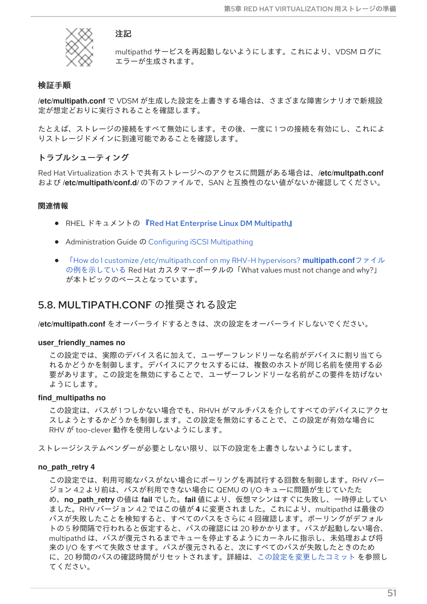

注記

multipathd サービスを再起動しないようにします。これにより、VDSM ログに エラーが生成されます。

#### 検証手順

**/etc/multipath.conf** で VDSM が生成した設定を上書きする場合は、さまざまな障害シナリオで新規設 定が想定どおりに実行されることを確認します。

たとえば、ストレージの接続をすべて無効にします。その後、一度に1つの接続を有効にし、これによ りストレージドメインに到達可能であることを確認します。

### トラブルシューティング

Red Hat Virtualization ホストで共有ストレージへのアクセスに問題がある場合は、**/etc/multpath.conf** および **/etc/multipath/conf.d/** の下のファイルで、SAN と互換性のない値がないか確認してください。

#### 関連情報

- RHEL ドキュメントの 『Red Hat [Enterprise](https://access.redhat.com/documentation/ja-jp/red_hat_enterprise_linux/7/html/dm_multipath/index) Linux DM Multipath』
- Administration Guide の Configuring iSCSI [Multipathing](https://access.redhat.com/documentation/ja-jp/red_hat_virtualization/4.3/html/administration_guide/sect-preparing_and_adding_block_storage#Configuring_iSCSI_Multipathing)
- 「How do I customize /etc/multipath.conf on my RHV-H hypervisors? **multipath.conf**ファイル の例を示している Red Hat [カスタマーポータルの「](https://access.redhat.com/solutions/3234761)What values must not change and why?」 が本トピックのベースとなっています。

## 5.8. MULTIPATH.CONF の推奨される設定

**/etc/multipath.conf** をオーバーライドするときは、次の設定をオーバーライドしないでください。

#### **user\_friendly\_names no**

この設定では、実際のデバイス名に加えて、ユーザーフレンドリーな名前がデバイスに割り当てら れるかどうかを制御します。デバイスにアクセスするには、複数のホストが同じ名前を使用する必 要があります。この設定を無効にすることで、ユーザーフレンドリーな名前がこの要件を妨げない ようにします。

#### **find\_multipaths no**

この設定は、パスが1つしかない場合でも、RHVH がマルチパスを介してすべてのデバイスにアクセ スしようとするかどうかを制御します。この設定を無効にすることで、この設定が有効な場合に RHV が too-clever 動作を使用しないようにします。

ストレージシステムベンダーが必要としない限り、以下の設定を上書きしないようにします。

#### **no\_path\_retry 4**

この設定では、利用可能なパスがない場合にポーリングを再試行する回数を制御します。RHV バー ジョン 4.2 より前は、パスが利用できない場合に QEMU の I/O キューに問題が生じていたた め、**no\_path\_retry** の値は **fail** でした。**fail** 値により、仮想マシンはすぐに失敗し、一時停止してい ました。RHV バージョン 4.2 ではこの値が **4** に変更されました。これにより、multipathd は最後の パスが失敗したことを検知すると、すべてのパスをさらに 4 回確認します。ポーリングがデフォル トの 5 秒間隔で行われると仮定すると、パスの確認には 20 秒かかります。パスが起動しない場合、 multipathd は、パスが復元されるまでキューを停止するようにカーネルに指示し、未処理および将 来の I/O をすべて失敗させます。パスが復元されると、次にすべてのパスが失敗したときのため に、20 秒間のパスの確認時間がリセットされます。詳細は[、この設定を変更したコミット](https://gerrit.ovirt.org/#/c/88082/) を参照し てください。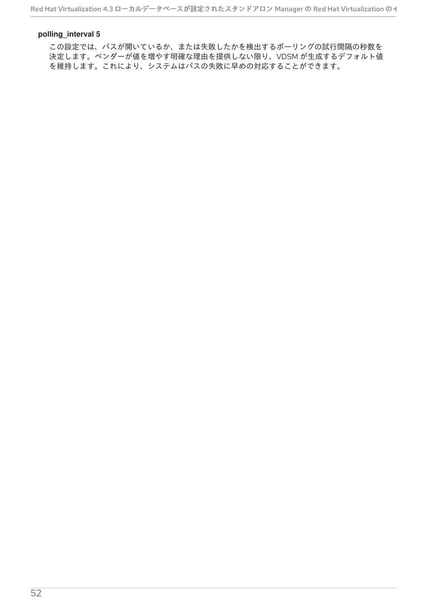#### **polling\_interval 5**

この設定では、パスが開いているか、または失敗したかを検出するポーリングの試行間隔の秒数を 決定します。ベンダーが値を増やす明確な理由を提供しない限り、VDSM が生成するデフォルト値 を維持します。これにより、システムはパスの失敗に早めの対応することができます。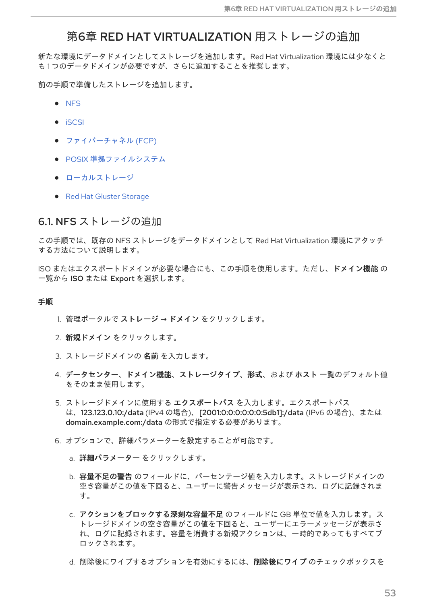# 第6章 RED HAT VIRTUALIZATION 用ストレージの追加

新たな環境にデータドメインとしてストレージを追加します。Red Hat Virtualization 環境には少なくと も 1 つのデータドメインが必要ですが、さらに追加することを推奨します。

前の手順で準備したストレージを追加します。

- [NFS](#page-56-0)
- [iSCSI](#page-58-0)
- [ファイバーチャネル](#page-59-0) (FCP)
- POSIX [準拠ファイルシステム](#page-60-0)
- [ローカルストレージ](#page-61-0)
- Red Hat Gluster [Storage](#page-61-1)

## <span id="page-56-0"></span>6.1. NFS ストレージの追加

この手順では、既存の NFS ストレージをデータドメインとして Red Hat Virtualization 環境にアタッチ する方法について説明します。

ISO またはエクスポートドメインが必要な場合にも、この手順を使用します。ただし、ドメイン機能の 一覧から ISO または Export を選択します。

#### 手順

- 1. 管理ポータルで ストレージ → ドメイン をクリックします。
- 2. 新規ドメイン をクリックします。
- 3. ストレージドメインの 名前 を入力します。
- 4. データセンター、ドメイン機能、ストレージタイプ、形式、および ホスト 一覧のデフォルト値 をそのまま使用します。
- 5. ストレージドメインに使用する エクスポートパス を入力します。エクスポートパス は、123.123.0.10:/data (IPv4 の場合)、[2001:0:0:0:0:0:0:5db1]:/data (IPv6 の場合)、または domain.example.com:/data の形式で指定する必要があります。
- 6. オプションで、詳細パラメーターを設定することが可能です。
	- a. 詳細パラメーター をクリックします。
	- b. 容量不足の警告 のフィールドに、パーセンテージ値を入力します。ストレージドメインの 空き容量がこの値を下回ると、ユーザーに警告メッセージが表示され、ログに記録されま す。
	- c. アクションをブロックする深刻な容量不足 のフィールドに GB 単位で値を入力します。ス トレージドメインの空き容量がこの値を下回ると、ユーザーにエラーメッセージが表示さ れ、ログに記録されます。容量を消費する新規アクションは、一時的であってもすべてブ ロックされます。
	- d. 削除後にワイプするオプションを有効にするには、削除後にワイプ のチェックボックスを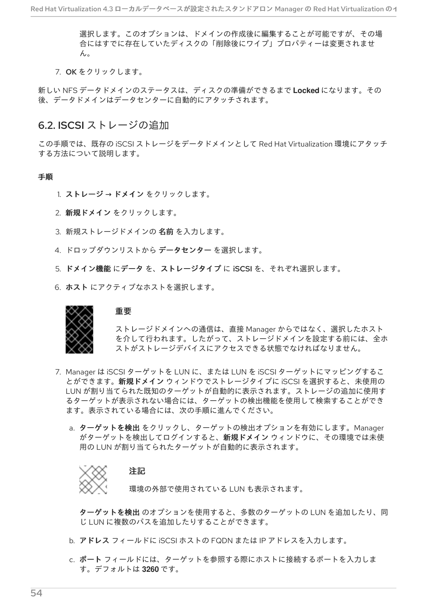選択します。このオプションは、ドメインの作成後に編集することが可能ですが、その場 合にはすでに存在していたディスクの「削除後にワイプ」プロパティーは変更されませ ん。

7. OK をクリックします。

新しい NFS データドメインのステータスは、ディスクの準備ができるまで **Locked** になります。その 後、データドメインはデータセンターに自動的にアタッチされます。

## 6.2. ISCSI ストレージの追加

この手順では、既存の iSCSI ストレージをデータドメインとして Red Hat Virtualization 環境にアタッチ する方法について説明します。

#### 手順

- 1. ストレージ → ドメイン をクリックします。
- 2. 新規ドメイン をクリックします。
- 3. 新規ストレージドメインの 名前 を入力します。
- 4. ドロップダウンリストから データセンター を選択します。
- 5. ドメイン機能 にデータ を、ストレージタイプ に iSCSI を、それぞれ選択します。
- 6. ホスト にアクティブなホストを選択します。



#### 重要

ストレージドメインへの通信は、直接 Manager からではなく、選択したホスト を介して行われます。したがって、ストレージドメインを設定する前には、全ホ ストがストレージデバイスにアクセスできる状態でなければなりません。

- 7. Manager は iSCSI ターゲットを LUN に、または LUN を iSCSI ターゲットにマッピングするこ とができます。新規ドメイン ウィンドウでストレージタイプに iSCSI を選択すると、未使用の LUN が割り当てられた既知のターゲットが自動的に表示されます。ストレージの追加に使用す るターゲットが表示されない場合には、ターゲットの検出機能を使用して検索することができ ます。表示されている場合には、次の手順に進んでください。
	- a. ターゲットを検出 をクリックし、ターゲットの検出オプションを有効にします。Manager がターゲットを検出してログインすると、新規ドメイン ウィンドウに、その環境では未使 用の LUN が割り当てられたターゲットが自動的に表示されます。



注記

環境の外部で使用されている LUN も表示されます。

ターゲットを検出 のオプションを使用すると、多数のターゲットの LUN を追加したり、同 じ LUN に複数のパスを追加したりすることができます。

- b. アドレス フィールドに iSCSI ホストの FQDN または IP アドレスを入力します。
- c. ポート フィールドには、ターゲットを参照する際にホストに接続するポートを入力しま す。デフォルトは **3260** です。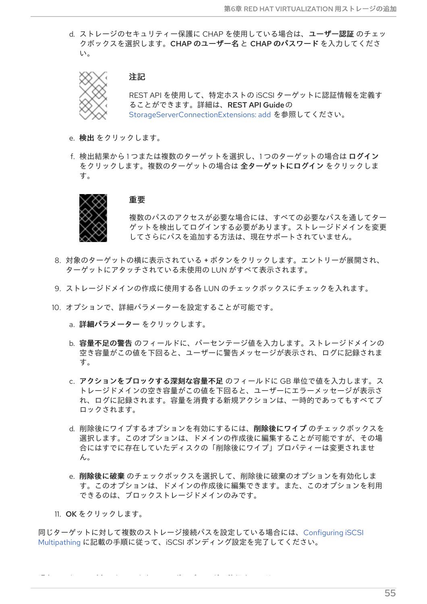<span id="page-58-0"></span>d. ストレージのセキュリティー保護に CHAP を使用している場合は、ユーザー認証 のチェッ クボックスを選択します。CHAP のユーザー名 と CHAP のパスワード を入力してくださ い。



注記

REST API を使用して、特定ホストの iSCSI ターゲットに認証情報を定義す ることができます。詳細は、REST API Guideの [StorageServerConnectionExtensions:](https://access.redhat.com/documentation/ja-jp/red_hat_virtualization/4.3/html/rest_api_guide/services#services-storage_server_connection_extensions-methods-add) add を参照してください。

- e. 検出 をクリックします。
- f. 検出結果から1つまたは複数のターゲットを選択し、1つのターゲットの場合は ログイン をクリックします。複数のターゲットの場合は 全ターゲットにログイン をクリックしま す。



#### 重要

複数のパスのアクセスが必要な場合には、すべての必要なパスを通してター ゲットを検出してログインする必要があります。ストレージドメインを変更 してさらにパスを追加する方法は、現在サポートされていません。

- 8. 対象のターゲットの横に表示されている + ボタンをクリックします。エントリーが展開され、 ターゲットにアタッチされている未使用の LUN がすべて表示されます。
- 9. ストレージドメインの作成に使用する各 LUN のチェックボックスにチェックを入れます。
- 10. オプションで、詳細パラメーターを設定することが可能です。
	- a. 詳細パラメーター をクリックします。
	- b. 容量不足の警告 のフィールドに、パーセンテージ値を入力します。ストレージドメインの 空き容量がこの値を下回ると、ユーザーに警告メッセージが表示され、ログに記録されま す。
	- c. アクションをブロックする深刻な容量不足 のフィールドに GB 単位で値を入力します。ス トレージドメインの空き容量がこの値を下回ると、ユーザーにエラーメッセージが表示さ れ、ログに記録されます。容量を消費する新規アクションは、一時的であってもすべてブ ロックされます。
	- d. 削除後にワイプするオプションを有効にするには、削除後にワイプ のチェックボックスを 選択します。このオプションは、ドメインの作成後に編集することが可能ですが、その場 合にはすでに存在していたディスクの「削除後にワイプ」プロパティーは変更されませ ん。
	- e. 削除後に破棄 のチェックボックスを選択して、削除後に破棄のオプションを有効化しま す。このオプションは、ドメインの作成後に編集できます。また、このオプションを利用 できるのは、ブロックストレージドメインのみです。

11. OK をクリックします。

[同じターゲットに対して複数のストレージ接続パスを設定している場合には、](https://access.redhat.com/documentation/ja-jp/red_hat_virtualization/4.3/html/administration_guide/sect-preparing_and_adding_block_storage#Configuring_iSCSI_Multipathing)Configuring iSCSI Multipathing に記載の手順に従って、iSCSI ボンディング設定を完了してください。

現在のストレージネットワークを iSCSI ボンディングに移行するには、Migrating a Logical Network to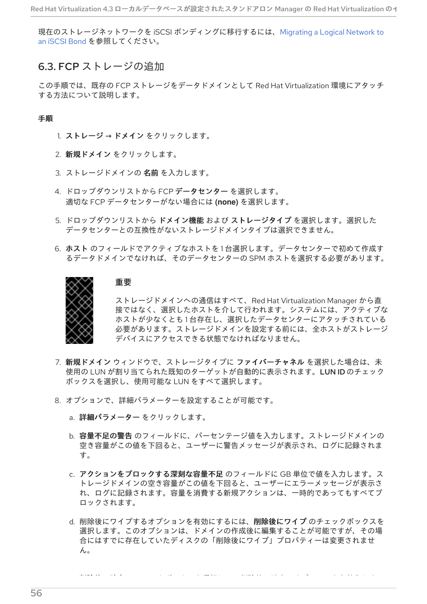[現在のストレージネットワークを](https://access.redhat.com/documentation/ja-jp/red_hat_virtualization/4.3/html/administration_guide/sect-preparing_and_adding_block_storage#Migrating_a_logical_network_to_an_iscsi_bond) iSCSI ボンディングに移行するには、Migrating a Logical Network to an iSCSI Bond を参照してください。

## <span id="page-59-0"></span>6.3. FCP ストレージの追加

この手順では、既存の FCP ストレージをデータドメインとして Red Hat Virtualization 環境にアタッチ する方法について説明します。

#### 手順

- 1. ストレージ → ドメイン をクリックします。
- 2. 新規ドメイン をクリックします。
- 3. ストレージドメインの 名前 を入力します。
- 4. ドロップダウンリストから FCP データセンター を選択します。 適切な FCP データセンターがない場合には **(none)** を選択します。
- 5. ドロップダウンリストから ドメイン機能 および ストレージタイプ を選択します。選択した データセンターとの互換性がないストレージドメインタイプは選択できません。
- 6. ホスト のフィールドでアクティブなホストを1台選択します。データセンターで初めて作成す るデータドメインでなければ、そのデータセンターの SPM ホストを選択する必要があります。



#### 重要

ストレージドメインへの通信はすべて、Red Hat Virtualization Manager から直 接ではなく、選択したホストを介して行われます。システムには、アクティブな ホストが少なくとも1台存在し、選択したデータセンターにアタッチされている 必要があります。ストレージドメインを設定する前には、全ホストがストレージ デバイスにアクセスできる状態でなければなりません。

- 7. 新規ドメイン ウィンドウで、ストレージタイプに ファイバーチャネル を選択した場合は、未 使用の LUN が割り当てられた既知のターゲットが自動的に表示されます。LUN IDのチェック ボックスを選択し、使用可能な LUN をすべて選択します。
- 8. オプションで、詳細パラメーターを設定することが可能です。
	- a. 詳細パラメーター をクリックします。
	- b. 容量不足の警告 のフィールドに、パーセンテージ値を入力します。ストレージドメインの 空き容量がこの値を下回ると、ユーザーに警告メッセージが表示され、ログに記録されま す。
	- c. アクションをブロックする深刻な容量不足 のフィールドに GB 単位で値を入力します。ス トレージドメインの空き容量がこの値を下回ると、ユーザーにエラーメッセージが表示さ れ、ログに記録されます。容量を消費する新規アクションは、一時的であってもすべてブ ロックされます。
	- d. 削除後にワイプするオプションを有効にするには、削除後にワイプ のチェックボックスを 選択します。このオプションは、ドメインの作成後に編集することが可能ですが、その場 合にはすでに存在していたディスクの「削除後にワイプ」プロパティーは変更されませ ん。

e. 削除後に破棄 のチェックボックスを選択して、削除後に破棄のオプションを有効化しま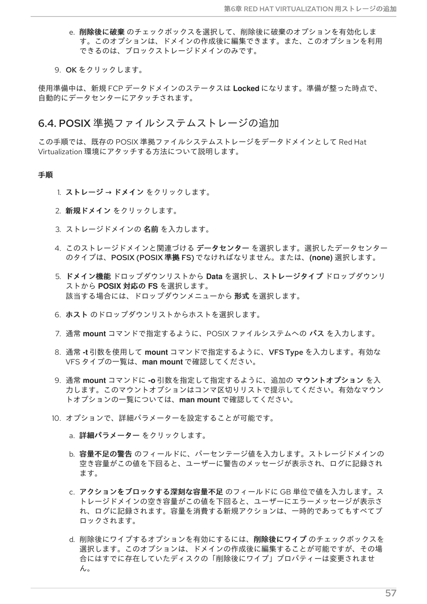- e. 削除後に破棄 のチェックボックスを選択して、削除後に破棄のオプションを有効化しま す。このオプションは、ドメインの作成後に編集できます。また、このオプションを利用 できるのは、ブロックストレージドメインのみです。
- 9. OK をクリックします。

使用準備中は、新規 FCP データドメインのステータスは **Locked** になります。準備が整った時点で、 自動的にデータセンターにアタッチされます。

## <span id="page-60-0"></span>6.4. POSIX 準拠ファイルシステムストレージの追加

この手順では、既存の POSIX 準拠ファイルシステムストレージをデータドメインとして Red Hat Virtualization 環境にアタッチする方法について説明します。

#### 手順

- 1. ストレージ → ドメイン をクリックします。
- 2. 新規ドメイン をクリックします。
- 3. ストレージドメインの 名前 を入力します。
- 4. このストレージドメインと関連づける データセンター を選択します。選択したデータセンター のタイプは、POSIX (POSIX 準拠 FS) でなければなりません。または、**(none)** 選択します。
- 5. ドメイン機能 ドロップダウンリストから **Data** を選択し、ストレージタイプ ドロップダウンリ ストから **POSIX** 対応の **FS** を選択します。 該当する場合には、ドロップダウンメニューから 形式 を選択します。
- 6. ホスト のドロップダウンリストからホストを選択します。
- 7. 通常 **mount** コマンドで指定するように、POSIX ファイルシステムへの パス を入力します。
- 8. 通常 **-t** 引数を使用して **mount** コマンドで指定するように、VFS Type を入力します。有効な VFS タイプの一覧は、**man mount** で確認してください。
- 9. 通常 **mount** コマンドに **-o** 引数を指定して指定するように、追加の マウントオプション を入 力します。このマウントオプションはコンマ区切りリストで提示してください。有効なマウン トオプションの一覧については、**man mount** で確認してください。
- 10. オプションで、詳細パラメーターを設定することが可能です。
	- a. 詳細パラメーター をクリックします。
	- b. 容量不足の警告 のフィールドに、パーセンテージ値を入力します。ストレージドメインの 空き容量がこの値を下回ると、ユーザーに警告のメッセージが表示され、ログに記録され ます。
	- c. アクションをブロックする深刻な容量不足 のフィールドに GB 単位で値を入力します。ス トレージドメインの空き容量がこの値を下回ると、ユーザーにエラーメッセージが表示さ れ、ログに記録されます。容量を消費する新規アクションは、一時的であってもすべてブ ロックされます。
	- d. 削除後にワイプするオプションを有効にするには、削除後にワイプ のチェックボックスを 選択します。このオプションは、ドメインの作成後に編集することが可能ですが、その場 合にはすでに存在していたディスクの「削除後にワイプ」プロパティーは変更されませ ん。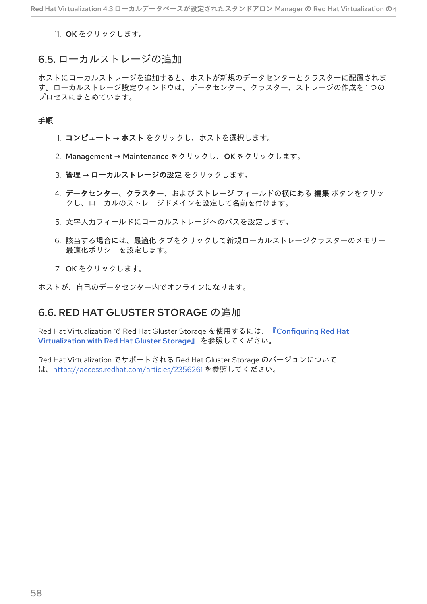11. OK をクリックします。

## <span id="page-61-0"></span>6.5. ローカルストレージの追加

ホストにローカルストレージを追加すると、ホストが新規のデータセンターとクラスターに配置されま す。ローカルストレージ設定ウィンドウは、データセンター、クラスター、ストレージの作成を1つの プロセスにまとめています。

## 手順

- 1. コンピュート → ホスト をクリックし、ホストを選択します。
- 2. Management → Maintenance をクリックし、OK をクリックします。
- 3. 管理 → ローカルストレージの設定 をクリックします。
- 4. データセンター、クラスター、および ストレージ フィールドの横にある 編集 ボタンをクリッ クし、ローカルのストレージドメインを設定して名前を付けます。
- 5. 文字入力フィールドにローカルストレージへのパスを設定します。
- 6. 該当する場合には、最適化 タブをクリックして新規ローカルストレージクラスターのメモリー 最適化ポリシーを設定します。
- 7. OK をクリックします。
- ホストが、自己のデータセンター内でオンラインになります。

## <span id="page-61-1"></span>6.6. RED HAT GLUSTER STORAGE の追加

Red Hat Virtualization で Red Hat Gluster Storage を使用するには、『Configuring Red Hat Virtualization with Red Hat Gluster Storage』 [を参照してください。](https://access.redhat.com/documentation/ja-jp/red_hat_gluster_storage/3.4/html/configuring_red_hat_virtualization_with_red_hat_gluster_storage/)

Red Hat Virtualization でサポートされる Red Hat Gluster Storage のバージョンについて は、<https://access.redhat.com/articles/2356261> を参照してください。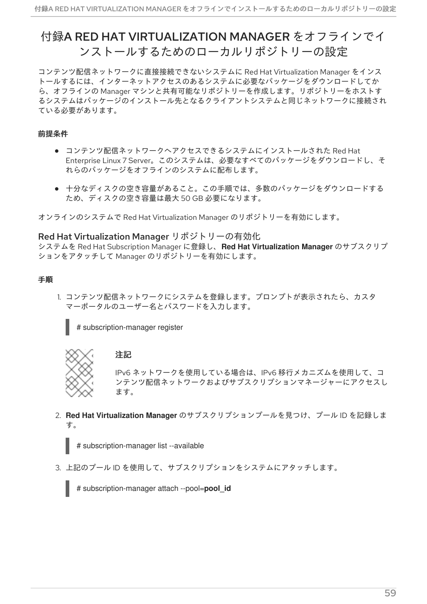# 付録A RED HAT VIRTUALIZATION MANAGER をオフラインでイ ンストールするためのローカルリポジトリーの設定

コンテンツ配信ネットワークに直接接続できないシステムに Red Hat Virtualization Manager をインス トールするには、インターネットアクセスのあるシステムに必要なパッケージをダウンロードしてか ら、オフラインの Manager マシンと共有可能なリポジトリーを作成します。リポジトリーをホストす るシステムはパッケージのインストール先となるクライアントシステムと同じネットワークに接続され ている必要があります。

## 前提条件

- コンテンツ配信ネットワークへアクセスできるシステムにインストールされた Red Hat Enterprise Linux 7 Server。このシステムは、必要なすべてのパッケージをダウンロードし、そ れらのパッケージをオフラインのシステムに配布します。
- 十分なディスクの空き容量があること。この手順では、多数のパッケージをダウンロードする ため、ディスクの空き容量は最大 50 GB 必要になります。

オンラインのシステムで Red Hat Virtualization Manager のリポジトリーを有効にします。

## Red Hat Virtualization Manager リポジトリーの有効化

システムを Red Hat Subscription Manager に登録し、**Red Hat Virtualization Manager** のサブスクリプ ションをアタッチして Manager のリポジトリーを有効にします。

## 手順

1. コンテンツ配信ネットワークにシステムを登録します。プロンプトが表示されたら、カスタ マーポータルのユーザー名とパスワードを入力します。





### 注記

IPv6 ネットワークを使用している場合は、IPv6 移行メカニズムを使用して、コ ンテンツ配信ネットワークおよびサブスクリプションマネージャーにアクセスし ます。

2. **Red Hat Virtualization Manager** のサブスクリプションプールを見つけ、プール ID を記録しま す。

# subscription-manager list --available

3. 上記のプール ID を使用して、サブスクリプションをシステムにアタッチします。

# subscription-manager attach --pool=**pool\_id**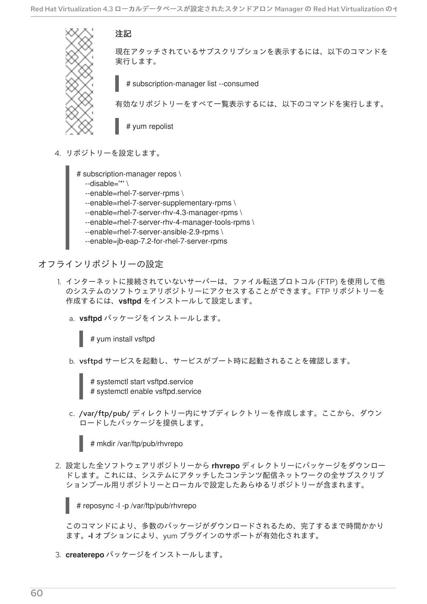注記



現在アタッチされているサブスクリプションを表示するには、以下のコマンドを 実行します。

# subscription-manager list --consumed

有効なリポジトリーをすべて一覧表示するには、以下のコマンドを実行します。

# yum repolist

4. リポジトリーを設定します。

# subscription-manager repos \ --disable='\*' \ --enable=rhel-7-server-rpms \ --enable=rhel-7-server-supplementary-rpms \ --enable=rhel-7-server-rhv-4.3-manager-rpms \ --enable=rhel-7-server-rhv-4-manager-tools-rpms \ --enable=rhel-7-server-ansible-2.9-rpms \ --enable=jb-eap-7.2-for-rhel-7-server-rpms

- オフラインリポジトリーの設定
	- 1. インターネットに接続されていないサーバーは、ファイル転送プロトコル (FTP) を使用して他 のシステムのソフトウェアリポジトリーにアクセスすることができます。FTP リポジトリーを 作成するには、**vsftpd** をインストールして設定します。
		- a. **vsftpd** パッケージをインストールします。



b. vsftpd サービスを起動し、サービスがブート時に起動されることを確認します。

# systemctl start vsftpd.service # systemctl enable vsftpd.service

c. /var/ftp/pub/ ディレクトリー内にサブディレクトリーを作成します。ここから、ダウン ロードしたパッケージを提供します。

# mkdir /var/ftp/pub/rhvrepo

2. 設定した全ソフトウェアリポジトリーから **rhvrepo** ディレクトリーにパッケージをダウンロー ドします。これには、システムにアタッチしたコンテンツ配信ネットワークの全サブスクリプ ションプール用リポジトリーとローカルで設定したあらゆるリポジトリーが含まれます。

# reposync -l -p /var/ftp/pub/rhvrepo

このコマンドにより、多数のパッケージがダウンロードされるため、完了するまで時間かかり ます。**-l** オプションにより、yum プラグインのサポートが有効化されます。

3. **createrepo** パッケージをインストールします。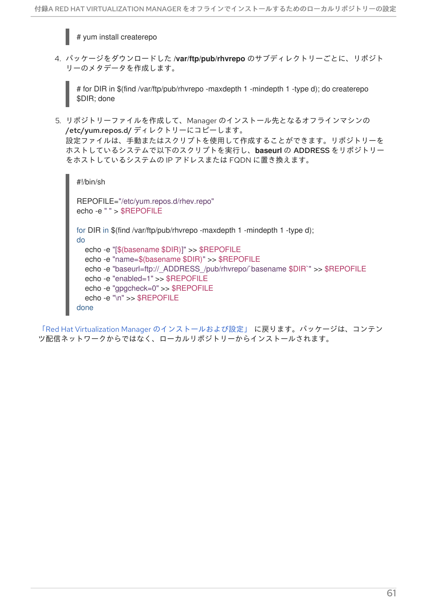# yum install createrepo

4. パッケージをダウンロードした **/var/ftp/pub/rhvrepo** のサブディレクトリーごとに、リポジト リーのメタデータを作成します。

# for DIR in \$(find /var/ftp/pub/rhvrepo -maxdepth 1 -mindepth 1 -type d); do createrepo \$DIR; done

5. リポジトリーファイルを作成して、Manager のインストール先となるオフラインマシンの /etc/yum.repos.d/ ディレクトリーにコピーします。 設定ファイルは、手動またはスクリプトを使用して作成することができます。リポジトリーを ホストしているシステムで以下のスクリプトを実行し、**baseurl** の ADDRESS をリポジトリー をホストしているシステムの IP アドレスまたは FQDN に置き換えます。

```
#!/bin/sh
REPOFILE="/etc/yum.repos.d/rhev.repo"
echo -e " " > $REPOFILE
for DIR in $(find /var/ftp/pub/rhvrepo -maxdepth 1 -mindepth 1 -type d);
do
  echo -e "[$(basename $DIR)]" >> $REPOFILE
  echo -e "name=$(basename $DIR)" >> $REPOFILE
  echo -e "baseurl=ftp://_ADDRESS_/pub/rhvrepo/`basename $DIR`" >> $REPOFILE
  echo -e "enabled=1" >> $REPOFILE
  echo -e "gpgcheck=0" >> $REPOFILE
  echo -e "\n" >> $REPOFILE
done
```

```
「Red Hat Virtualization Manager のインストールおよび設定」 に戻ります。パッケージは、コンテン
ツ配信ネットワークからではなく、ローカルリポジトリーからインストールされます。
```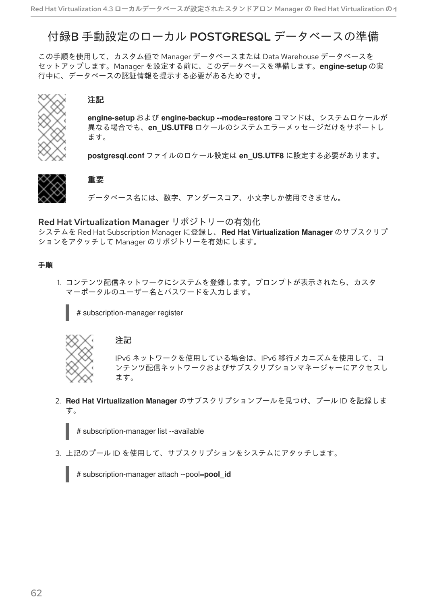# 付録B 手動設定のローカル POSTGRESQL データベースの準備

この手順を使用して、カスタム値で Manager データベースまたは Data Warehouse データベースを セットアップします。Manager を設定する前に、このデータベースを準備します。**engine-setup** の実 行中に、データベースの認証情報を提示する必要があるためです。



## 注記

**engine-setup** および **engine-backup --mode=restore** コマンドは、システムロケールが 異なる場合でも、**en\_US.UTF8** ロケールのシステムエラーメッセージだけをサポートし ます。

**postgresql.conf** ファイルのロケール設定は **en\_US.UTF8** に設定する必要があります。



## 重要

データベース名には、数字、アンダースコア、小文字しか使用できません。

## Red Hat Virtualization Manager リポジトリーの有効化

システムを Red Hat Subscription Manager に登録し、**Red Hat Virtualization Manager** のサブスクリプ ションをアタッチして Manager のリポジトリーを有効にします。

## 手順

1. コンテンツ配信ネットワークにシステムを登録します。プロンプトが表示されたら、カスタ マーポータルのユーザー名とパスワードを入力します。



## 注記

# subscription-manager register

IPv6 ネットワークを使用している場合は、IPv6 移行メカニズムを使用して、コ ンテンツ配信ネットワークおよびサブスクリプションマネージャーにアクセスし ます。

2. **Red Hat Virtualization Manager** のサブスクリプションプールを見つけ、プール ID を記録しま す。

# subscription-manager list --available

3. 上記のプール ID を使用して、サブスクリプションをシステムにアタッチします。

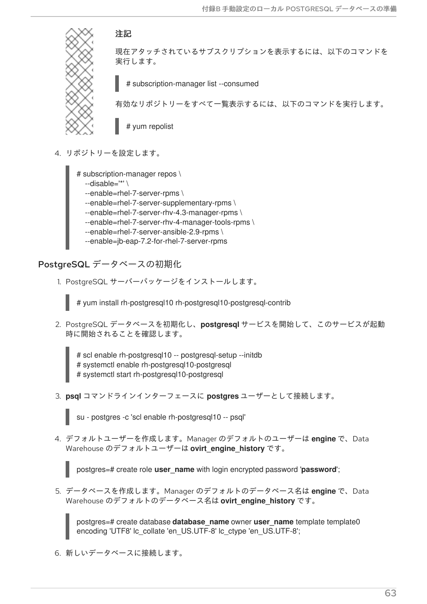## 注記



現在アタッチされているサブスクリプションを表示するには、以下のコマンドを 実行します。

# subscription-manager list --consumed

有効なリポジトリーをすべて一覧表示するには、以下のコマンドを実行します。

# yum repolist

4. リポジトリーを設定します。

# subscription-manager repos \ --disable='\*' \ --enable=rhel-7-server-rpms \ --enable=rhel-7-server-supplementary-rpms \ --enable=rhel-7-server-rhv-4.3-manager-rpms \ --enable=rhel-7-server-rhv-4-manager-tools-rpms \ --enable=rhel-7-server-ansible-2.9-rpms \ --enable=jb-eap-7.2-for-rhel-7-server-rpms

PostgreSQL データベースの初期化

1. PostgreSQL サーバーパッケージをインストールします。

# yum install rh-postgresql10 rh-postgresql10-postgresql-contrib

2. PostgreSQL データベースを初期化し、**postgresql** サービスを開始して、このサービスが起動 時に開始されることを確認します。

# scl enable rh-postgresql10 -- postgresql-setup --initdb # systemctl enable rh-postgresql10-postgresql # systemctl start rh-postgresql10-postgresql

3. **psql** コマンドラインインターフェースに **postgres** ユーザーとして接続します。

su - postgres -c 'scl enable rh-postgresql10 -- psql'

4. デフォルトユーザーを作成します。Manager のデフォルトのユーザーは **engine** で、Data Warehouse のデフォルトユーザーは **ovirt\_engine\_history** です。

postgres=# create role **user\_name** with login encrypted password '**password**';

5. データベースを作成します。Manager のデフォルトのデータベース名は **engine** で、Data Warehouse のデフォルトのデータベース名は **ovirt\_engine\_history** です。

postgres=# create database **database\_name** owner **user\_name** template template0 encoding 'UTF8' lc\_collate 'en\_US.UTF-8' lc\_ctype 'en\_US.UTF-8';

6. 新しいデータベースに接続します。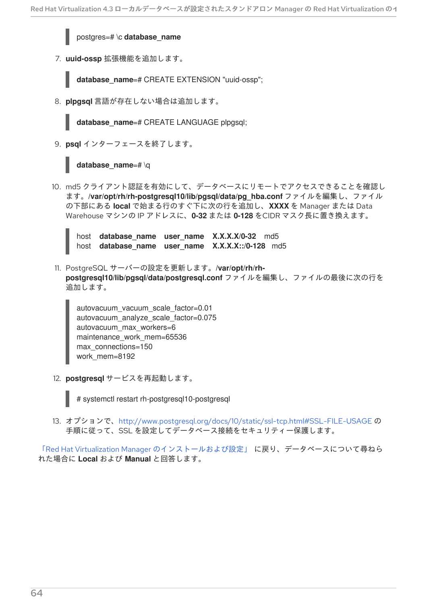postgres=# \c **database\_name**

7. **uuid-ossp** 拡張機能を追加します。

**database\_name**=# CREATE EXTENSION "uuid-ossp";

8. **plpgsql** 言語が存在しない場合は追加します。

**database\_name=# CREATE LANGUAGE plpgsql;** 

9. **psql** インターフェースを終了します。

**database\_name**=# \q

10. md5 クライアント認証を有効にして、データベースにリモートでアクセスできることを確認し ます。**/var/opt/rh/rh-postgresql10/lib/pgsql/data/pg\_hba.conf** ファイルを編集し、ファイル の下部にある **local** で始まる行のすぐ下に次の行を追加し、**XXXX** を Manager または Data Warehouse マシンの IP アドレスに、**0-32** または **0-128** をCIDR マスク長に置き換えます。

host **database\_name user\_name X.X.X.X/0-32** md5 host **database\_name user\_name X.X.X.X::/0-128** md5

11. PostgreSQL サーバーの設定を更新します。**/var/opt/rh/rhpostgresql10/lib/pgsql/data/postgresql.conf** ファイルを編集し、ファイルの最後に次の行を 追加します。

autovacuum\_vacuum\_scale\_factor=0.01 autovacuum\_analyze\_scale\_factor=0.075 autovacuum\_max\_workers=6 maintenance\_work\_mem=65536 max\_connections=150 work mem=8192

12. **postgresql** サービスを再起動します。

# systemctl restart rh-postgresql10-postgresql

13. オプションで、<http://www.postgresql.org/docs/10/static/ssl-tcp.html#SSL-FILE-USAGE> の 手順に従って、SSL を設定してデータベース接続をセキュリティー保護します。

「Red Hat Virtualization Manager [のインストールおよび設定」](#page-30-0) に戻り、データベースについて尋ねら れた場合に **Local** および **Manual** と回答します。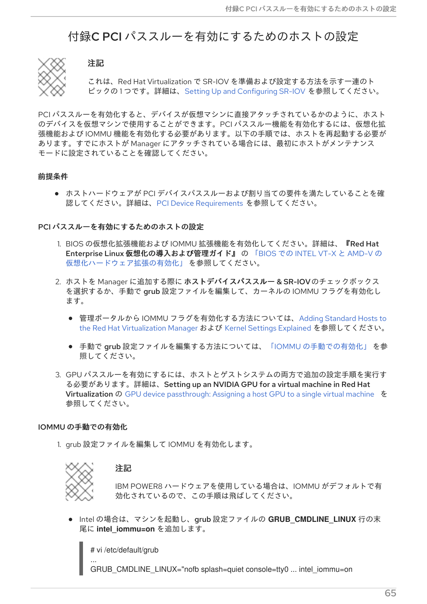# 付録C PCI パススルーを有効にするためのホストの設定



### 注記

これは、Red Hat Virtualization で SR-IOV を準備および設定する方法を示す一連のト ピックの 1 つです。詳細は、Setting Up and [Configuring](https://access.redhat.com/documentation/ja-jp/red_hat_virtualization/4.3/html/administration_guide/sect-hosts_and_networking#setting-up-and-configuring-sr-iov) SR-IOV を参照してください。

PCI パススルーを有効化すると、デバイスが仮想マシンに直接アタッチされているかのように、ホスト のデバイスを仮想マシンで使用することができます。PCI パススルー機能を有効化するには、仮想化拡 張機能および IOMMU 機能を有効化する必要があります。以下の手順では、ホストを再起動する必要が あります。すでにホストが Manager にアタッチされている場合には、最初にホストがメンテナンス モードに設定されていることを確認してください。

#### 前提条件

● ホストハードウェアが PCI デバイスパススルーおよび割り当ての要件を満たしていることを確 認してください。詳細は、PCI Device [Requirements](https://access.redhat.com/documentation/ja-jp/red_hat_virtualization/4.3/html/planning_and_prerequisites_guide/rhv_requirements#PCI_Device_Requirements_RHV_planning) を参照してください。

#### PCI パススルーを有効にするためのホストの設定

- 1. BIOS の仮想化拡張機能および IOMMU 拡張機能を有効化してください。詳細は、『Red Hat Enterprise Linux 仮想化の導入および管理ガイド』 の 「BIOS での INTEL VT-X と AMD-V の [仮想化ハードウェア拡張の有効化」](https://access.redhat.com/documentation/ja-jp/red_hat_enterprise_linux/7/html/virtualization_deployment_and_administration_guide/sect-troubleshooting-enabling_intel_vt_x_and_amd_v_virtualization_hardware_extensions_in_bios) を参照してください。
- 2. ホストを Manager に追加する際に ホストデバイスパススルー & SR-IOVのチェックボックス を選択するか、手動で grub 設定ファイルを編集して、カーネルの IOMMU フラグを有効化し ます。
	- 管理ポータルから IOMMU [フラグを有効化する方法については、](https://access.redhat.com/documentation/ja-jp/red_hat_virtualization/4.3/html-single/administration_guide#Adding_standard_hosts_to_the_Manager)Adding Standard Hosts to the Red Hat Virtualization Manager および Kernel Settings [Explained](https://access.redhat.com/documentation/ja-jp/red_hat_virtualization/4.3/html-single/administration_guide#Kernel_Settings_Explained) を参照してください。
	- 手動で grub 設定ファイルを編集する方法については、「IOMMU [の手動での有効化」](#page-69-0) を参 照してください。
- 3. GPU パススルーを有効にするには、ホストとゲストシステムの両方で追加の設定手順を実行す る必要があります。詳細は、Setting up an NVIDIA GPU for a virtual machine in Red Hat Virtualization の GPU device [passthrough:](https://access.redhat.com/documentation/ja-jp/red_hat_virtualization/4.3/html/setting_up_an_nvidia_gpu_for_a_virtual_machine_in_red_hat_virtualization/proc_nvidia_gpu_passthrough_nvidia_gpu_passthrough) Assigning a host GPU to a single virtual machine を 参照してください。

#### IOMMU の手動での有効化

1. grub 設定ファイルを編集して IOMMU を有効化します。



#### 注記

IBM POWER8 ハードウェアを使用している場合は、IOMMU がデフォルトで有 効化されているので、この手順は飛ばしてください。

● Intel の場合は、マシンを起動し、grub 設定ファイルの GRUB CMDLINE LINUX 行の末 尾に **intel\_iommu=on** を追加します。

# vi /etc/default/grub ...

GRUB\_CMDLINE\_LINUX="nofb splash=quiet console=tty0 ... intel\_iommu=on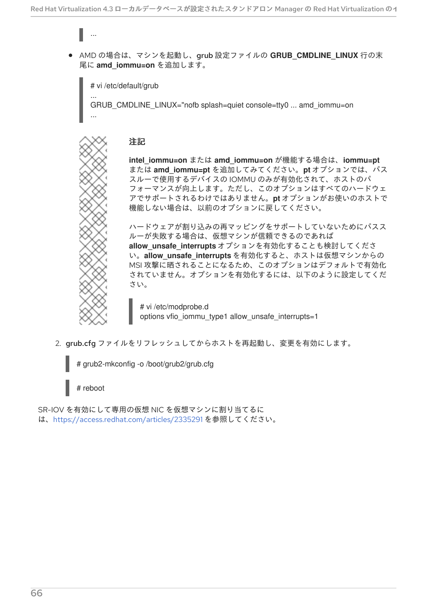<span id="page-69-0"></span>...

AMD の場合は、マシンを起動し、grub 設定ファイルの **GRUB\_CMDLINE\_LINUX** 行の末 尾に **amd\_iommu=on** を追加します。

# vi /etc/default/grub

... GRUB\_CMDLINE\_LINUX="nofb splash=quiet console=tty0 ... amd\_iommu=on ...



### 注記

**intel\_iommu=on** または **amd\_iommu=on** が機能する場合は、**iommu=pt** または **amd\_iommu=pt** を追加してみてください。**pt** オプションでは、パス スルーで使用するデバイスの IOMMU のみが有効化されて、ホストのパ フォーマンスが向上します。ただし、このオプションはすべてのハードウェ アでサポートされるわけではありません。**pt** オプションがお使いのホストで 機能しない場合は、以前のオプションに戻してください。

ハードウェアが割り込みの再マッピングをサポートしていないためにパスス ルーが失敗する場合は、仮想マシンが信頼できるのであれば

**allow\_unsafe\_interrupts** オプションを有効化することも検討してくださ い。**allow\_unsafe\_interrupts** を有効化すると、ホストは仮想マシンからの MSI 攻撃に晒されることになるため、このオプションはデフォルトで有効化 されていません。オプションを有効化するには、以下のように設定してくだ さい。

# vi /etc/modprobe.d options vfio\_iommu\_type1 allow\_unsafe\_interrupts=1

2. grub.cfg ファイルをリフレッシュしてからホストを再起動し、変更を有効にします。

# grub2-mkconfig -o /boot/grub2/grub.cfg

# reboot

SR-IOV を有効にして専用の仮想 NIC を仮想マシンに割り当てるに は、<https://access.redhat.com/articles/2335291> を参照してください。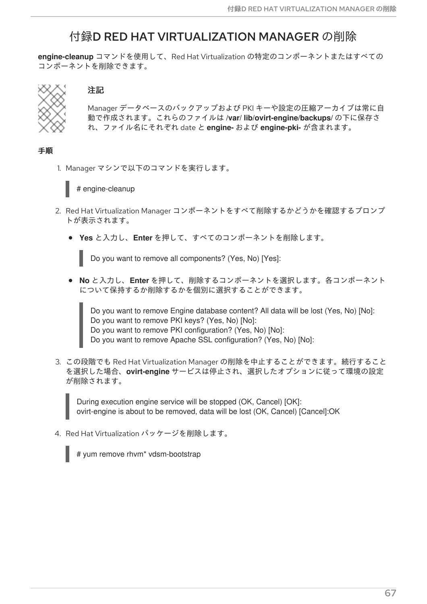# 付録D RED HAT VIRTUALIZATION MANAGER の削除

**engine-cleanup** コマンドを使用して、Red Hat Virtualization の特定のコンポーネントまたはすべての コンポーネントを削除できます。



## 注記

Manager データベースのバックアップおよび PKI キーや設定の圧縮アーカイブは常に自 動で作成されます。これらのファイルは **/var/ lib/ovirt-engine/backups/** の下に保存さ れ、ファイル名にそれぞれ date と **engine-** および **engine-pki-** が含まれます。

## 手順

1. Manager マシンで以下のコマンドを実行します。

# engine-cleanup

- 2. Red Hat Virtualization Manager コンポーネントをすべて削除するかどうかを確認するプロンプ トが表示されます。
	- **Yes** と入力し、**Enter** を押して、すべてのコンポーネントを削除します。

Do you want to remove all components? (Yes, No) [Yes]:

**No** と入力し、**Enter** を押して、削除するコンポーネントを選択します。各コンポーネント について保持するか削除するかを個別に選択することができます。

Do you want to remove Engine database content? All data will be lost (Yes, No) [No]: Do you want to remove PKI keys? (Yes, No) [No]: Do you want to remove PKI configuration? (Yes, No) [No]: Do you want to remove Apache SSL configuration? (Yes, No) [No]:

3. この段階でも Red Hat Virtualization Manager の削除を中止することができます。続行すること を選択した場合、**ovirt-engine** サービスは停止され、選択したオプションに従って環境の設定 が削除されます。

During execution engine service will be stopped (OK, Cancel) [OK]: ovirt-engine is about to be removed, data will be lost (OK, Cancel) [Cancel]:OK

4. Red Hat Virtualization パッケージを削除します。

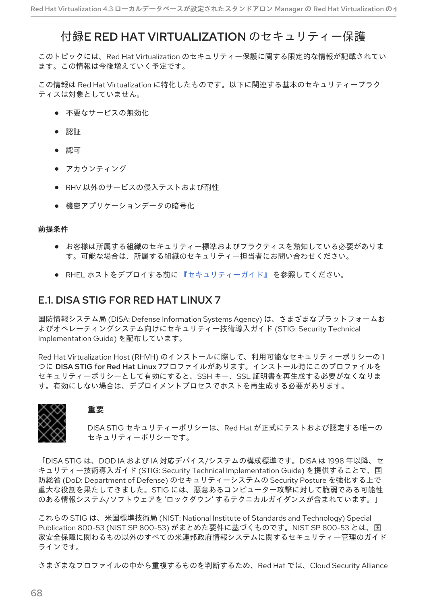# 付録E RED HAT VIRTUALIZATION のセキュリティー保護

このトピックには、Red Hat Virtualization のセキュリティー保護に関する限定的な情報が記載されてい ます。この情報は今後増えていく予定です。

この情報は Red Hat Virtualization に特化したものです。以下に関連する基本のセキュリティープラク ティスは対象としていません。

- 不要なサービスの無効化
- 認証
- 認可
- アカウンティング
- RHV 以外のサービスの侵入テストおよび耐性
- 機密アプリケーションデータの暗号化

#### 前提条件

- お客様は所属する組織のセキュリティー標準およびプラクティスを熟知している必要がありま す。可能な場合は、所属する組織のセキュリティー担当者にお問い合わせください。
- RHEL ホストをデプロイする前に [『セキュリティーガイド』](https://access.redhat.com/documentation/ja-jp/red_hat_enterprise_linux/7/html/security_guide/index) を参照してください。

## E.1. DISA STIG FOR RED HAT LINUX 7

国防情報システム局 (DISA: Defense Information Systems Agency) は、さまざまなプラットフォームお よびオペレーティングシステム向けにセキュリティー技術導入ガイド (STIG: Security Technical Implementation Guide) を配布しています。

Red Hat Virtualization Host (RHVH) のインストールに際して、利用可能なセキュリティーポリシーの 1 つに DISA STIG for Red Hat Linux 7プロファイルがあります。インストール時にこのプロファイルを セキュリティーポリシーとして有効にすると、SSH キー、SSL 証明書を再生成する必要がなくなりま す。有効にしない場合は、デプロイメントプロセスでホストを再生成する必要があります。



#### 重要

DISA STIG セキュリティーポリシーは、Red Hat が正式にテストおよび認定する唯一の セキュリティーポリシーです。

「DISA STIG は、DOD IA および IA 対応デバイス/システムの構成標準です。DISA は 1998 年以降、セ キュリティー技術導入ガイド (STIG: Security Technical Implementation Guide) を提供することで、国 防総省 (DoD: Department of Defense) のセキュリティーシステムの Security Posture を強化する上で 重大な役割を果たしてきました。STIG には、悪意あるコンピューター攻撃に対して脆弱である可能性 のある情報システム/ソフトウェアを 'ロックダウン' するテクニカルガイダンスが含まれています。」

これらの STIG は、米国標準技術局 (NIST: National Institute of Standards and Technology) Special Publication 800-53 (NIST SP 800-53) がまとめた要件に基づくものです。NIST SP 800-53 とは、国 家安全保障に関わるもの以外のすべての米連邦政府情報システムに関するセキュリティー管理のガイド ラインです。

さまざまなプロファイルの中から重複するものを判断するため、Red Hat では、Cloud Security Alliance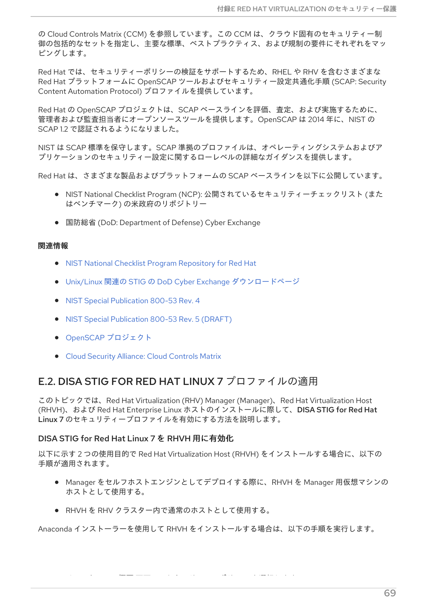の Cloud Controls Matrix (CCM) を参照しています。この CCM は、クラウド固有のセキュリティー制 御の包括的なセットを指定し、主要な標準、ベストプラクティス、および規制の要件にそれぞれをマッ ピングします。

Red Hat では、セキュリティーポリシーの検証をサポートするため、RHEL や RHV を含むさまざまな Red Hat プラットフォームに OpenSCAP ツールおよびセキュリティー設定共通化手順 (SCAP: Security Content Automation Protocol) プロファイルを提供しています。

Red Hat の OpenSCAP プロジェクトは、SCAP ベースラインを評価、査定、および実施するために、 管理者および監査担当者にオープンソースツールを提供します。OpenSCAP は 2014 年に、NIST の SCAP 1.2 で認証されるようになりました。

NIST は SCAP 標準を保守します。SCAP 準拠のプロファイルは、オペレーティングシステムおよびア プリケーションのセキュリティー設定に関するローレベルの詳細なガイダンスを提供します。

Red Hat は、さまざまな製品およびプラットフォームの SCAP ベースラインを以下に公開しています。

- NIST National Checklist Program (NCP): 公開されているセキュリティーチェックリスト (また はベンチマーク) の米政府のリポジトリー
- 国防総省 (DoD: Department of Defense) Cyber Exchange

#### 関連情報

- NIST National Checklist Program [Repository](https://nvd.nist.gov/ncp/repository?authority=Red+Hat&startIndex=0) for Red Hat
- Unix/Linux 関連の STIG の DoD Cyber Exchange [ダウンロードページ](https://public.cyber.mil/stigs/downloads/?_dl_facet_stigs=operating-systems%2Cunix-linux)
- NIST Special [Publication](https://csrc.nist.gov/publications/detail/sp/800-53/rev-4/final) 800-53 Rev. 4
- NIST Special [Publication](https://csrc.nist.gov/publications/detail/sp/800-53/rev-5/draft) 800-53 Rev. 5 (DRAFT)
- OpenSCAP [プロジェクト](https://www.open-scap.org/)
- Cloud Security Alliance: Cloud [Controls](https://cloudsecurityalliance.org/working-groups/cloud-controls-matrix/#_overview) Matrix

# E.2. DISA STIG FOR RED HAT LINUX 7 プロファイルの適用

このトピックでは、Red Hat Virtualization (RHV) Manager (Manager)、Red Hat Virtualization Host (RHVH)、および Red Hat Enterprise Linux ホストのインストールに際して、DISA STIG for Red Hat Linux 7 のセキュリティープロファイルを有効にする方法を説明します。

#### DISA STIG for Red Hat Linux 7 を RHVH 用に有効化

以下に示す 2 つの使用目的で Red Hat Virtualization Host (RHVH) をインストールする場合に、以下の 手順が適用されます。

- Manager をセルフホストエンジンとしてデプロイする際に、RHVH を Manager 用仮想マシンの ホストとして使用する。
- RHVH を RHV クラスター内で通常のホストとして使用する。

1. インストールの概要 画面で、セキュリティーポリシー を選択します。

Anaconda インストーラーを使用して RHVH をインストールする場合は、以下の手順を実行します。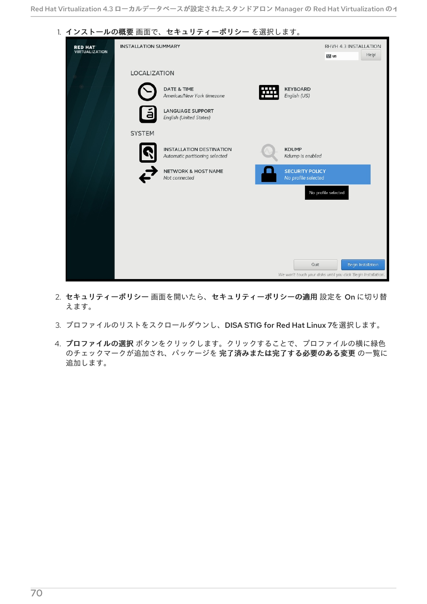

- 2. セキュリティーポリシー 画面を開いたら、セキュリティーポリシーの適用 設定を On に切り替 えます。
- 3. プロファイルのリストをスクロールダウンし、DISA STIG for Red Hat Linux 7を選択します。
- 4. プロファイルの選択 ボタンをクリックします。クリックすることで、プロファイルの横に緑色 のチェックマークが追加され、パッケージを 完了済みまたは完了する必要のある変更 の一覧に 追加します。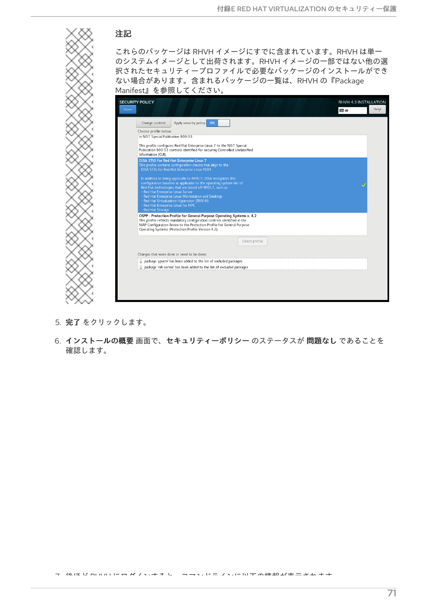#### 注記

これらのパッケージは RHVH イメージにすでに含まれています。RHVH は単一 のシステムイメージとして出荷されます。RHVH イメージの一部ではない他の選 択されたセキュリティープロファイルで必要なパッケージのインストールができ ない場合があります。含まれるパッケージの一覧は、RHVH の『Package Manifest』を参照してください。

|  | Apply security policy: ON<br>Change content                                                                                                                                                                                                                                                                                                                                                            |
|--|--------------------------------------------------------------------------------------------------------------------------------------------------------------------------------------------------------------------------------------------------------------------------------------------------------------------------------------------------------------------------------------------------------|
|  | Choose profile below:                                                                                                                                                                                                                                                                                                                                                                                  |
|  | in NIST Special Publication 800-53.                                                                                                                                                                                                                                                                                                                                                                    |
|  | This profile configures Red Hat Enterprise Linux 7 to the NIST Special<br>Publication 800-53 controls identified for securing Controlled Unclassified<br>Information (CUI).                                                                                                                                                                                                                            |
|  | DISA STIG for Red Hat Enterprise Linux 7<br>This profile contains configuration checks that align to the<br>DISA STIG for Red Hat Enterprise Linux V1R4.                                                                                                                                                                                                                                               |
|  | In addition to being applicable to RHEL7, DISA recognizes this<br>configuration baseline as applicable to the operating system tier of<br>Red Hat technologies that are based off RHEL7, such as:<br>- Red Hat Enterprise Linux Server<br>- Red Hat Enterprise Linux Workstation and Desktop<br>- Red Hat Virtualization Hypervisor (RHV-H)<br>- Red Hat Enterprise Linux for HPC<br>- Red Hat Storage |
|  | OSPP - Protection Profile for General Purpose Operating Systems v. 4.2<br>This profile reflects mandatory configuration controls identified in the<br>NIAP Configuration Annex to the Protection Profile for General Purpose<br>Operating Systems (Protection Profile Version 4.2).                                                                                                                    |
|  | Select profile                                                                                                                                                                                                                                                                                                                                                                                         |
|  | Changes that were done or need to be done:                                                                                                                                                                                                                                                                                                                                                             |
|  | package 'ypserv' has been added to the list of excluded packages                                                                                                                                                                                                                                                                                                                                       |
|  | package 'rsh-server' has been added to the list of excluded packages                                                                                                                                                                                                                                                                                                                                   |

- 5. 完了 をクリックします。
- 6. インストールの概要 画面で、セキュリティーポリシー のステータスが 問題なし であることを 確認します。